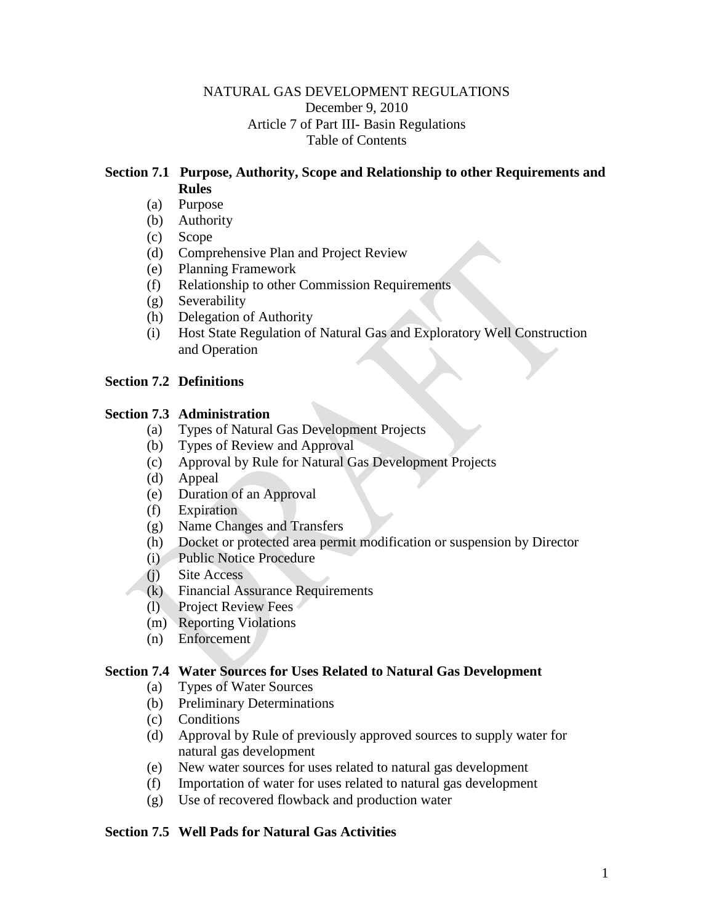## NATURAL GAS DEVELOPMENT REGULATIONS December 9, 2010 Article 7 of Part III- Basin Regulations Table of Contents

## **Section 7.1 Purpose, Authority, Scope and Relationship to other Requirements and Rules**

- (a) Purpose
- (b) Authority
- (c) Scope
- (d) Comprehensive Plan and Project Review
- (e) Planning Framework
- (f) Relationship to other Commission Requirements
- (g) Severability
- (h) Delegation of Authority
- (i) Host State Regulation of Natural Gas and Exploratory Well Construction and Operation

### **Section 7.2 Definitions**

### **Section 7.3 Administration**

- (a) Types of Natural Gas Development Projects
- (b) Types of Review and Approval
- (c) Approval by Rule for Natural Gas Development Projects
- (d) Appeal
- (e) Duration of an Approval
- (f) Expiration
- (g) Name Changes and Transfers
- (h) Docket or protected area permit modification or suspension by Director
- (i) Public Notice Procedure
- (j) Site Access
- (k) Financial Assurance Requirements
- (l) Project Review Fees
- (m) Reporting Violations
- (n) Enforcement

#### **Section 7.4 Water Sources for Uses Related to Natural Gas Development**

- (a) Types of Water Sources
- (b) Preliminary Determinations
- (c) Conditions
- (d) Approval by Rule of previously approved sources to supply water for natural gas development
- (e) New water sources for uses related to natural gas development
- (f) Importation of water for uses related to natural gas development
- (g) Use of recovered flowback and production water

#### **Section 7.5 Well Pads for Natural Gas Activities**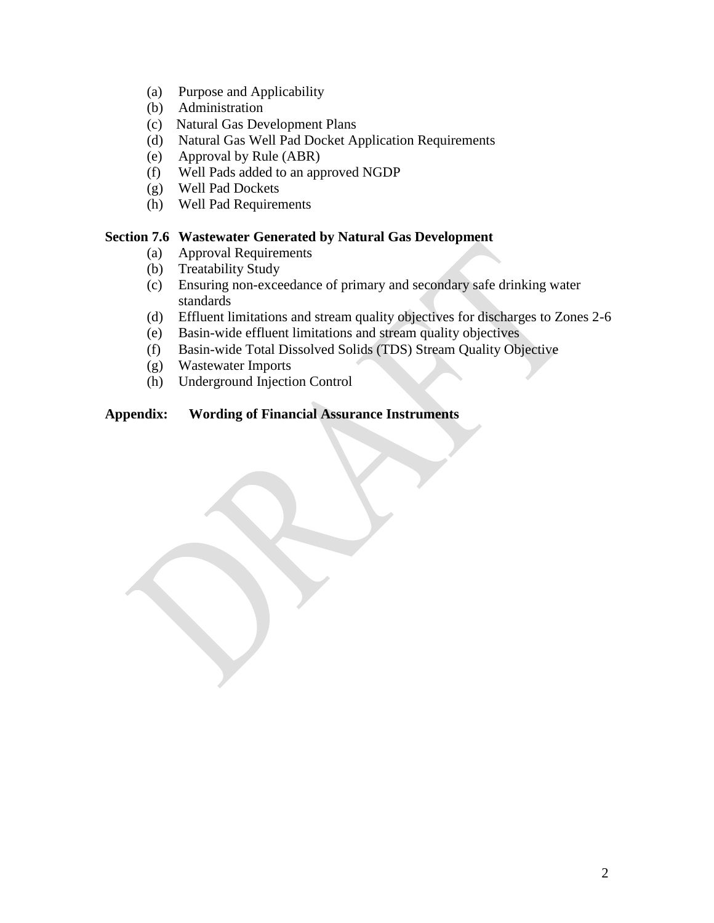- (a) Purpose and Applicability
- (b) Administration
- (c) Natural Gas Development Plans
- (d) Natural Gas Well Pad Docket Application Requirements
- (e) Approval by Rule (ABR)
- (f) Well Pads added to an approved NGDP
- (g) Well Pad Dockets
- (h) Well Pad Requirements

### **Section 7.6 Wastewater Generated by Natural Gas Development**

- (a) Approval Requirements
- (b) Treatability Study
- (c) Ensuring non-exceedance of primary and secondary safe drinking water standards
- (d) Effluent limitations and stream quality objectives for discharges to Zones 2-6
- (e) Basin-wide effluent limitations and stream quality objectives
- (f) Basin-wide Total Dissolved Solids (TDS) Stream Quality Objective
- (g) Wastewater Imports
- (h) Underground Injection Control

#### **Appendix: Wording of Financial Assurance Instruments**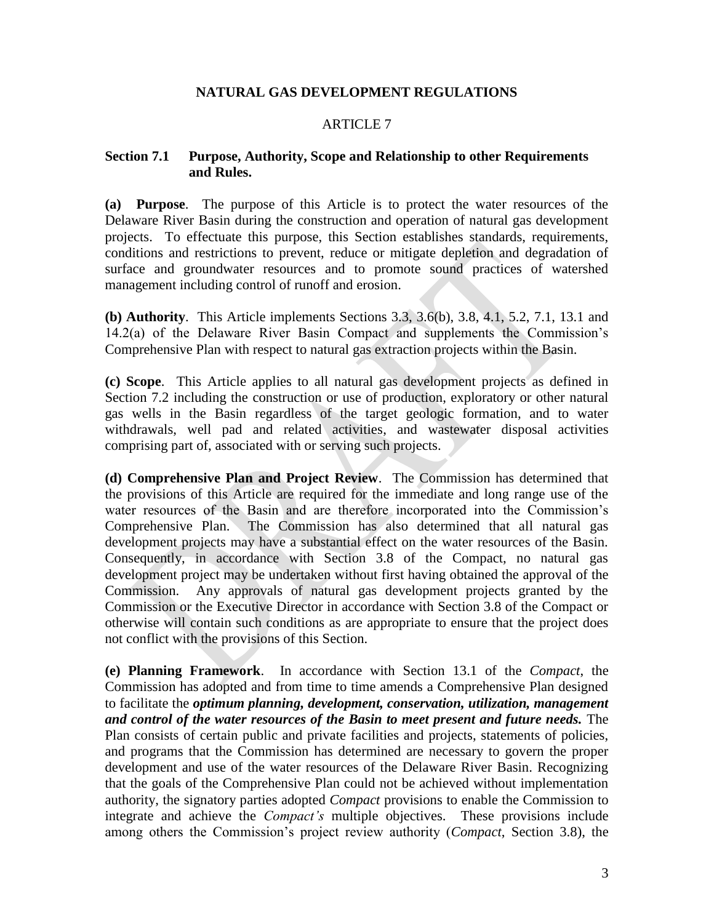### **NATURAL GAS DEVELOPMENT REGULATIONS**

### ARTICLE 7

#### **Section 7.1 Purpose, Authority, Scope and Relationship to other Requirements and Rules.**

**(a) Purpose**. The purpose of this Article is to protect the water resources of the Delaware River Basin during the construction and operation of natural gas development projects. To effectuate this purpose, this Section establishes standards, requirements, conditions and restrictions to prevent, reduce or mitigate depletion and degradation of surface and groundwater resources and to promote sound practices of watershed management including control of runoff and erosion.

**(b) Authority**. This Article implements Sections 3.3, 3.6(b), 3.8, 4.1, 5.2, 7.1, 13.1 and 14.2(a) of the Delaware River Basin Compact and supplements the Commission's Comprehensive Plan with respect to natural gas extraction projects within the Basin.

**(c) Scope**. This Article applies to all natural gas development projects as defined in Section 7.2 including the construction or use of production, exploratory or other natural gas wells in the Basin regardless of the target geologic formation, and to water withdrawals, well pad and related activities, and wastewater disposal activities comprising part of, associated with or serving such projects.

**(d) Comprehensive Plan and Project Review**. The Commission has determined that the provisions of this Article are required for the immediate and long range use of the water resources of the Basin and are therefore incorporated into the Commission's Comprehensive Plan. The Commission has also determined that all natural gas development projects may have a substantial effect on the water resources of the Basin. Consequently, in accordance with Section 3.8 of the Compact, no natural gas development project may be undertaken without first having obtained the approval of the Commission. Any approvals of natural gas development projects granted by the Commission or the Executive Director in accordance with Section 3.8 of the Compact or otherwise will contain such conditions as are appropriate to ensure that the project does not conflict with the provisions of this Section.

**(e) Planning Framework**. In accordance with Section 13.1 of the *Compact*, the Commission has adopted and from time to time amends a Comprehensive Plan designed to facilitate the *optimum planning, development, conservation, utilization, management and control of the water resources of the Basin to meet present and future needs.* The Plan consists of certain public and private facilities and projects, statements of policies, and programs that the Commission has determined are necessary to govern the proper development and use of the water resources of the Delaware River Basin. Recognizing that the goals of the Comprehensive Plan could not be achieved without implementation authority, the signatory parties adopted *Compact* provisions to enable the Commission to integrate and achieve the *Compact's* multiple objectives. These provisions include among others the Commission's project review authority (*Compact*, Section 3.8), the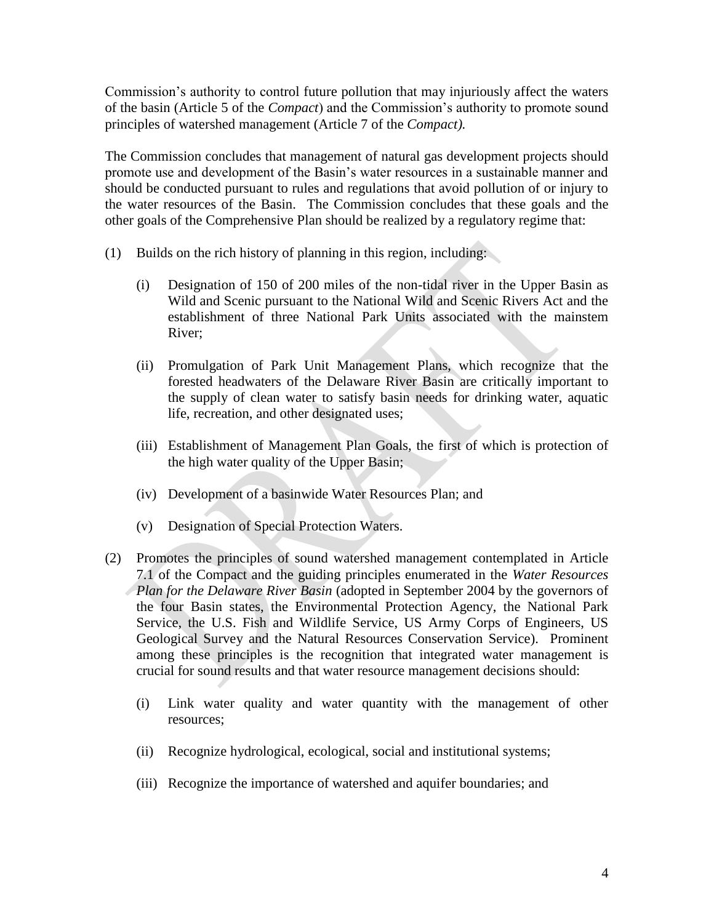Commission's authority to control future pollution that may injuriously affect the waters of the basin (Article 5 of the *Compact*) and the Commission's authority to promote sound principles of watershed management (Article 7 of the *Compact).*

The Commission concludes that management of natural gas development projects should promote use and development of the Basin's water resources in a sustainable manner and should be conducted pursuant to rules and regulations that avoid pollution of or injury to the water resources of the Basin. The Commission concludes that these goals and the other goals of the Comprehensive Plan should be realized by a regulatory regime that:

- (1) Builds on the rich history of planning in this region, including:
	- (i) Designation of 150 of 200 miles of the non-tidal river in the Upper Basin as Wild and Scenic pursuant to the National Wild and Scenic Rivers Act and the establishment of three National Park Units associated with the mainstem River;
	- (ii) Promulgation of Park Unit Management Plans, which recognize that the forested headwaters of the Delaware River Basin are critically important to the supply of clean water to satisfy basin needs for drinking water, aquatic life, recreation, and other designated uses;
	- (iii) Establishment of Management Plan Goals, the first of which is protection of the high water quality of the Upper Basin;
	- (iv) Development of a basinwide Water Resources Plan; and
	- (v) Designation of Special Protection Waters.
- (2) Promotes the principles of sound watershed management contemplated in Article 7.1 of the Compact and the guiding principles enumerated in the *Water Resources Plan for the Delaware River Basin* (adopted in September 2004 by the governors of the four Basin states, the Environmental Protection Agency, the National Park Service, the U.S. Fish and Wildlife Service, US Army Corps of Engineers, US Geological Survey and the Natural Resources Conservation Service). Prominent among these principles is the recognition that integrated water management is crucial for sound results and that water resource management decisions should:
	- (i) Link water quality and water quantity with the management of other resources;
	- (ii) Recognize hydrological, ecological, social and institutional systems;
	- (iii) Recognize the importance of watershed and aquifer boundaries; and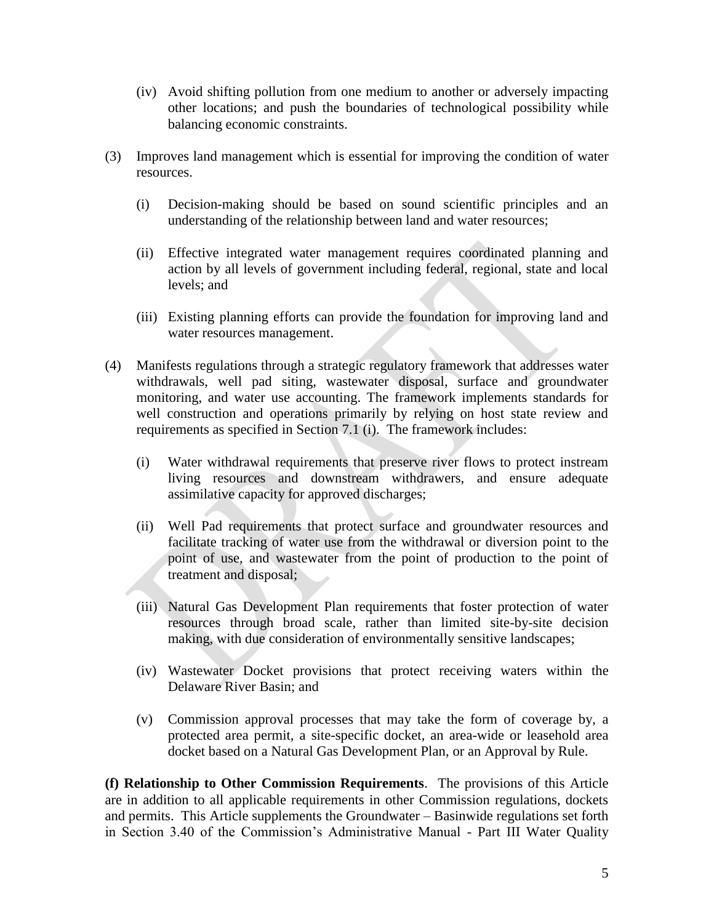- (iv) Avoid shifting pollution from one medium to another or adversely impacting other locations; and push the boundaries of technological possibility while balancing economic constraints.
- (3) Improves land management which is essential for improving the condition of water resources.
	- (i) Decision-making should be based on sound scientific principles and an understanding of the relationship between land and water resources;
	- (ii) Effective integrated water management requires coordinated planning and action by all levels of government including federal, regional, state and local levels; and
	- (iii) Existing planning efforts can provide the foundation for improving land and water resources management.
- (4) Manifests regulations through a strategic regulatory framework that addresses water withdrawals, well pad siting, wastewater disposal, surface and groundwater monitoring, and water use accounting. The framework implements standards for well construction and operations primarily by relying on host state review and requirements as specified in Section 7.1 (i). The framework includes:
	- (i) Water withdrawal requirements that preserve river flows to protect instream living resources and downstream withdrawers, and ensure adequate assimilative capacity for approved discharges;
	- (ii) Well Pad requirements that protect surface and groundwater resources and facilitate tracking of water use from the withdrawal or diversion point to the point of use, and wastewater from the point of production to the point of treatment and disposal;
	- (iii) Natural Gas Development Plan requirements that foster protection of water resources through broad scale, rather than limited site-by-site decision making, with due consideration of environmentally sensitive landscapes;
	- (iv) Wastewater Docket provisions that protect receiving waters within the Delaware River Basin; and
	- (v) Commission approval processes that may take the form of coverage by, a protected area permit, a site-specific docket, an area-wide or leasehold area docket based on a Natural Gas Development Plan, or an Approval by Rule.

**(f) Relationship to Other Commission Requirements**. The provisions of this Article are in addition to all applicable requirements in other Commission regulations, dockets and permits. This Article supplements the Groundwater – Basinwide regulations set forth in Section 3.40 of the Commission's Administrative Manual - Part III Water Quality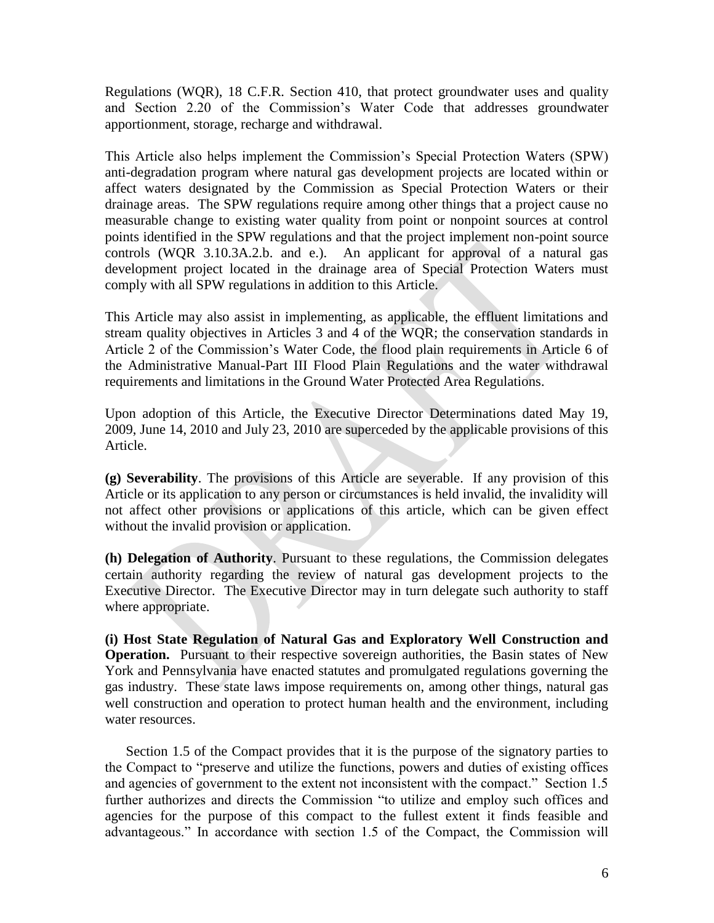Regulations (WQR), 18 C.F.R. Section 410, that protect groundwater uses and quality and Section 2.20 of the Commission's Water Code that addresses groundwater apportionment, storage, recharge and withdrawal.

This Article also helps implement the Commission's Special Protection Waters (SPW) anti-degradation program where natural gas development projects are located within or affect waters designated by the Commission as Special Protection Waters or their drainage areas. The SPW regulations require among other things that a project cause no measurable change to existing water quality from point or nonpoint sources at control points identified in the SPW regulations and that the project implement non-point source controls (WQR 3.10.3A.2.b. and e.). An applicant for approval of a natural gas development project located in the drainage area of Special Protection Waters must comply with all SPW regulations in addition to this Article.

This Article may also assist in implementing, as applicable, the effluent limitations and stream quality objectives in Articles 3 and 4 of the WQR; the conservation standards in Article 2 of the Commission's Water Code, the flood plain requirements in Article 6 of the Administrative Manual-Part III Flood Plain Regulations and the water withdrawal requirements and limitations in the Ground Water Protected Area Regulations.

Upon adoption of this Article, the Executive Director Determinations dated May 19, 2009, June 14, 2010 and July 23, 2010 are superceded by the applicable provisions of this Article.

**(g) Severability**. The provisions of this Article are severable. If any provision of this Article or its application to any person or circumstances is held invalid, the invalidity will not affect other provisions or applications of this article, which can be given effect without the invalid provision or application.

**(h) Delegation of Authority**. Pursuant to these regulations, the Commission delegates certain authority regarding the review of natural gas development projects to the Executive Director. The Executive Director may in turn delegate such authority to staff where appropriate.

**(i) Host State Regulation of Natural Gas and Exploratory Well Construction and Operation.** Pursuant to their respective sovereign authorities, the Basin states of New York and Pennsylvania have enacted statutes and promulgated regulations governing the gas industry. These state laws impose requirements on, among other things, natural gas well construction and operation to protect human health and the environment, including water resources.

Section 1.5 of the Compact provides that it is the purpose of the signatory parties to the Compact to "preserve and utilize the functions, powers and duties of existing offices and agencies of government to the extent not inconsistent with the compact." Section 1.5 further authorizes and directs the Commission "to utilize and employ such offices and agencies for the purpose of this compact to the fullest extent it finds feasible and advantageous." In accordance with section 1.5 of the Compact, the Commission will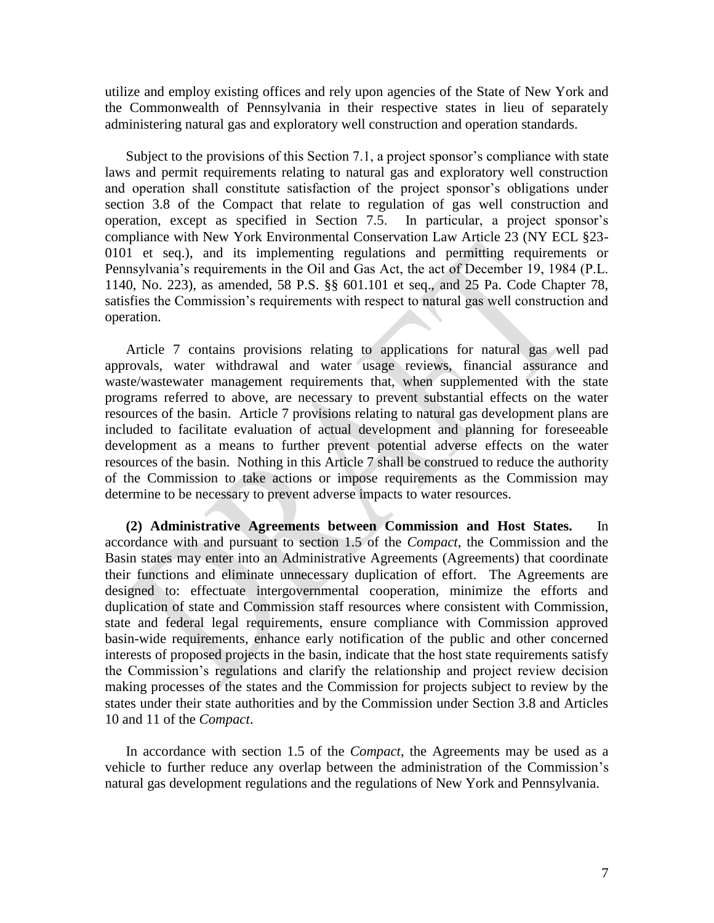utilize and employ existing offices and rely upon agencies of the State of New York and the Commonwealth of Pennsylvania in their respective states in lieu of separately administering natural gas and exploratory well construction and operation standards.

Subject to the provisions of this Section 7.1, a project sponsor's compliance with state laws and permit requirements relating to natural gas and exploratory well construction and operation shall constitute satisfaction of the project sponsor's obligations under section 3.8 of the Compact that relate to regulation of gas well construction and operation, except as specified in Section 7.5. In particular, a project sponsor's compliance with New York Environmental Conservation Law Article 23 (NY ECL §23- 0101 et seq.), and its implementing regulations and permitting requirements or Pennsylvania's requirements in the Oil and Gas Act, the act of December 19, 1984 (P.L. 1140, No. 223), as amended, 58 P.S. §§ 601.101 et seq., and 25 Pa. Code Chapter 78, satisfies the Commission's requirements with respect to natural gas well construction and operation.

Article 7 contains provisions relating to applications for natural gas well pad approvals, water withdrawal and water usage reviews, financial assurance and waste/wastewater management requirements that, when supplemented with the state programs referred to above, are necessary to prevent substantial effects on the water resources of the basin. Article 7 provisions relating to natural gas development plans are included to facilitate evaluation of actual development and planning for foreseeable development as a means to further prevent potential adverse effects on the water resources of the basin. Nothing in this Article 7 shall be construed to reduce the authority of the Commission to take actions or impose requirements as the Commission may determine to be necessary to prevent adverse impacts to water resources.

**(2) Administrative Agreements between Commission and Host States.** In accordance with and pursuant to section 1.5 of the *Compact*, the Commission and the Basin states may enter into an Administrative Agreements (Agreements) that coordinate their functions and eliminate unnecessary duplication of effort. The Agreements are designed to: effectuate intergovernmental cooperation, minimize the efforts and duplication of state and Commission staff resources where consistent with Commission, state and federal legal requirements, ensure compliance with Commission approved basin-wide requirements, enhance early notification of the public and other concerned interests of proposed projects in the basin, indicate that the host state requirements satisfy the Commission's regulations and clarify the relationship and project review decision making processes of the states and the Commission for projects subject to review by the states under their state authorities and by the Commission under Section 3.8 and Articles 10 and 11 of the *Compact*.

In accordance with section 1.5 of the *Compact*, the Agreements may be used as a vehicle to further reduce any overlap between the administration of the Commission's natural gas development regulations and the regulations of New York and Pennsylvania.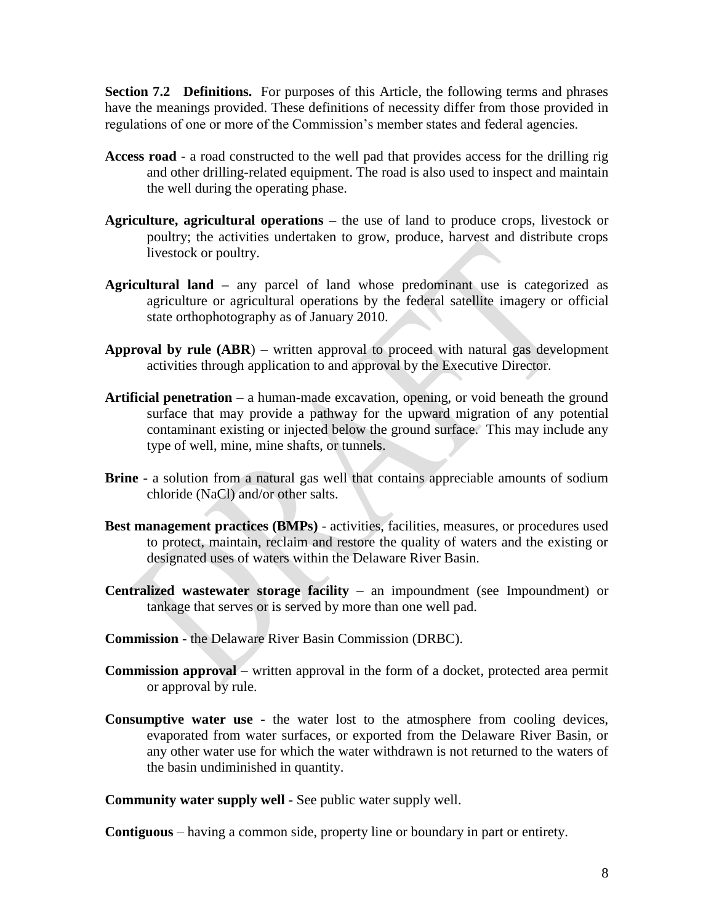**Section 7.2 Definitions.** For purposes of this Article, the following terms and phrases have the meanings provided. These definitions of necessity differ from those provided in regulations of one or more of the Commission's member states and federal agencies.

- **Access road**  a road constructed to the well pad that provides access for the drilling rig and other drilling-related equipment. The road is also used to inspect and maintain the well during the operating phase.
- **Agriculture, agricultural operations –** the use of land to produce crops, livestock or poultry; the activities undertaken to grow, produce, harvest and distribute crops livestock or poultry.
- **Agricultural land –** any parcel of land whose predominant use is categorized as agriculture or agricultural operations by the federal satellite imagery or official state orthophotography as of January 2010.
- **Approval by rule (ABR**) written approval to proceed with natural gas development activities through application to and approval by the Executive Director.
- **Artificial penetration** a human-made excavation, opening, or void beneath the ground surface that may provide a pathway for the upward migration of any potential contaminant existing or injected below the ground surface. This may include any type of well, mine, mine shafts, or tunnels.
- **Brine -** a solution from a natural gas well that contains appreciable amounts of sodium chloride (NaCl) and/or other salts.
- **Best management practices (BMPs)** activities, facilities, measures, or procedures used to protect, maintain, reclaim and restore the quality of waters and the existing or designated uses of waters within the Delaware River Basin.
- **Centralized wastewater storage facility** an impoundment (see Impoundment) or tankage that serves or is served by more than one well pad.
- **Commission** the Delaware River Basin Commission (DRBC).
- **Commission approval** written approval in the form of a docket, protected area permit or approval by rule.
- **Consumptive water use -** the water lost to the atmosphere from cooling devices, evaporated from water surfaces, or exported from the Delaware River Basin, or any other water use for which the water withdrawn is not returned to the waters of the basin undiminished in quantity.

**Community water supply well -** See public water supply well.

**Contiguous** – having a common side, property line or boundary in part or entirety.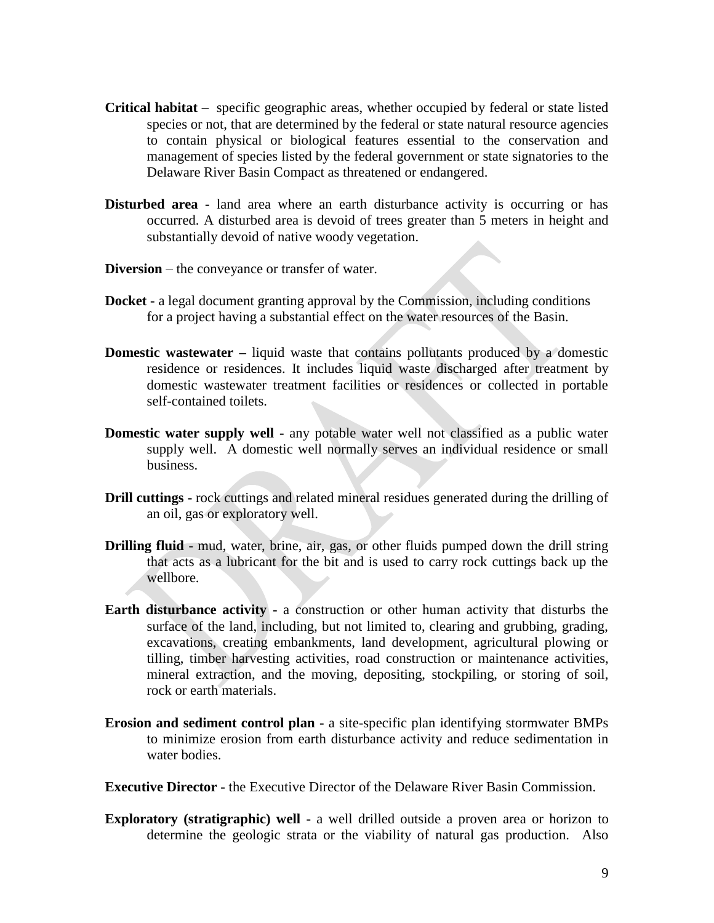- **Critical habitat** specific geographic areas, whether occupied by federal or state listed species or not, that are determined by the federal or state natural resource agencies to contain physical or biological features essential to the conservation and management of species listed by the federal government or state signatories to the Delaware River Basin Compact as threatened or endangered.
- **Disturbed area -** land area where an earth disturbance activity is occurring or has occurred. A disturbed area is devoid of trees greater than 5 meters in height and substantially devoid of native woody vegetation.
- **Diversion**  the conveyance or transfer of water.
- **Docket -** a legal document granting approval by the Commission, including conditions for a project having a substantial effect on the water resources of the Basin.
- **Domestic wastewater** liquid waste that contains pollutants produced by a domestic residence or residences. It includes liquid waste discharged after treatment by domestic wastewater treatment facilities or residences or collected in portable self-contained toilets.
- **Domestic water supply well -** any potable water well not classified as a public water supply well. A domestic well normally serves an individual residence or small business.
- **Drill cuttings -** rock cuttings and related mineral residues generated during the drilling of an oil, gas or exploratory well.
- **Drilling fluid** mud, water, brine, air, gas, or other fluids pumped down the drill string that acts as a lubricant for the bit and is used to carry rock cuttings back up the wellbore.
- **Earth disturbance activity** a construction or other human activity that disturbs the surface of the land, including, but not limited to, clearing and grubbing, grading, excavations, creating embankments, land development, agricultural plowing or tilling, timber harvesting activities, road construction or maintenance activities, mineral extraction, and the moving, depositing, stockpiling, or storing of soil, rock or earth materials.
- **Erosion and sediment control plan -** a site-specific plan identifying stormwater BMPs to minimize erosion from earth disturbance activity and reduce sedimentation in water bodies.

**Executive Director -** the Executive Director of the Delaware River Basin Commission.

**Exploratory (stratigraphic) well -** a well drilled outside a proven area or horizon to determine the geologic strata or the viability of natural gas production. Also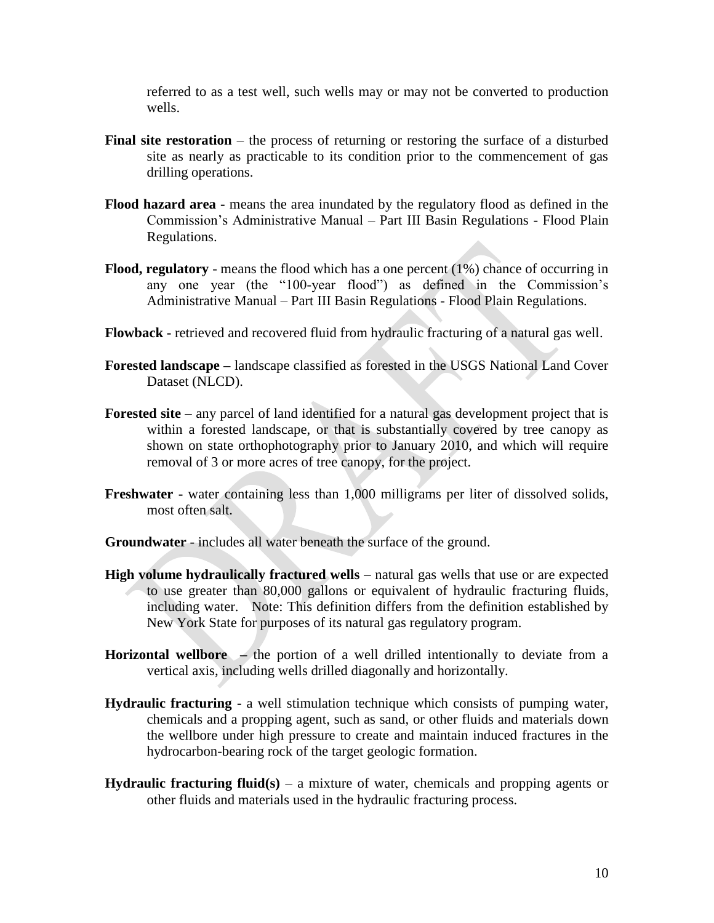referred to as a test well, such wells may or may not be converted to production wells.

- **Final site restoration** the process of returning or restoring the surface of a disturbed site as nearly as practicable to its condition prior to the commencement of gas drilling operations.
- **Flood hazard area -** means the area inundated by the regulatory flood as defined in the Commission's Administrative Manual – Part III Basin Regulations - Flood Plain Regulations.
- **Flood, regulatory** means the flood which has a one percent (1%) chance of occurring in any one year (the "100-year flood") as defined in the Commission's Administrative Manual – Part III Basin Regulations - Flood Plain Regulations.
- **Flowback -** retrieved and recovered fluid from hydraulic fracturing of a natural gas well.
- **Forested landscape –** landscape classified as forested in the USGS National Land Cover Dataset (NLCD).
- Forested site any parcel of land identified for a natural gas development project that is within a forested landscape, or that is substantially covered by tree canopy as shown on state orthophotography prior to January 2010, and which will require removal of 3 or more acres of tree canopy, for the project.
- **Freshwater -** water containing less than 1,000 milligrams per liter of dissolved solids, most often salt.
- **Groundwater**  includes all water beneath the surface of the ground.
- **High volume hydraulically fractured wells** natural gas wells that use or are expected to use greater than 80,000 gallons or equivalent of hydraulic fracturing fluids, including water. Note: This definition differs from the definition established by New York State for purposes of its natural gas regulatory program.
- **Horizontal wellbore –** the portion of a well drilled intentionally to deviate from a vertical axis, including wells drilled diagonally and horizontally.
- **Hydraulic fracturing -** a well stimulation technique which consists of pumping water, chemicals and a propping agent, such as sand, or other fluids and materials down the wellbore under high pressure to create and maintain induced fractures in the hydrocarbon-bearing rock of the target geologic formation.
- **Hydraulic fracturing fluid(s)** a mixture of water, chemicals and propping agents or other fluids and materials used in the hydraulic fracturing process.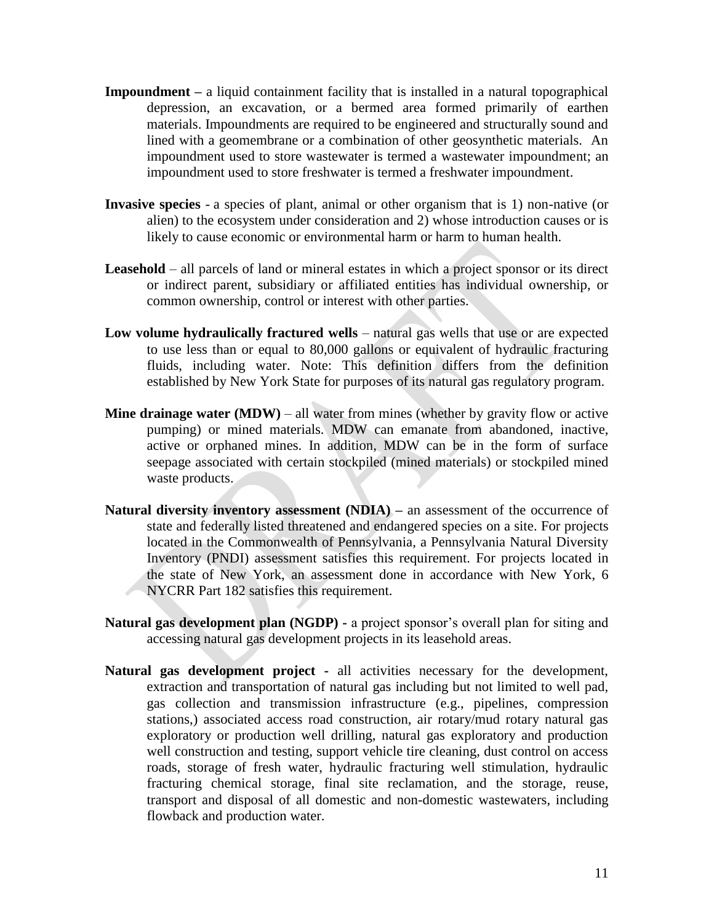- **Impoundment** a liquid containment facility that is installed in a natural topographical depression, an excavation, or a bermed area formed primarily of earthen materials. Impoundments are required to be engineered and structurally sound and lined with a geomembrane or a combination of other geosynthetic materials. An impoundment used to store wastewater is termed a wastewater impoundment; an impoundment used to store freshwater is termed a freshwater impoundment.
- **Invasive species** a species of plant, animal or other organism that is 1) non-native (or alien) to the ecosystem under consideration and 2) whose introduction causes or is likely to cause economic or environmental harm or harm to human health.
- **Leasehold** all parcels of land or mineral estates in which a project sponsor or its direct or indirect parent, subsidiary or affiliated entities has individual ownership, or common ownership, control or interest with other parties.
- **Low volume hydraulically fractured wells** natural gas wells that use or are expected to use less than or equal to 80,000 gallons or equivalent of hydraulic fracturing fluids, including water. Note: This definition differs from the definition established by New York State for purposes of its natural gas regulatory program.
- **Mine drainage water (MDW)** all water from mines (whether by gravity flow or active pumping) or mined materials. MDW can emanate from abandoned, inactive, active or orphaned mines. In addition, MDW can be in the form of surface seepage associated with certain stockpiled (mined materials) or stockpiled mined waste products.
- **Natural diversity inventory assessment (NDIA)** an assessment of the occurrence of state and federally listed threatened and endangered species on a site. For projects located in the Commonwealth of Pennsylvania, a Pennsylvania Natural Diversity Inventory (PNDI) assessment satisfies this requirement. For projects located in the state of New York, an assessment done in accordance with New York, 6 NYCRR Part 182 satisfies this requirement.
- **Natural gas development plan (NGDP) -** a project sponsor's overall plan for siting and accessing natural gas development projects in its leasehold areas.
- **Natural gas development project -** all activities necessary for the development, extraction and transportation of natural gas including but not limited to well pad, gas collection and transmission infrastructure (e.g., pipelines, compression stations,) associated access road construction, air rotary/mud rotary natural gas exploratory or production well drilling, natural gas exploratory and production well construction and testing, support vehicle tire cleaning, dust control on access roads, storage of fresh water, hydraulic fracturing well stimulation, hydraulic fracturing chemical storage, final site reclamation, and the storage, reuse, transport and disposal of all domestic and non-domestic wastewaters, including flowback and production water.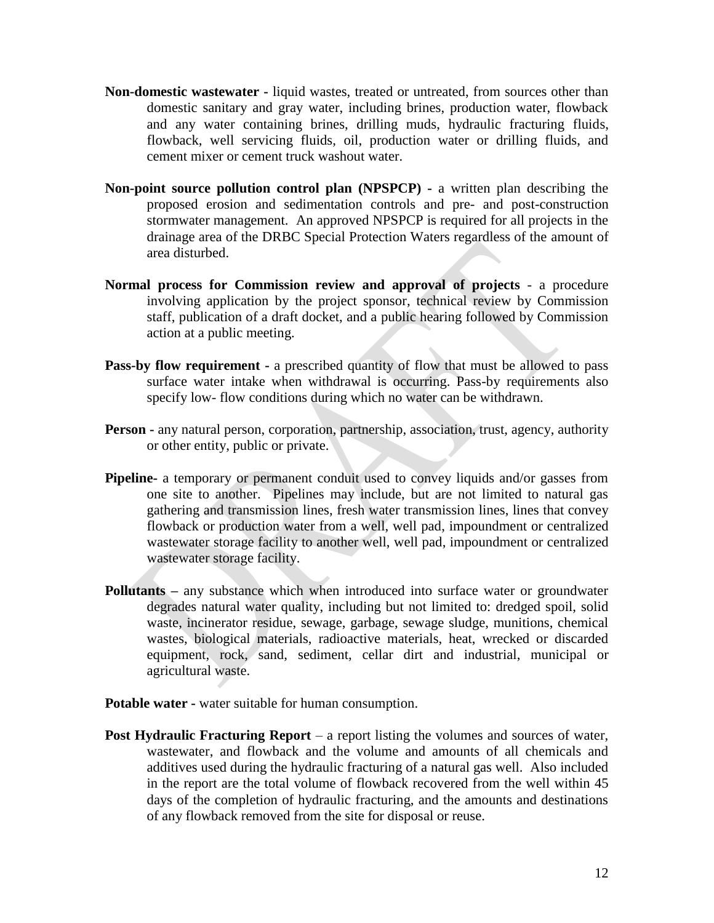- **Non-domestic wastewater -** liquid wastes, treated or untreated, from sources other than domestic sanitary and gray water, including brines, production water, flowback and any water containing brines, drilling muds, hydraulic fracturing fluids, flowback, well servicing fluids, oil, production water or drilling fluids, and cement mixer or cement truck washout water.
- **Non-point source pollution control plan (NPSPCP) -** a written plan describing the proposed erosion and sedimentation controls and pre- and post-construction stormwater management. An approved NPSPCP is required for all projects in the drainage area of the DRBC Special Protection Waters regardless of the amount of area disturbed.
- **Normal process for Commission review and approval of projects** a procedure involving application by the project sponsor, technical review by Commission staff, publication of a draft docket, and a public hearing followed by Commission action at a public meeting.
- **Pass-by flow requirement -** a prescribed quantity of flow that must be allowed to pass surface water intake when withdrawal is occurring. Pass-by requirements also specify low- flow conditions during which no water can be withdrawn.
- **Person -** any natural person, corporation, partnership, association, trust, agency, authority or other entity, public or private.
- **Pipeline-** a temporary or permanent conduit used to convey liquids and/or gasses from one site to another. Pipelines may include, but are not limited to natural gas gathering and transmission lines, fresh water transmission lines, lines that convey flowback or production water from a well, well pad, impoundment or centralized wastewater storage facility to another well, well pad, impoundment or centralized wastewater storage facility.
- **Pollutants –** any substance which when introduced into surface water or groundwater degrades natural water quality, including but not limited to: dredged spoil, solid waste, incinerator residue, sewage, garbage, sewage sludge, munitions, chemical wastes, biological materials, radioactive materials, heat, wrecked or discarded equipment, rock, sand, sediment, cellar dirt and industrial, municipal or agricultural waste.
- **Potable water -** water suitable for human consumption.
- **Post Hydraulic Fracturing Report** a report listing the volumes and sources of water, wastewater, and flowback and the volume and amounts of all chemicals and additives used during the hydraulic fracturing of a natural gas well. Also included in the report are the total volume of flowback recovered from the well within 45 days of the completion of hydraulic fracturing, and the amounts and destinations of any flowback removed from the site for disposal or reuse.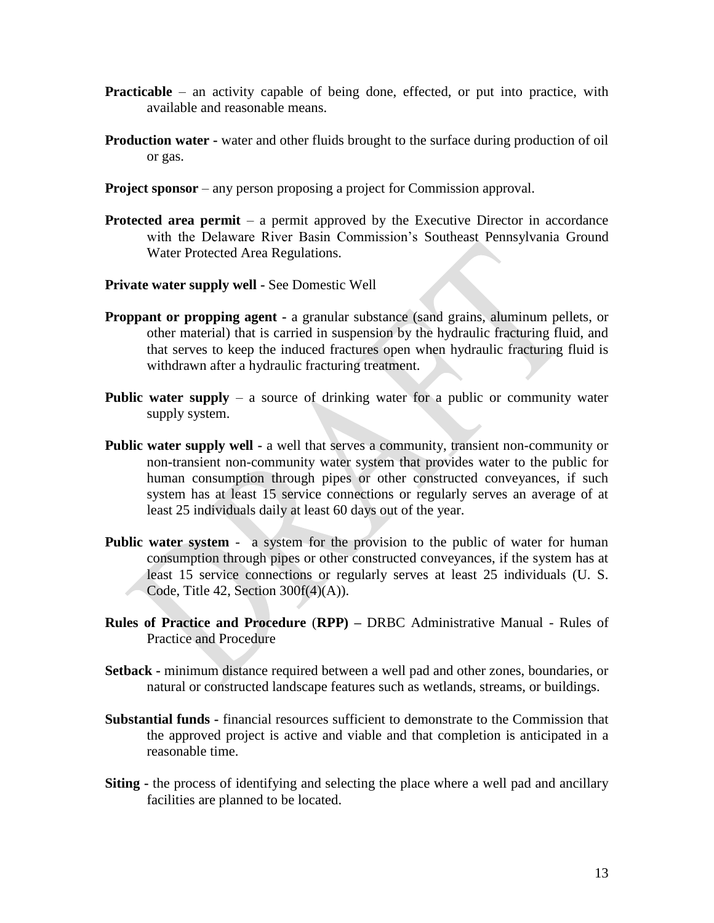- **Practicable** an activity capable of being done, effected, or put into practice, with available and reasonable means.
- **Production water -** water and other fluids brought to the surface during production of oil or gas.
- **Project sponsor** any person proposing a project for Commission approval.
- **Protected area permit** a permit approved by the Executive Director in accordance with the Delaware River Basin Commission's Southeast Pennsylvania Ground Water Protected Area Regulations.
- **Private water supply well -** See Domestic Well
- **Proppant or propping agent -** a granular substance (sand grains, aluminum pellets, or other material) that is carried in suspension by the hydraulic fracturing fluid, and that serves to keep the induced fractures open when hydraulic fracturing fluid is withdrawn after a hydraulic fracturing treatment.
- **Public water supply** a source of drinking water for a public or community water supply system.
- **Public water supply well -** a well that serves a community, transient non-community or non-transient non-community water system that provides water to the public for human consumption through pipes or other constructed conveyances, if such system has at least 15 service connections or regularly serves an average of at least 25 individuals daily at least 60 days out of the year.
- **Public water system -** a system for the provision to the public of water for human consumption through pipes or other constructed conveyances, if the system has at least 15 service connections or regularly serves at least 25 individuals (U. S. Code, Title 42, Section 300f(4)(A)).
- **Rules of Practice and Procedure** (**RPP) –** DRBC Administrative Manual Rules of Practice and Procedure
- **Setback -** minimum distance required between a well pad and other zones, boundaries, or natural or constructed landscape features such as wetlands, streams, or buildings.
- **Substantial funds -** financial resources sufficient to demonstrate to the Commission that the approved project is active and viable and that completion is anticipated in a reasonable time.
- **Siting -** the process of identifying and selecting the place where a well pad and ancillary facilities are planned to be located.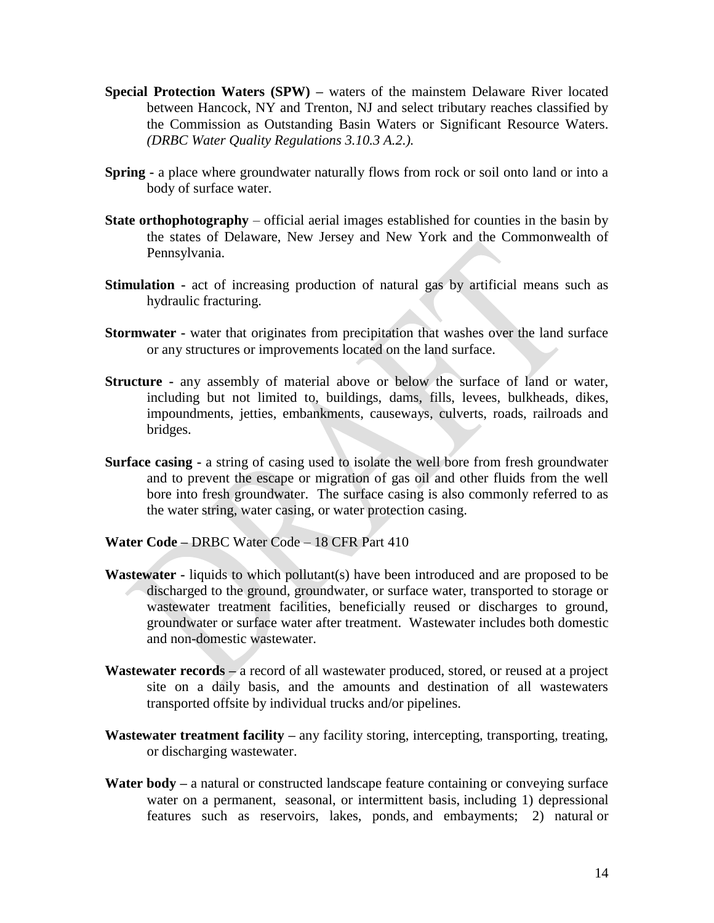- **Special Protection Waters (SPW)** waters of the mainstem Delaware River located between Hancock, NY and Trenton, NJ and select tributary reaches classified by the Commission as Outstanding Basin Waters or Significant Resource Waters. *(DRBC Water Quality Regulations 3.10.3 A.2.).*
- **Spring -** a place where groundwater naturally flows from rock or soil onto land or into a body of surface water.
- **State orthophotography** official aerial images established for counties in the basin by the states of Delaware, New Jersey and New York and the Commonwealth of Pennsylvania.
- **Stimulation -** act of increasing production of natural gas by artificial means such as hydraulic fracturing.
- **Stormwater -** water that originates from precipitation that washes over the land surface or any structures or improvements located on the land surface.
- **Structure -** any assembly of material above or below the surface of land or water, including but not limited to, buildings, dams, fills, levees, bulkheads, dikes, impoundments, jetties, embankments, causeways, culverts, roads, railroads and bridges.
- **Surface casing -** a string of casing used to isolate the well bore from fresh groundwater and to prevent the escape or migration of gas oil and other fluids from the well bore into fresh groundwater. The surface casing is also commonly referred to as the water string, water casing, or water protection casing.
- **Water Code –** DRBC Water Code 18 CFR Part 410
- **Wastewater -** liquids to which pollutant(s) have been introduced and are proposed to be discharged to the ground, groundwater, or surface water, transported to storage or wastewater treatment facilities, beneficially reused or discharges to ground, groundwater or surface water after treatment. Wastewater includes both domestic and non-domestic wastewater.
- **Wastewater records –** a record of all wastewater produced, stored, or reused at a project site on a daily basis, and the amounts and destination of all wastewaters transported offsite by individual trucks and/or pipelines.
- **Wastewater treatment facility –** any facility storing, intercepting, transporting, treating, or discharging wastewater.
- **Water body –** a natural or constructed landscape feature containing or conveying surface water on a permanent, seasonal, or intermittent basis, including 1) depressional features such as reservoirs, lakes, ponds, and embayments; 2) natural or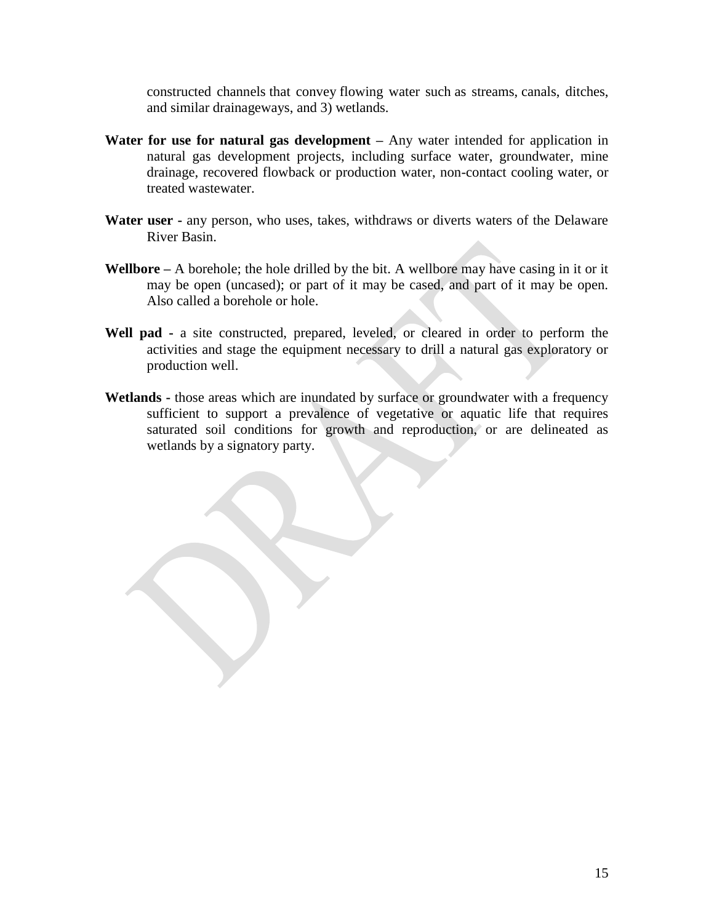constructed channels that convey flowing water such as streams, canals, ditches, and similar drainageways, and 3) wetlands.

- **Water for use for natural gas development –** Any water intended for application in natural gas development projects, including surface water, groundwater, mine drainage, recovered flowback or production water, non-contact cooling water, or treated wastewater.
- **Water user -** any person, who uses, takes, withdraws or diverts waters of the Delaware River Basin.
- **Wellbore –** A borehole; the hole drilled by the bit. A wellbore may have casing in it or it may be open (uncased); or part of it may be cased, and part of it may be open. Also called a borehole or hole.
- **Well pad -** a site constructed, prepared, leveled, or cleared in order to perform the activities and stage the equipment necessary to drill a natural gas exploratory or production well.
- **Wetlands -** those areas which are inundated by surface or groundwater with a frequency sufficient to support a prevalence of vegetative or aquatic life that requires saturated soil conditions for growth and reproduction, or are delineated as wetlands by a signatory party.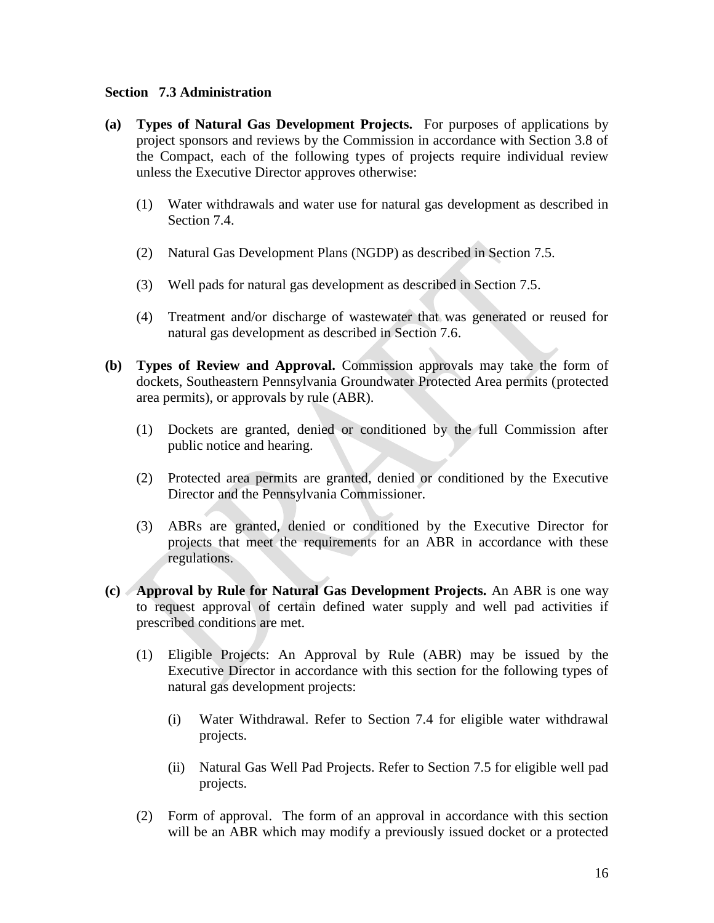#### **Section 7.3 Administration**

- **(a) Types of Natural Gas Development Projects.** For purposes of applications by project sponsors and reviews by the Commission in accordance with Section 3.8 of the Compact, each of the following types of projects require individual review unless the Executive Director approves otherwise:
	- (1) Water withdrawals and water use for natural gas development as described in Section 7.4.
	- (2) Natural Gas Development Plans (NGDP) as described in Section 7.5.
	- (3) Well pads for natural gas development as described in Section 7.5.
	- (4) Treatment and/or discharge of wastewater that was generated or reused for natural gas development as described in Section 7.6.
- **(b) Types of Review and Approval.** Commission approvals may take the form of dockets, Southeastern Pennsylvania Groundwater Protected Area permits (protected area permits), or approvals by rule (ABR).
	- (1) Dockets are granted, denied or conditioned by the full Commission after public notice and hearing.
	- (2) Protected area permits are granted, denied or conditioned by the Executive Director and the Pennsylvania Commissioner.
	- (3) ABRs are granted, denied or conditioned by the Executive Director for projects that meet the requirements for an ABR in accordance with these regulations.
- **(c) Approval by Rule for Natural Gas Development Projects.** An ABR is one way to request approval of certain defined water supply and well pad activities if prescribed conditions are met.
	- (1) Eligible Projects: An Approval by Rule (ABR) may be issued by the Executive Director in accordance with this section for the following types of natural gas development projects:
		- (i) Water Withdrawal. Refer to Section 7.4 for eligible water withdrawal projects.
		- (ii) Natural Gas Well Pad Projects. Refer to Section 7.5 for eligible well pad projects.
	- (2) Form of approval. The form of an approval in accordance with this section will be an ABR which may modify a previously issued docket or a protected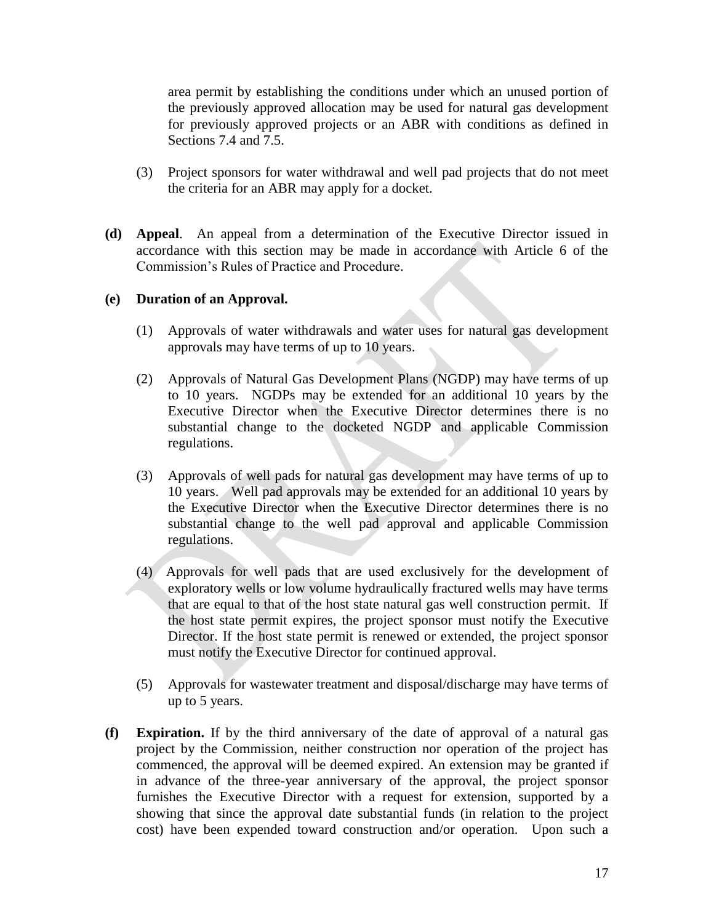area permit by establishing the conditions under which an unused portion of the previously approved allocation may be used for natural gas development for previously approved projects or an ABR with conditions as defined in Sections 7.4 and 7.5.

- (3) Project sponsors for water withdrawal and well pad projects that do not meet the criteria for an ABR may apply for a docket.
- **(d) Appeal**. An appeal from a determination of the Executive Director issued in accordance with this section may be made in accordance with Article 6 of the Commission's Rules of Practice and Procedure.

### **(e) Duration of an Approval.**

- (1) Approvals of water withdrawals and water uses for natural gas development approvals may have terms of up to 10 years.
- (2) Approvals of Natural Gas Development Plans (NGDP) may have terms of up to 10 years. NGDPs may be extended for an additional 10 years by the Executive Director when the Executive Director determines there is no substantial change to the docketed NGDP and applicable Commission regulations.
- (3) Approvals of well pads for natural gas development may have terms of up to 10 years. Well pad approvals may be extended for an additional 10 years by the Executive Director when the Executive Director determines there is no substantial change to the well pad approval and applicable Commission regulations.
- (4) Approvals for well pads that are used exclusively for the development of exploratory wells or low volume hydraulically fractured wells may have terms that are equal to that of the host state natural gas well construction permit. If the host state permit expires, the project sponsor must notify the Executive Director. If the host state permit is renewed or extended, the project sponsor must notify the Executive Director for continued approval.
- (5) Approvals for wastewater treatment and disposal/discharge may have terms of up to 5 years.
- **(f) Expiration.** If by the third anniversary of the date of approval of a natural gas project by the Commission, neither construction nor operation of the project has commenced, the approval will be deemed expired. An extension may be granted if in advance of the three-year anniversary of the approval, the project sponsor furnishes the Executive Director with a request for extension, supported by a showing that since the approval date substantial funds (in relation to the project cost) have been expended toward construction and/or operation. Upon such a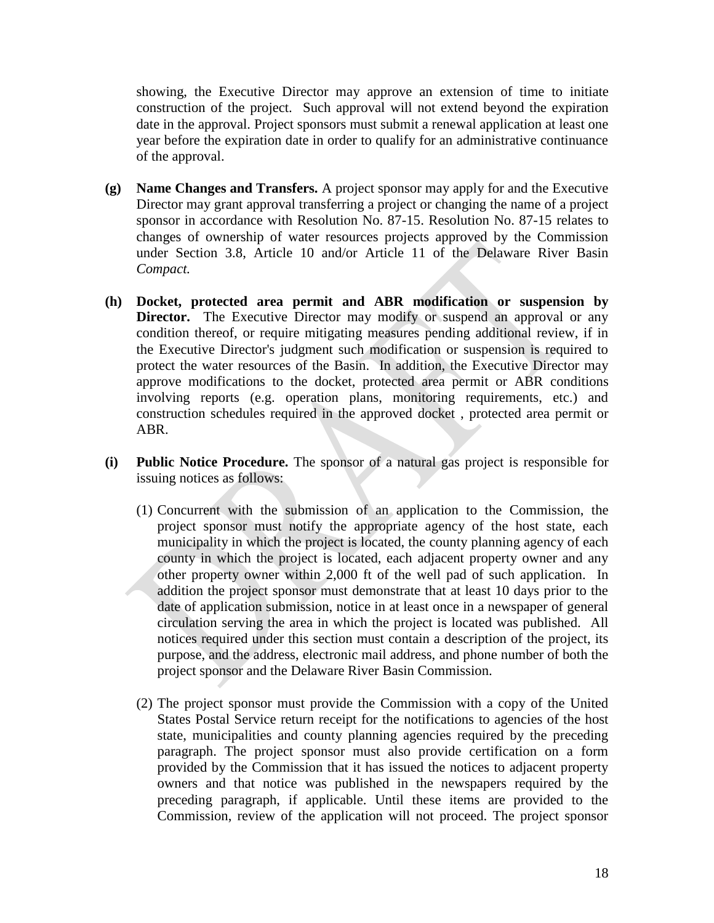showing, the Executive Director may approve an extension of time to initiate construction of the project. Such approval will not extend beyond the expiration date in the approval. Project sponsors must submit a renewal application at least one year before the expiration date in order to qualify for an administrative continuance of the approval.

- **(g) Name Changes and Transfers.** A project sponsor may apply for and the Executive Director may grant approval transferring a project or changing the name of a project sponsor in accordance with Resolution No. 87-15. Resolution No. 87-15 relates to changes of ownership of water resources projects approved by the Commission under Section 3.8, Article 10 and/or Article 11 of the Delaware River Basin *Compact.*
- **(h) Docket, protected area permit and ABR modification or suspension by Director.** The Executive Director may modify or suspend an approval or any condition thereof, or require mitigating measures pending additional review, if in the Executive Director's judgment such modification or suspension is required to protect the water resources of the Basin. In addition, the Executive Director may approve modifications to the docket, protected area permit or ABR conditions involving reports (e.g. operation plans, monitoring requirements, etc.) and construction schedules required in the approved docket , protected area permit or ABR.
- **(i) Public Notice Procedure.** The sponsor of a natural gas project is responsible for issuing notices as follows:
	- (1) Concurrent with the submission of an application to the Commission, the project sponsor must notify the appropriate agency of the host state, each municipality in which the project is located, the county planning agency of each county in which the project is located, each adjacent property owner and any other property owner within 2,000 ft of the well pad of such application. In addition the project sponsor must demonstrate that at least 10 days prior to the date of application submission, notice in at least once in a newspaper of general circulation serving the area in which the project is located was published. All notices required under this section must contain a description of the project, its purpose, and the address, electronic mail address, and phone number of both the project sponsor and the Delaware River Basin Commission.
	- (2) The project sponsor must provide the Commission with a copy of the United States Postal Service return receipt for the notifications to agencies of the host state, municipalities and county planning agencies required by the preceding paragraph. The project sponsor must also provide certification on a form provided by the Commission that it has issued the notices to adjacent property owners and that notice was published in the newspapers required by the preceding paragraph, if applicable. Until these items are provided to the Commission, review of the application will not proceed. The project sponsor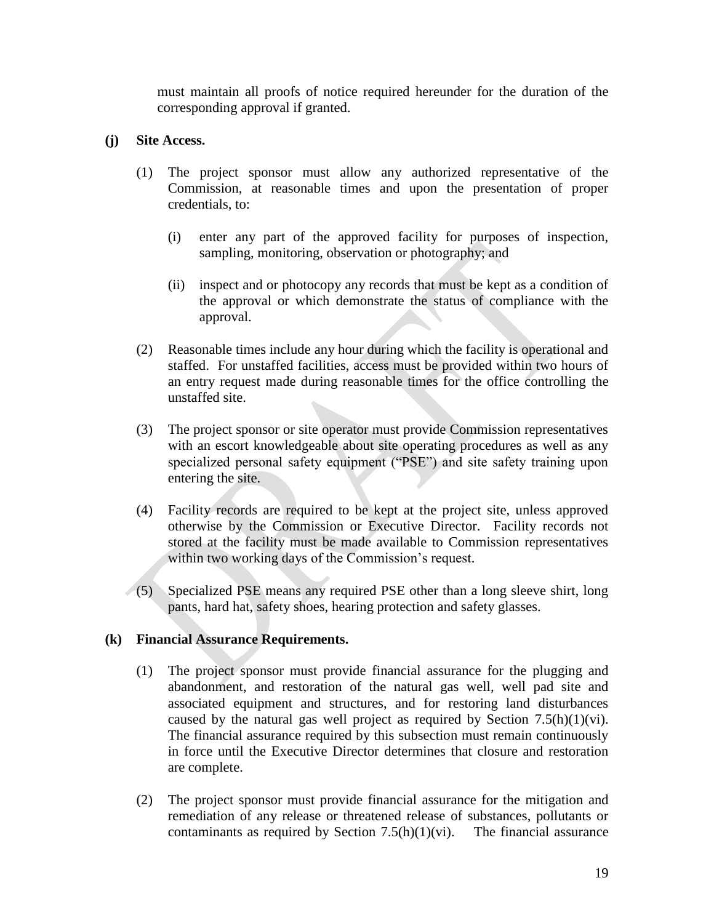must maintain all proofs of notice required hereunder for the duration of the corresponding approval if granted.

#### **(j) Site Access.**

- (1) The project sponsor must allow any authorized representative of the Commission, at reasonable times and upon the presentation of proper credentials, to:
	- (i) enter any part of the approved facility for purposes of inspection, sampling, monitoring, observation or photography; and
	- (ii) inspect and or photocopy any records that must be kept as a condition of the approval or which demonstrate the status of compliance with the approval.
- (2) Reasonable times include any hour during which the facility is operational and staffed. For unstaffed facilities, access must be provided within two hours of an entry request made during reasonable times for the office controlling the unstaffed site.
- (3) The project sponsor or site operator must provide Commission representatives with an escort knowledgeable about site operating procedures as well as any specialized personal safety equipment ("PSE") and site safety training upon entering the site.
- (4) Facility records are required to be kept at the project site, unless approved otherwise by the Commission or Executive Director. Facility records not stored at the facility must be made available to Commission representatives within two working days of the Commission's request.
- (5) Specialized PSE means any required PSE other than a long sleeve shirt, long pants, hard hat, safety shoes, hearing protection and safety glasses.

#### **(k) Financial Assurance Requirements.**

- (1) The project sponsor must provide financial assurance for the plugging and abandonment, and restoration of the natural gas well, well pad site and associated equipment and structures, and for restoring land disturbances caused by the natural gas well project as required by Section  $7.5(h)(1)(vi)$ . The financial assurance required by this subsection must remain continuously in force until the Executive Director determines that closure and restoration are complete.
- (2) The project sponsor must provide financial assurance for the mitigation and remediation of any release or threatened release of substances, pollutants or contaminants as required by Section  $7.5(h)(1)(vi)$ . The financial assurance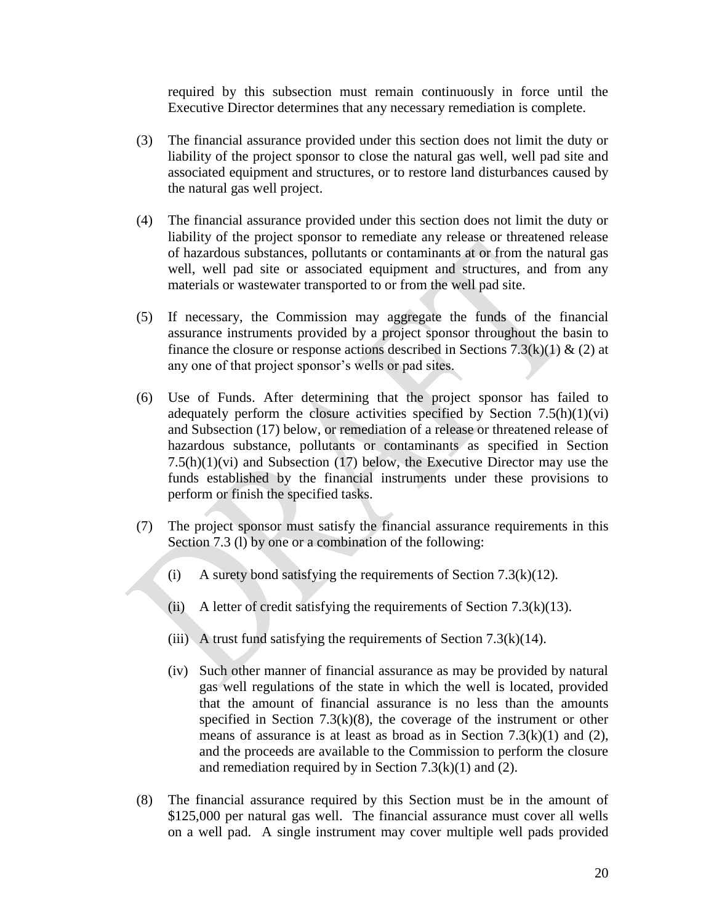required by this subsection must remain continuously in force until the Executive Director determines that any necessary remediation is complete.

- (3) The financial assurance provided under this section does not limit the duty or liability of the project sponsor to close the natural gas well, well pad site and associated equipment and structures, or to restore land disturbances caused by the natural gas well project.
- (4) The financial assurance provided under this section does not limit the duty or liability of the project sponsor to remediate any release or threatened release of hazardous substances, pollutants or contaminants at or from the natural gas well, well pad site or associated equipment and structures, and from any materials or wastewater transported to or from the well pad site.
- (5) If necessary, the Commission may aggregate the funds of the financial assurance instruments provided by a project sponsor throughout the basin to finance the closure or response actions described in Sections 7.3(k)(1) & (2) at any one of that project sponsor's wells or pad sites.
- (6) Use of Funds. After determining that the project sponsor has failed to adequately perform the closure activities specified by Section  $7.5(h)(1)(vi)$ and Subsection (17) below, or remediation of a release or threatened release of hazardous substance, pollutants or contaminants as specified in Section  $7.5(h)(1)(vi)$  and Subsection (17) below, the Executive Director may use the funds established by the financial instruments under these provisions to perform or finish the specified tasks.
- (7) The project sponsor must satisfy the financial assurance requirements in this Section 7.3 (l) by one or a combination of the following:
	- (i) A surety bond satisfying the requirements of Section 7.3(k)(12).
	- (ii) A letter of credit satisfying the requirements of Section 7.3(k)(13).
	- (iii) A trust fund satisfying the requirements of Section 7.3(k)(14).
	- (iv) Such other manner of financial assurance as may be provided by natural gas well regulations of the state in which the well is located, provided that the amount of financial assurance is no less than the amounts specified in Section  $7.3(k)(8)$ , the coverage of the instrument or other means of assurance is at least as broad as in Section  $7.3(k)(1)$  and  $(2)$ , and the proceeds are available to the Commission to perform the closure and remediation required by in Section  $7.3(k)(1)$  and (2).
- (8) The financial assurance required by this Section must be in the amount of \$125,000 per natural gas well. The financial assurance must cover all wells on a well pad. A single instrument may cover multiple well pads provided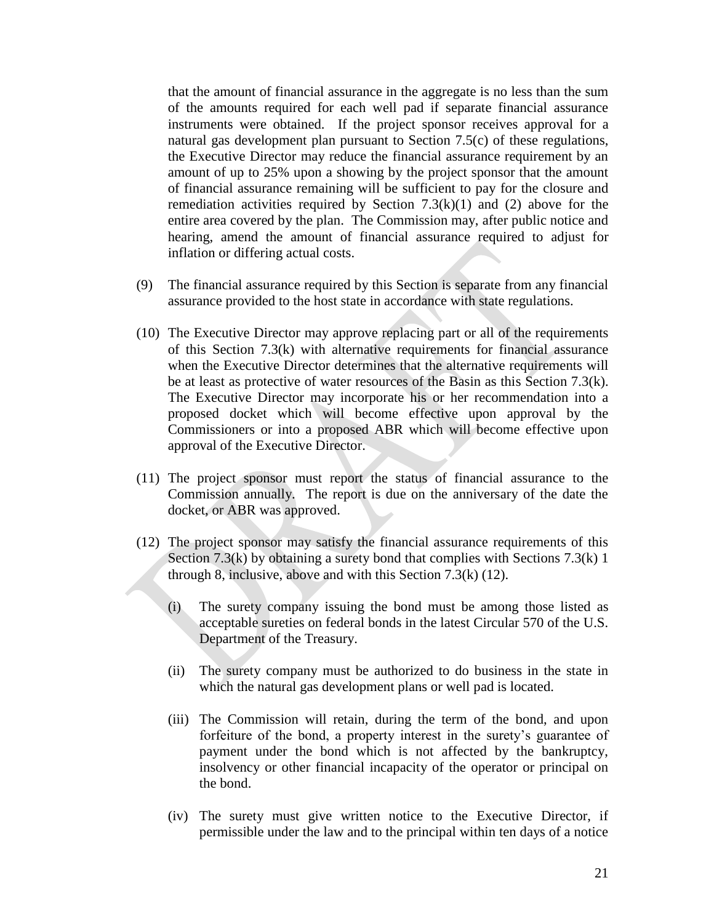that the amount of financial assurance in the aggregate is no less than the sum of the amounts required for each well pad if separate financial assurance instruments were obtained. If the project sponsor receives approval for a natural gas development plan pursuant to Section 7.5(c) of these regulations, the Executive Director may reduce the financial assurance requirement by an amount of up to 25% upon a showing by the project sponsor that the amount of financial assurance remaining will be sufficient to pay for the closure and remediation activities required by Section  $7.3(k)(1)$  and (2) above for the entire area covered by the plan. The Commission may, after public notice and hearing, amend the amount of financial assurance required to adjust for inflation or differing actual costs.

- (9) The financial assurance required by this Section is separate from any financial assurance provided to the host state in accordance with state regulations.
- (10) The Executive Director may approve replacing part or all of the requirements of this Section 7.3(k) with alternative requirements for financial assurance when the Executive Director determines that the alternative requirements will be at least as protective of water resources of the Basin as this Section 7.3(k). The Executive Director may incorporate his or her recommendation into a proposed docket which will become effective upon approval by the Commissioners or into a proposed ABR which will become effective upon approval of the Executive Director.
- (11) The project sponsor must report the status of financial assurance to the Commission annually. The report is due on the anniversary of the date the docket, or ABR was approved.
- (12) The project sponsor may satisfy the financial assurance requirements of this Section 7.3(k) by obtaining a surety bond that complies with Sections 7.3(k) 1 through 8, inclusive, above and with this Section 7.3(k) (12).
	- (i) The surety company issuing the bond must be among those listed as acceptable sureties on federal bonds in the latest Circular 570 of the U.S. Department of the Treasury.
	- (ii) The surety company must be authorized to do business in the state in which the natural gas development plans or well pad is located.
	- (iii) The Commission will retain, during the term of the bond, and upon forfeiture of the bond, a property interest in the surety's guarantee of payment under the bond which is not affected by the bankruptcy, insolvency or other financial incapacity of the operator or principal on the bond.
	- (iv) The surety must give written notice to the Executive Director, if permissible under the law and to the principal within ten days of a notice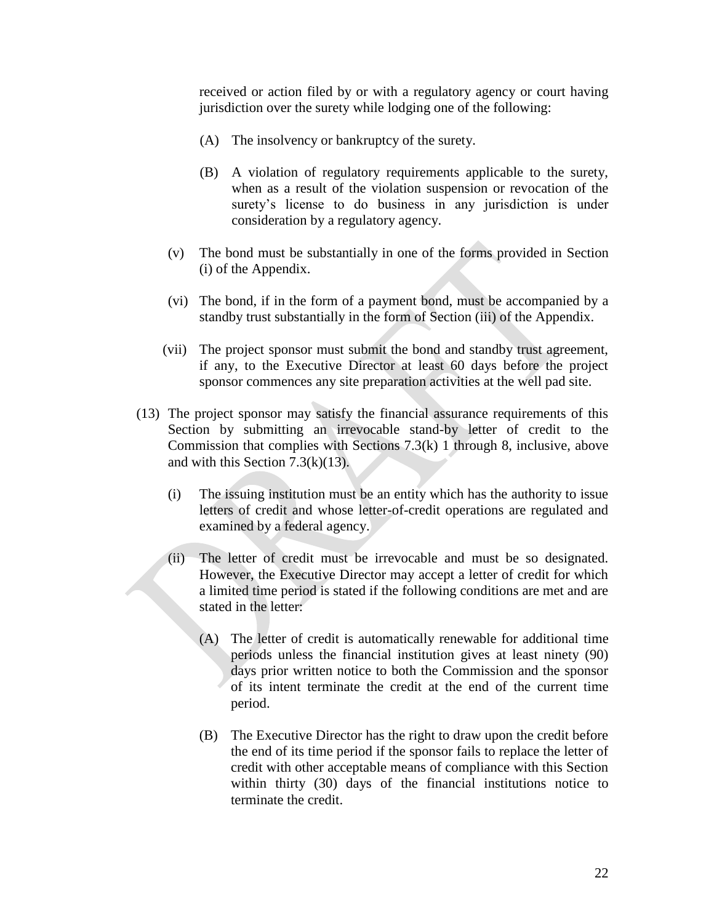received or action filed by or with a regulatory agency or court having jurisdiction over the surety while lodging one of the following:

- (A) The insolvency or bankruptcy of the surety.
- (B) A violation of regulatory requirements applicable to the surety, when as a result of the violation suspension or revocation of the surety's license to do business in any jurisdiction is under consideration by a regulatory agency.
- (v) The bond must be substantially in one of the forms provided in Section (i) of the Appendix.
- (vi) The bond, if in the form of a payment bond, must be accompanied by a standby trust substantially in the form of Section (iii) of the Appendix.
- (vii) The project sponsor must submit the bond and standby trust agreement, if any, to the Executive Director at least 60 days before the project sponsor commences any site preparation activities at the well pad site.
- (13) The project sponsor may satisfy the financial assurance requirements of this Section by submitting an irrevocable stand-by letter of credit to the Commission that complies with Sections 7.3(k) 1 through 8, inclusive, above and with this Section  $7.3(k)(13)$ .
	- (i) The issuing institution must be an entity which has the authority to issue letters of credit and whose letter-of-credit operations are regulated and examined by a federal agency.
	- (ii) The letter of credit must be irrevocable and must be so designated. However, the Executive Director may accept a letter of credit for which a limited time period is stated if the following conditions are met and are stated in the letter:
		- (A) The letter of credit is automatically renewable for additional time periods unless the financial institution gives at least ninety (90) days prior written notice to both the Commission and the sponsor of its intent terminate the credit at the end of the current time period.
		- (B) The Executive Director has the right to draw upon the credit before the end of its time period if the sponsor fails to replace the letter of credit with other acceptable means of compliance with this Section within thirty (30) days of the financial institutions notice to terminate the credit.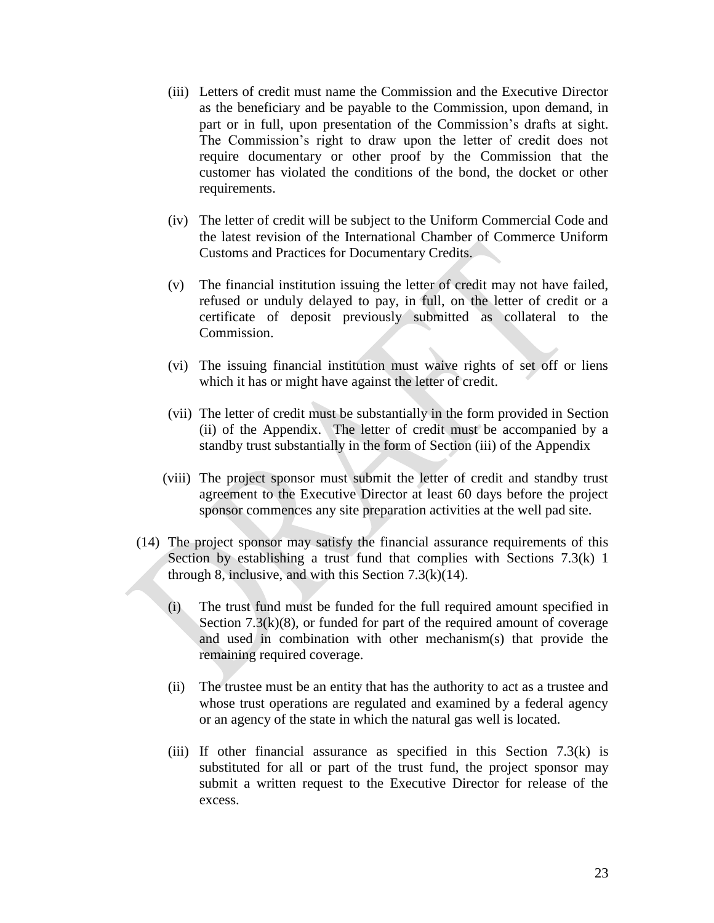- (iii) Letters of credit must name the Commission and the Executive Director as the beneficiary and be payable to the Commission, upon demand, in part or in full, upon presentation of the Commission's drafts at sight. The Commission's right to draw upon the letter of credit does not require documentary or other proof by the Commission that the customer has violated the conditions of the bond, the docket or other requirements.
- (iv) The letter of credit will be subject to the Uniform Commercial Code and the latest revision of the International Chamber of Commerce Uniform Customs and Practices for Documentary Credits.
- (v) The financial institution issuing the letter of credit may not have failed, refused or unduly delayed to pay, in full, on the letter of credit or a certificate of deposit previously submitted as collateral to the Commission.
- (vi) The issuing financial institution must waive rights of set off or liens which it has or might have against the letter of credit.
- (vii) The letter of credit must be substantially in the form provided in Section (ii) of the Appendix. The letter of credit must be accompanied by a standby trust substantially in the form of Section (iii) of the Appendix
- (viii) The project sponsor must submit the letter of credit and standby trust agreement to the Executive Director at least 60 days before the project sponsor commences any site preparation activities at the well pad site.
- (14) The project sponsor may satisfy the financial assurance requirements of this Section by establishing a trust fund that complies with Sections 7.3(k) 1 through 8, inclusive, and with this Section  $7.3(k)(14)$ .
	- (i) The trust fund must be funded for the full required amount specified in Section  $7.3(k)(8)$ , or funded for part of the required amount of coverage and used in combination with other mechanism(s) that provide the remaining required coverage.
	- (ii) The trustee must be an entity that has the authority to act as a trustee and whose trust operations are regulated and examined by a federal agency or an agency of the state in which the natural gas well is located.
	- (iii) If other financial assurance as specified in this Section  $7.3(k)$  is substituted for all or part of the trust fund, the project sponsor may submit a written request to the Executive Director for release of the excess.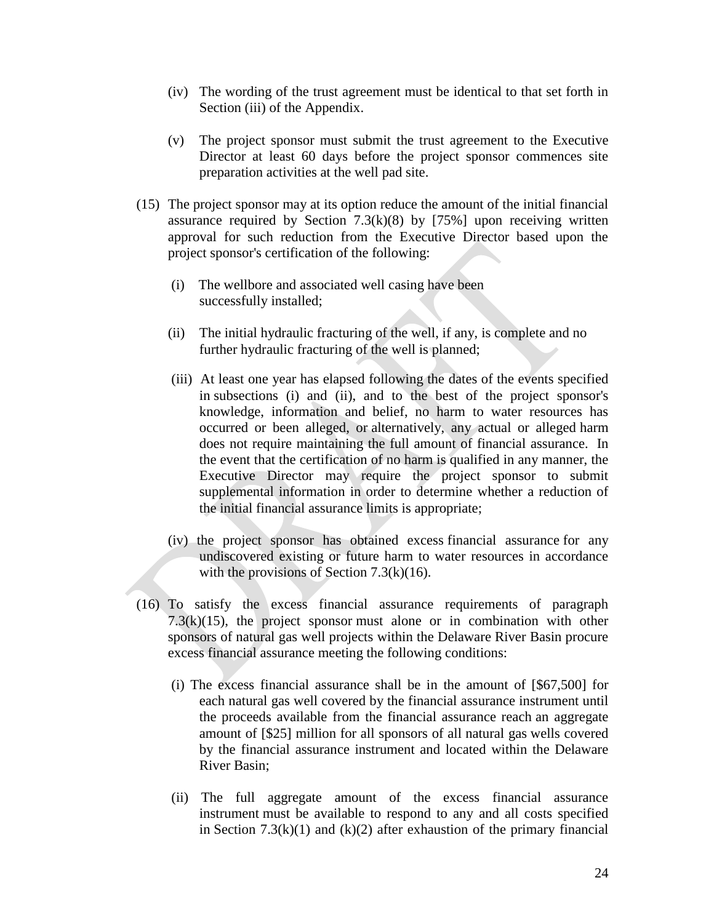- (iv) The wording of the trust agreement must be identical to that set forth in Section (iii) of the Appendix.
- (v) The project sponsor must submit the trust agreement to the Executive Director at least 60 days before the project sponsor commences site preparation activities at the well pad site.
- (15) The project sponsor may at its option reduce the amount of the initial financial assurance required by Section  $7.3(k)(8)$  by [75%] upon receiving written approval for such reduction from the Executive Director based upon the project sponsor's certification of the following:
	- (i) The wellbore and associated well casing have been successfully installed;
	- (ii) The initial hydraulic fracturing of the well, if any, is complete and no further hydraulic fracturing of the well is planned;
	- (iii) At least one year has elapsed following the dates of the events specified in subsections (i) and (ii), and to the best of the project sponsor's knowledge, information and belief, no harm to water resources has occurred or been alleged, or alternatively, any actual or alleged harm does not require maintaining the full amount of financial assurance. In the event that the certification of no harm is qualified in any manner, the Executive Director may require the project sponsor to submit supplemental information in order to determine whether a reduction of the initial financial assurance limits is appropriate;
	- (iv) the project sponsor has obtained excess financial assurance for any undiscovered existing or future harm to water resources in accordance with the provisions of Section  $7.3(k)(16)$ .
- (16) To satisfy the excess financial assurance requirements of paragraph  $7.3(k)(15)$ , the project sponsor must alone or in combination with other sponsors of natural gas well projects within the Delaware River Basin procure excess financial assurance meeting the following conditions:
	- (i) The excess financial assurance shall be in the amount of [\$67,500] for each natural gas well covered by the financial assurance instrument until the proceeds available from the financial assurance reach an aggregate amount of [\$25] million for all sponsors of all natural gas wells covered by the financial assurance instrument and located within the Delaware River Basin;
	- (ii) The full aggregate amount of the excess financial assurance instrument must be available to respond to any and all costs specified in Section  $7.3(k)(1)$  and  $(k)(2)$  after exhaustion of the primary financial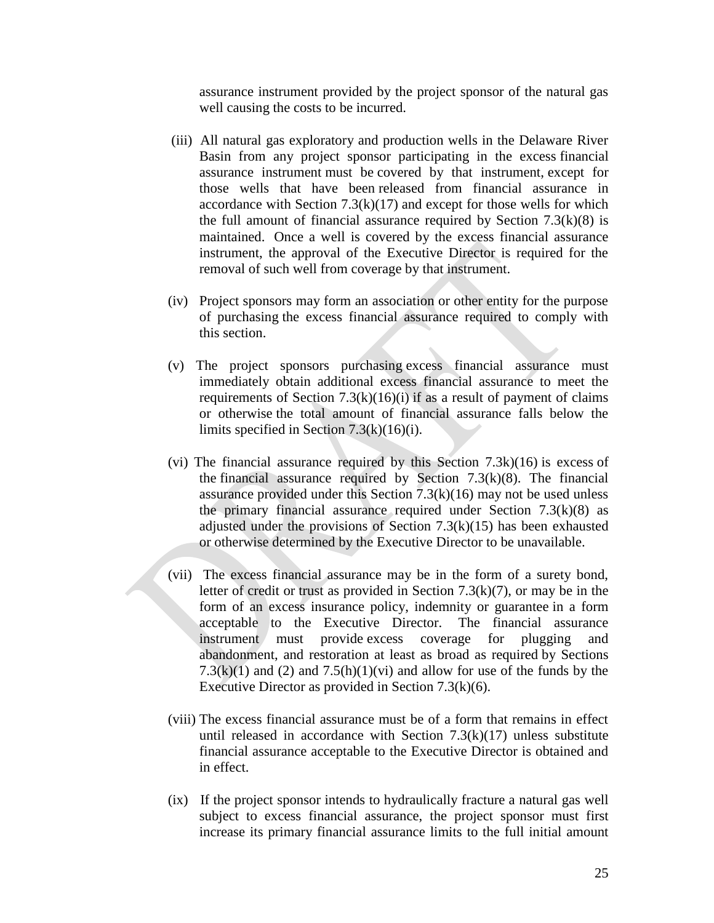assurance instrument provided by the project sponsor of the natural gas well causing the costs to be incurred.

- (iii) All natural gas exploratory and production wells in the Delaware River Basin from any project sponsor participating in the excess financial assurance instrument must be covered by that instrument, except for those wells that have been released from financial assurance in accordance with Section  $7.3(k)(17)$  and except for those wells for which the full amount of financial assurance required by Section  $7.3(k)(8)$  is maintained. Once a well is covered by the excess financial assurance instrument, the approval of the Executive Director is required for the removal of such well from coverage by that instrument.
- (iv) Project sponsors may form an association or other entity for the purpose of purchasing the excess financial assurance required to comply with this section.
- (v) The project sponsors purchasing excess financial assurance must immediately obtain additional excess financial assurance to meet the requirements of Section  $7.3(k)(16)(i)$  if as a result of payment of claims or otherwise the total amount of financial assurance falls below the limits specified in Section 7.3(k)(16)(i).
- (vi) The financial assurance required by this Section 7.3k)(16) is excess of the financial assurance required by Section  $7.3(k)(8)$ . The financial assurance provided under this Section  $7.3(k)(16)$  may not be used unless the primary financial assurance required under Section  $7.3(k)(8)$  as adjusted under the provisions of Section  $7.3(k)(15)$  has been exhausted or otherwise determined by the Executive Director to be unavailable.
- (vii) The excess financial assurance may be in the form of a surety bond, letter of credit or trust as provided in Section 7.3(k)(7), or may be in the form of an excess insurance policy, indemnity or guarantee in a form acceptable to the Executive Director. The financial assurance instrument must provide excess coverage for plugging and abandonment, and restoration at least as broad as required by Sections 7.3(k)(1) and (2) and 7.5(h)(1)(vi) and allow for use of the funds by the Executive Director as provided in Section 7.3(k)(6).
- (viii) The excess financial assurance must be of a form that remains in effect until released in accordance with Section  $7.3(k)(17)$  unless substitute financial assurance acceptable to the Executive Director is obtained and in effect.
- (ix) If the project sponsor intends to hydraulically fracture a natural gas well subject to excess financial assurance, the project sponsor must first increase its primary financial assurance limits to the full initial amount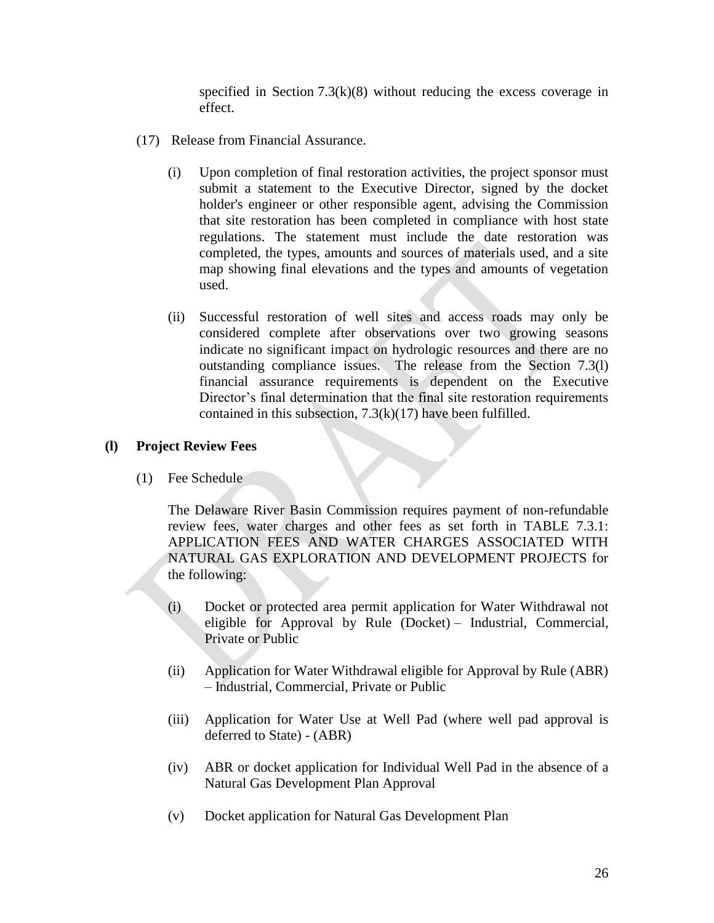specified in Section  $7.3(k)(8)$  without reducing the excess coverage in effect.

- (17) Release from Financial Assurance.
	- (i) Upon completion of final restoration activities, the project sponsor must submit a statement to the Executive Director, signed by the docket holder's engineer or other responsible agent, advising the Commission that site restoration has been completed in compliance with host state regulations. The statement must include the date restoration was completed, the types, amounts and sources of materials used, and a site map showing final elevations and the types and amounts of vegetation used.
	- (ii) Successful restoration of well sites and access roads may only be considered complete after observations over two growing seasons indicate no significant impact on hydrologic resources and there are no outstanding compliance issues. The release from the Section 7.3(l) financial assurance requirements is dependent on the Executive Director's final determination that the final site restoration requirements contained in this subsection, 7.3(k)(17) have been fulfilled.

### **(l) Project Review Fees**

(1) Fee Schedule

The Delaware River Basin Commission requires payment of non-refundable review fees, water charges and other fees as set forth in TABLE 7.3.1: APPLICATION FEES AND WATER CHARGES ASSOCIATED WITH NATURAL GAS EXPLORATION AND DEVELOPMENT PROJECTS for the following:

- (i) Docket or protected area permit application for Water Withdrawal not eligible for Approval by Rule (Docket) – Industrial, Commercial, Private or Public
- (ii) Application for Water Withdrawal eligible for Approval by Rule (ABR) – Industrial, Commercial, Private or Public
- (iii) Application for Water Use at Well Pad (where well pad approval is deferred to State) - (ABR)
- (iv) ABR or docket application for Individual Well Pad in the absence of a Natural Gas Development Plan Approval
- (v) Docket application for Natural Gas Development Plan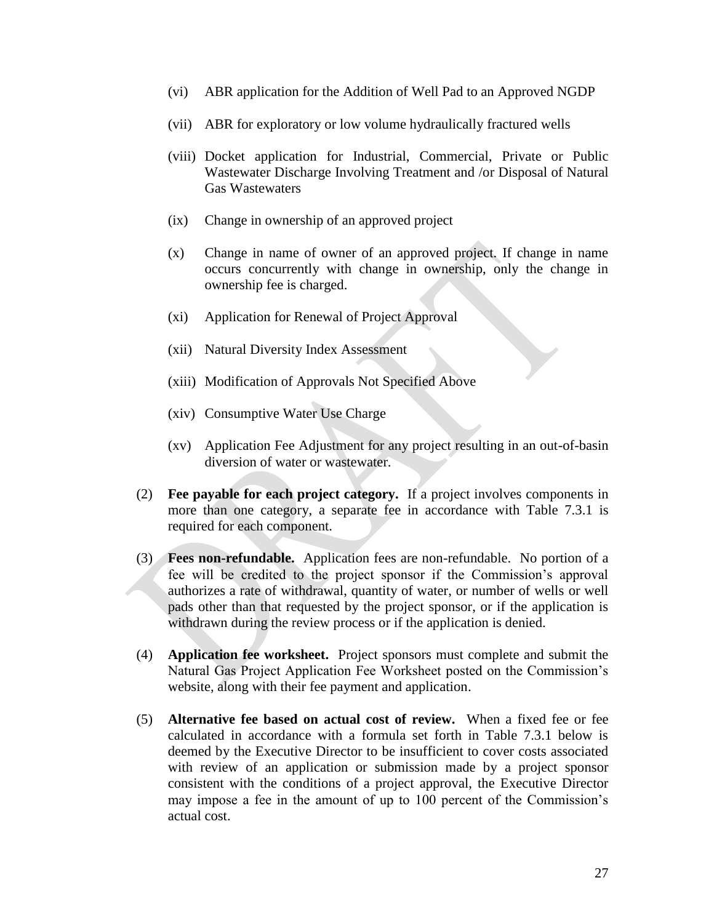- (vi) ABR application for the Addition of Well Pad to an Approved NGDP
- (vii) ABR for exploratory or low volume hydraulically fractured wells
- (viii) Docket application for Industrial, Commercial, Private or Public Wastewater Discharge Involving Treatment and /or Disposal of Natural Gas Wastewaters
- (ix) Change in ownership of an approved project
- (x) Change in name of owner of an approved project. If change in name occurs concurrently with change in ownership, only the change in ownership fee is charged.
- (xi) Application for Renewal of Project Approval
- (xii) Natural Diversity Index Assessment
- (xiii) Modification of Approvals Not Specified Above
- (xiv) Consumptive Water Use Charge
- (xv) Application Fee Adjustment for any project resulting in an out-of-basin diversion of water or wastewater.
- (2) **Fee payable for each project category.** If a project involves components in more than one category, a separate fee in accordance with Table 7.3.1 is required for each component.
- (3) **Fees non-refundable.** Application fees are non-refundable. No portion of a fee will be credited to the project sponsor if the Commission's approval authorizes a rate of withdrawal, quantity of water, or number of wells or well pads other than that requested by the project sponsor, or if the application is withdrawn during the review process or if the application is denied.
- (4) **Application fee worksheet.** Project sponsors must complete and submit the Natural Gas Project Application Fee Worksheet posted on the Commission's website, along with their fee payment and application.
- (5) **Alternative fee based on actual cost of review.** When a fixed fee or fee calculated in accordance with a formula set forth in Table 7.3.1 below is deemed by the Executive Director to be insufficient to cover costs associated with review of an application or submission made by a project sponsor consistent with the conditions of a project approval, the Executive Director may impose a fee in the amount of up to 100 percent of the Commission's actual cost.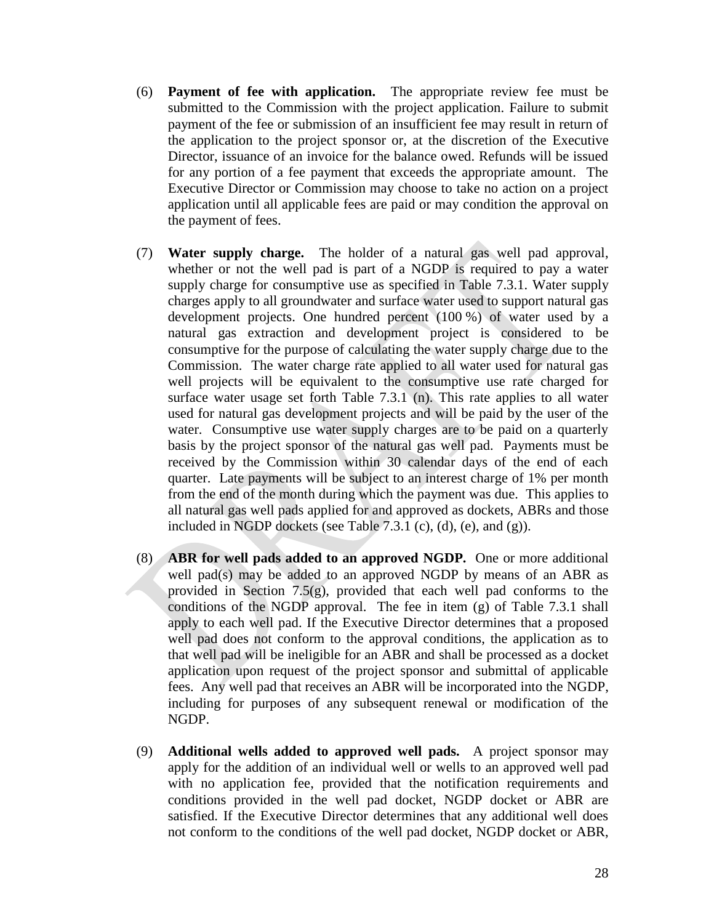- (6) **Payment of fee with application.** The appropriate review fee must be submitted to the Commission with the project application. Failure to submit payment of the fee or submission of an insufficient fee may result in return of the application to the project sponsor or, at the discretion of the Executive Director, issuance of an invoice for the balance owed. Refunds will be issued for any portion of a fee payment that exceeds the appropriate amount. The Executive Director or Commission may choose to take no action on a project application until all applicable fees are paid or may condition the approval on the payment of fees.
- (7) **Water supply charge.** The holder of a natural gas well pad approval, whether or not the well pad is part of a NGDP is required to pay a water supply charge for consumptive use as specified in Table 7.3.1. Water supply charges apply to all groundwater and surface water used to support natural gas development projects. One hundred percent (100 %) of water used by a natural gas extraction and development project is considered to be consumptive for the purpose of calculating the water supply charge due to the Commission. The water charge rate applied to all water used for natural gas well projects will be equivalent to the consumptive use rate charged for surface water usage set forth Table 7.3.1 (n). This rate applies to all water used for natural gas development projects and will be paid by the user of the water. Consumptive use water supply charges are to be paid on a quarterly basis by the project sponsor of the natural gas well pad. Payments must be received by the Commission within 30 calendar days of the end of each quarter. Late payments will be subject to an interest charge of 1% per month from the end of the month during which the payment was due. This applies to all natural gas well pads applied for and approved as dockets, ABRs and those included in NGDP dockets (see Table 7.3.1 (c), (d), (e), and (g)).
- (8) **ABR for well pads added to an approved NGDP.** One or more additional well pad(s) may be added to an approved NGDP by means of an ABR as provided in Section 7.5(g), provided that each well pad conforms to the conditions of the NGDP approval. The fee in item (g) of Table 7.3.1 shall apply to each well pad. If the Executive Director determines that a proposed well pad does not conform to the approval conditions, the application as to that well pad will be ineligible for an ABR and shall be processed as a docket application upon request of the project sponsor and submittal of applicable fees. Any well pad that receives an ABR will be incorporated into the NGDP, including for purposes of any subsequent renewal or modification of the NGDP.
- (9) **Additional wells added to approved well pads.** A project sponsor may apply for the addition of an individual well or wells to an approved well pad with no application fee, provided that the notification requirements and conditions provided in the well pad docket, NGDP docket or ABR are satisfied. If the Executive Director determines that any additional well does not conform to the conditions of the well pad docket, NGDP docket or ABR,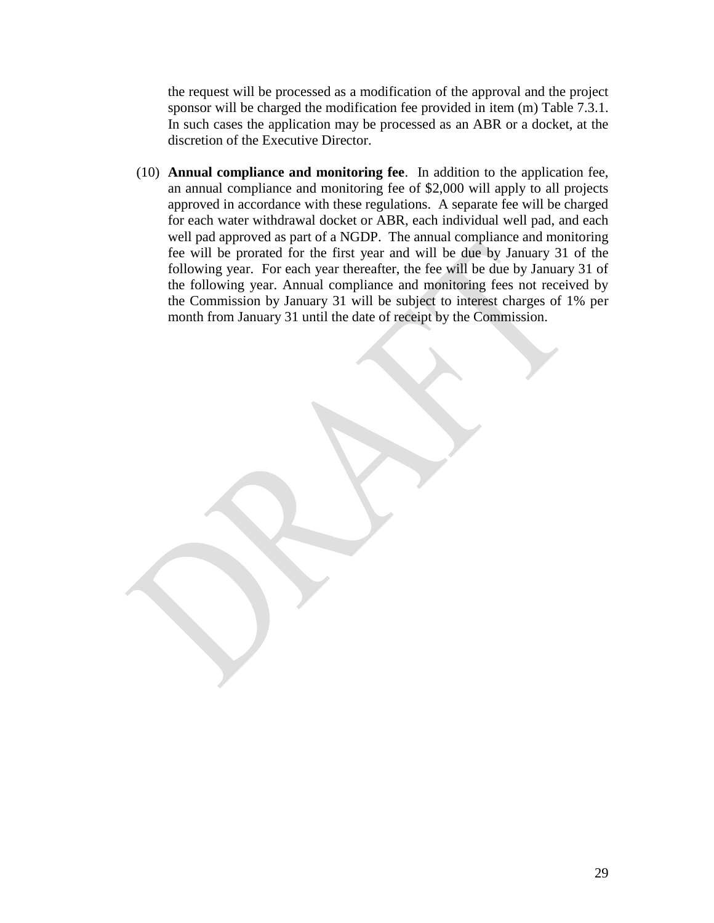the request will be processed as a modification of the approval and the project sponsor will be charged the modification fee provided in item (m) Table 7.3.1. In such cases the application may be processed as an ABR or a docket, at the discretion of the Executive Director.

(10) **Annual compliance and monitoring fee**. In addition to the application fee, an annual compliance and monitoring fee of \$2,000 will apply to all projects approved in accordance with these regulations. A separate fee will be charged for each water withdrawal docket or ABR, each individual well pad, and each well pad approved as part of a NGDP. The annual compliance and monitoring fee will be prorated for the first year and will be due by January 31 of the following year. For each year thereafter, the fee will be due by January 31 of the following year. Annual compliance and monitoring fees not received by the Commission by January 31 will be subject to interest charges of 1% per month from January 31 until the date of receipt by the Commission.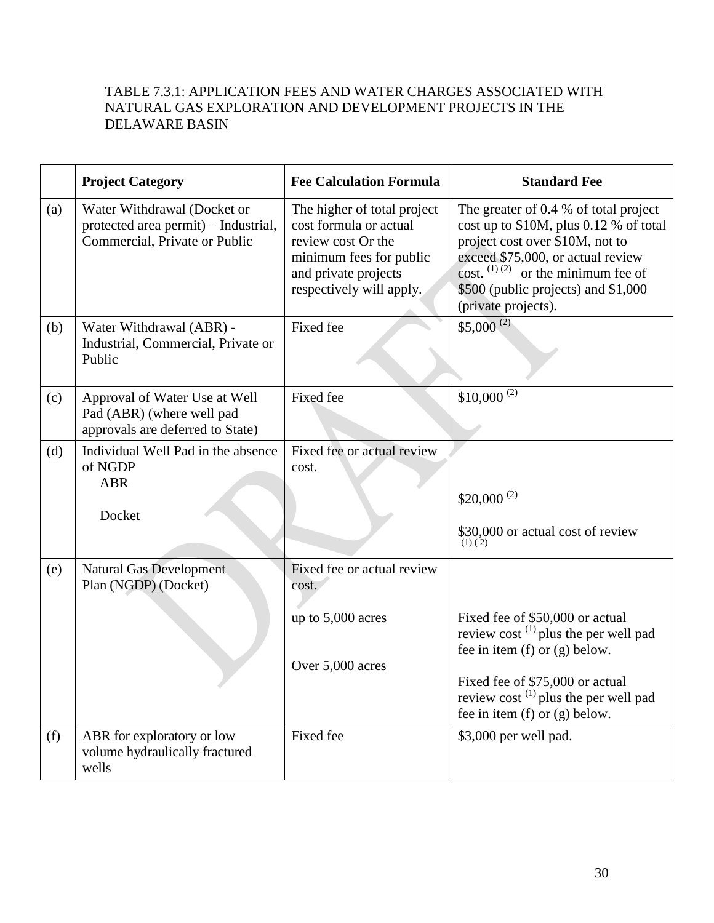# TABLE 7.3.1: APPLICATION FEES AND WATER CHARGES ASSOCIATED WITH NATURAL GAS EXPLORATION AND DEVELOPMENT PROJECTS IN THE DELAWARE BASIN

|     | <b>Project Category</b>                                                                              | <b>Fee Calculation Formula</b>                                                                                                                             | <b>Standard Fee</b>                                                                                                                                                                                                                                              |
|-----|------------------------------------------------------------------------------------------------------|------------------------------------------------------------------------------------------------------------------------------------------------------------|------------------------------------------------------------------------------------------------------------------------------------------------------------------------------------------------------------------------------------------------------------------|
| (a) | Water Withdrawal (Docket or<br>protected area permit) - Industrial,<br>Commercial, Private or Public | The higher of total project<br>cost formula or actual<br>review cost Or the<br>minimum fees for public<br>and private projects<br>respectively will apply. | The greater of 0.4 % of total project<br>cost up to \$10M, plus 0.12 % of total<br>project cost over \$10M, not to<br>exceed \$75,000, or actual review<br>cost. $^{(1)(2)}$ or the minimum fee of<br>\$500 (public projects) and \$1,000<br>(private projects). |
| (b) | Water Withdrawal (ABR) -<br>Industrial, Commercial, Private or<br>Public                             | Fixed fee                                                                                                                                                  | $$5,000^{(2)}$                                                                                                                                                                                                                                                   |
| (c) | Approval of Water Use at Well<br>Pad (ABR) (where well pad<br>approvals are deferred to State)       | Fixed fee                                                                                                                                                  | $$10,000^{(2)}$                                                                                                                                                                                                                                                  |
| (d) | Individual Well Pad in the absence<br>of NGDP<br><b>ABR</b><br>Docket                                | Fixed fee or actual review<br>cost.                                                                                                                        | $$20,000^{(2)}$<br>\$30,000 or actual cost of review<br>(1)(2)                                                                                                                                                                                                   |
| (e) | <b>Natural Gas Development</b><br>Plan (NGDP) (Docket)                                               | Fixed fee or actual review<br>cost.<br>up to 5,000 acres<br>Over 5,000 acres                                                                               | Fixed fee of \$50,000 or actual<br>review cost $^{(1)}$ plus the per well pad<br>fee in item $(f)$ or $(g)$ below.<br>Fixed fee of \$75,000 or actual<br>review cost $^{(1)}$ plus the per well pad<br>fee in item $(f)$ or $(g)$ below.                         |
| (f) | ABR for exploratory or low<br>volume hydraulically fractured<br>wells                                | Fixed fee                                                                                                                                                  | \$3,000 per well pad.                                                                                                                                                                                                                                            |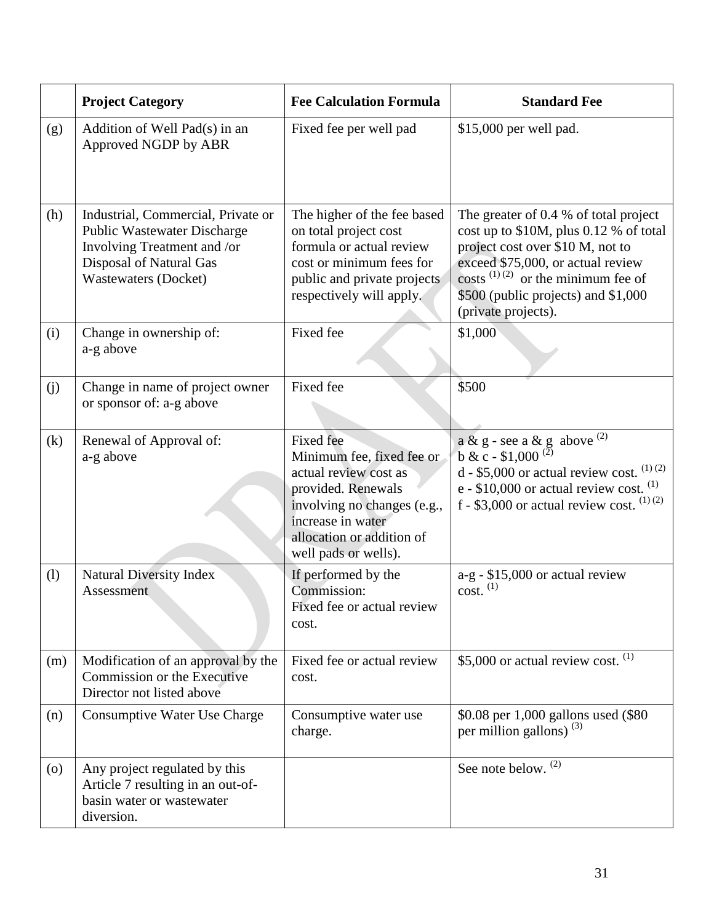|                    | <b>Project Category</b>                                                                                                                                           | <b>Fee Calculation Formula</b>                                                                                                                                                                        | <b>Standard Fee</b>                                                                                                                                                                                                                                                 |
|--------------------|-------------------------------------------------------------------------------------------------------------------------------------------------------------------|-------------------------------------------------------------------------------------------------------------------------------------------------------------------------------------------------------|---------------------------------------------------------------------------------------------------------------------------------------------------------------------------------------------------------------------------------------------------------------------|
| (g)                | Addition of Well Pad(s) in an<br>Approved NGDP by ABR                                                                                                             | Fixed fee per well pad                                                                                                                                                                                | \$15,000 per well pad.                                                                                                                                                                                                                                              |
| (h)                | Industrial, Commercial, Private or<br><b>Public Wastewater Discharge</b><br>Involving Treatment and /or<br>Disposal of Natural Gas<br><b>Wastewaters (Docket)</b> | The higher of the fee based<br>on total project cost<br>formula or actual review<br>cost or minimum fees for<br>public and private projects<br>respectively will apply.                               | The greater of 0.4 % of total project<br>cost up to $$10M$ , plus 0.12 % of total<br>project cost over \$10 M, not to<br>exceed \$75,000, or actual review<br>costs $^{(1)(2)}$ or the minimum fee of<br>\$500 (public projects) and \$1,000<br>(private projects). |
| (i)                | Change in ownership of:<br>a-g above                                                                                                                              | Fixed fee                                                                                                                                                                                             | \$1,000                                                                                                                                                                                                                                                             |
| (j)                | Change in name of project owner<br>or sponsor of: a-g above                                                                                                       | Fixed fee                                                                                                                                                                                             | \$500                                                                                                                                                                                                                                                               |
| (k)                | Renewal of Approval of:<br>a-g above                                                                                                                              | <b>Fixed</b> fee<br>Minimum fee, fixed fee or<br>actual review cost as<br>provided. Renewals<br>involving no changes (e.g.,<br>increase in water<br>allocation or addition of<br>well pads or wells). | a & g - see a & g above <sup>(2)</sup><br>b & c - \$1,000 <sup>(2)</sup><br>d - \$5,000 or actual review cost. $(1)(2)$<br>e - $$10,000$ or actual review cost. $^{(1)}$<br>f - \$3,000 or actual review cost. $(1)(2)$                                             |
| (1)                | <b>Natural Diversity Index</b><br>Assessment                                                                                                                      | If performed by the<br>Commission:<br>Fixed fee or actual review<br>cost.                                                                                                                             | $a-g - $15,000$ or actual review<br>$cost.$ <sup>(1)</sup>                                                                                                                                                                                                          |
| (m)                | Modification of an approval by the<br>Commission or the Executive<br>Director not listed above                                                                    | Fixed fee or actual review<br>cost.                                                                                                                                                                   | \$5,000 or actual review cost. $^{(1)}$                                                                                                                                                                                                                             |
| (n)                | Consumptive Water Use Charge                                                                                                                                      | Consumptive water use<br>charge.                                                                                                                                                                      | \$0.08 per 1,000 gallons used (\$80<br>per million gallons) $(3)$                                                                                                                                                                                                   |
| $\left( 0 \right)$ | Any project regulated by this<br>Article 7 resulting in an out-of-<br>basin water or wastewater<br>diversion.                                                     |                                                                                                                                                                                                       | See note below. <sup>(2)</sup>                                                                                                                                                                                                                                      |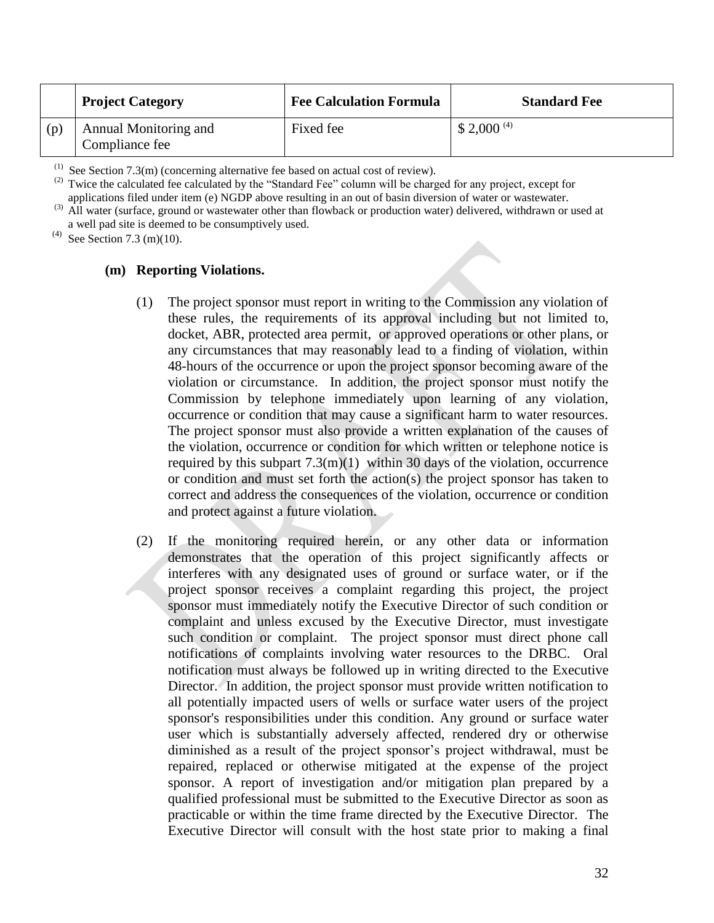|     | <b>Project Category</b>                 | <b>Fee Calculation Formula</b> | <b>Standard Fee</b>     |
|-----|-----------------------------------------|--------------------------------|-------------------------|
| (p) | Annual Monitoring and<br>Compliance fee | Fixed fee                      | $$2,000$ <sup>(4)</sup> |

 $(1)$  See Section 7.3(m) (concerning alternative fee based on actual cost of review).

Twice the calculated fee calculated by the "Standard Fee" column will be charged for any project, except for applications filed under item (e) NGDP above resulting in an out of basin diversion of water or wastewater.

<sup>(3)</sup> All water (surface, ground or wastewater other than flowback or production water) delivered, withdrawn or used at a well pad site is deemed to be consumptively used.

<sup>(4)</sup> See Section 7.3 (m)(10).

#### **(m) Reporting Violations.**

- (1) The project sponsor must report in writing to the Commission any violation of these rules, the requirements of its approval including but not limited to, docket, ABR, protected area permit, or approved operations or other plans, or any circumstances that may reasonably lead to a finding of violation, within 48-hours of the occurrence or upon the project sponsor becoming aware of the violation or circumstance. In addition, the project sponsor must notify the Commission by telephone immediately upon learning of any violation, occurrence or condition that may cause a significant harm to water resources. The project sponsor must also provide a written explanation of the causes of the violation, occurrence or condition for which written or telephone notice is required by this subpart  $7.3(m)(1)$  within 30 days of the violation, occurrence or condition and must set forth the action(s) the project sponsor has taken to correct and address the consequences of the violation, occurrence or condition and protect against a future violation.
- (2) If the monitoring required herein, or any other data or information demonstrates that the operation of this project significantly affects or interferes with any designated uses of ground or surface water, or if the project sponsor receives a complaint regarding this project, the project sponsor must immediately notify the Executive Director of such condition or complaint and unless excused by the Executive Director, must investigate such condition or complaint. The project sponsor must direct phone call notifications of complaints involving water resources to the DRBC. Oral notification must always be followed up in writing directed to the Executive Director. In addition, the project sponsor must provide written notification to all potentially impacted users of wells or surface water users of the project sponsor's responsibilities under this condition. Any ground or surface water user which is substantially adversely affected, rendered dry or otherwise diminished as a result of the project sponsor's project withdrawal, must be repaired, replaced or otherwise mitigated at the expense of the project sponsor. A report of investigation and/or mitigation plan prepared by a qualified professional must be submitted to the Executive Director as soon as practicable or within the time frame directed by the Executive Director. The Executive Director will consult with the host state prior to making a final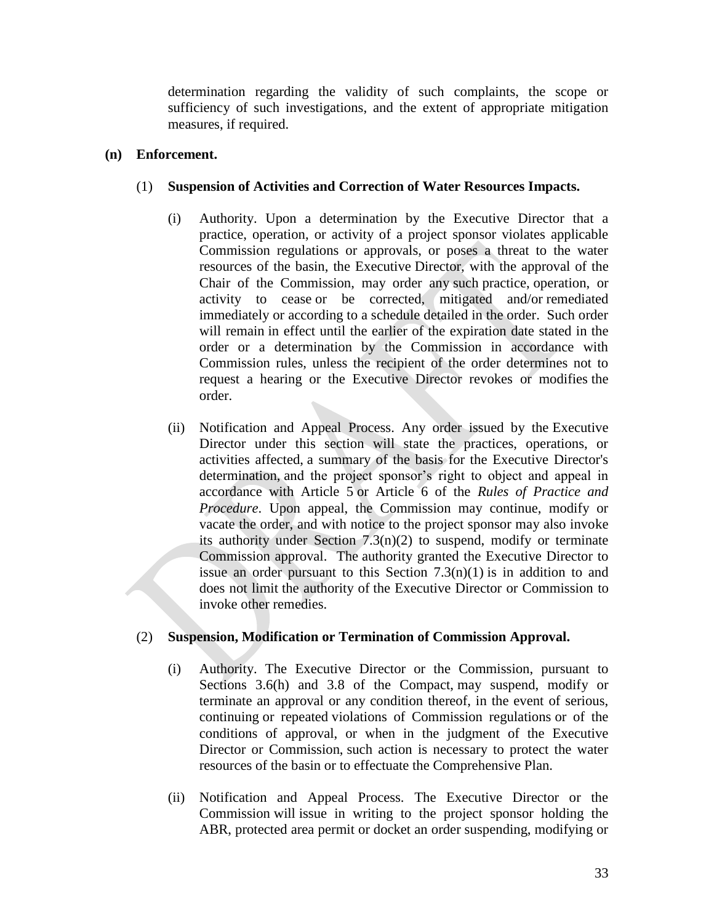determination regarding the validity of such complaints, the scope or sufficiency of such investigations, and the extent of appropriate mitigation measures, if required.

## **(n) Enforcement.**

## (1) **Suspension of Activities and Correction of Water Resources Impacts.**

- (i) Authority. Upon a determination by the Executive Director that a practice, operation, or activity of a project sponsor violates applicable Commission regulations or approvals, or poses a threat to the water resources of the basin, the Executive Director, with the approval of the Chair of the Commission, may order any such practice, operation, or activity to cease or be corrected, mitigated and/or remediated immediately or according to a schedule detailed in the order. Such order will remain in effect until the earlier of the expiration date stated in the order or a determination by the Commission in accordance with Commission rules, unless the recipient of the order determines not to request a hearing or the Executive Director revokes or modifies the order.
- (ii) Notification and Appeal Process. Any order issued by the Executive Director under this section will state the practices, operations, or activities affected, a summary of the basis for the Executive Director's determination, and the project sponsor's right to object and appeal in accordance with Article 5 or Article 6 of the *Rules of Practice and Procedure*. Upon appeal, the Commission may continue, modify or vacate the order, and with notice to the project sponsor may also invoke its authority under Section 7.3(n)(2) to suspend, modify or terminate Commission approval. The authority granted the Executive Director to issue an order pursuant to this Section  $7.3(n)(1)$  is in addition to and does not limit the authority of the Executive Director or Commission to invoke other remedies.

## (2) **Suspension, Modification or Termination of Commission Approval.**

- (i) Authority. The Executive Director or the Commission, pursuant to Sections 3.6(h) and 3.8 of the Compact, may suspend, modify or terminate an approval or any condition thereof, in the event of serious, continuing or repeated violations of Commission regulations or of the conditions of approval, or when in the judgment of the Executive Director or Commission, such action is necessary to protect the water resources of the basin or to effectuate the Comprehensive Plan.
- (ii) Notification and Appeal Process. The Executive Director or the Commission will issue in writing to the project sponsor holding the ABR, protected area permit or docket an order suspending, modifying or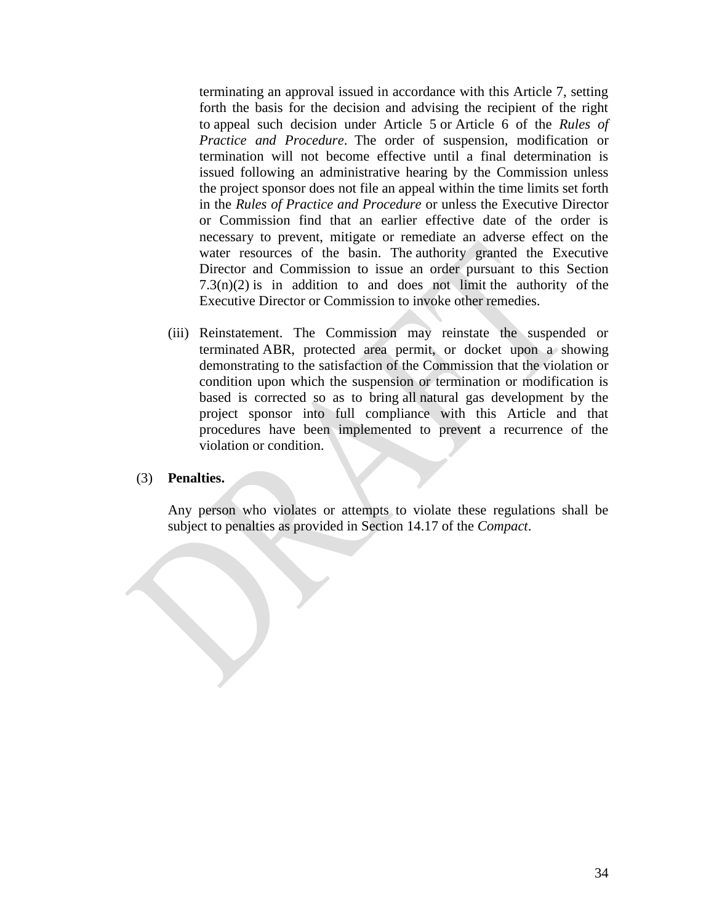terminating an approval issued in accordance with this Article 7, setting forth the basis for the decision and advising the recipient of the right to appeal such decision under Article 5 or Article 6 of the *Rules of Practice and Procedure*. The order of suspension, modification or termination will not become effective until a final determination is issued following an administrative hearing by the Commission unless the project sponsor does not file an appeal within the time limits set forth in the *Rules of Practice and Procedure* or unless the Executive Director or Commission find that an earlier effective date of the order is necessary to prevent, mitigate or remediate an adverse effect on the water resources of the basin. The authority granted the Executive Director and Commission to issue an order pursuant to this Section  $7.3(n)(2)$  is in addition to and does not limit the authority of the Executive Director or Commission to invoke other remedies.

(iii) Reinstatement. The Commission may reinstate the suspended or terminated ABR, protected area permit, or docket upon a showing demonstrating to the satisfaction of the Commission that the violation or condition upon which the suspension or termination or modification is based is corrected so as to bring all natural gas development by the project sponsor into full compliance with this Article and that procedures have been implemented to prevent a recurrence of the violation or condition.

#### (3) **Penalties.**

Any person who violates or attempts to violate these regulations shall be subject to penalties as provided in Section 14.17 of the *Compact*.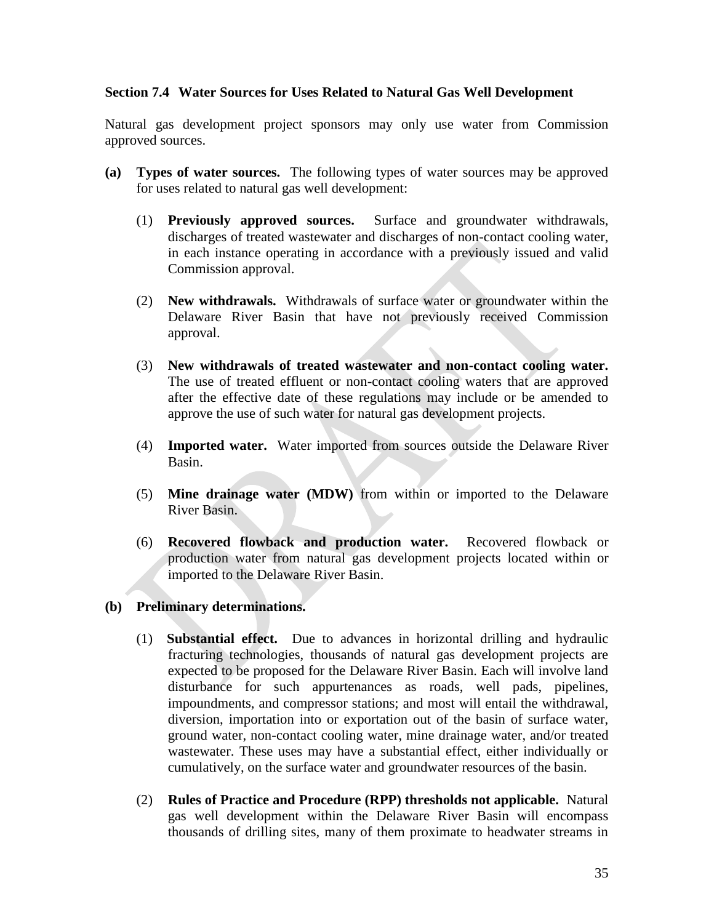#### **Section 7.4 Water Sources for Uses Related to Natural Gas Well Development**

Natural gas development project sponsors may only use water from Commission approved sources.

- **(a) Types of water sources.** The following types of water sources may be approved for uses related to natural gas well development:
	- (1) **Previously approved sources.** Surface and groundwater withdrawals, discharges of treated wastewater and discharges of non-contact cooling water, in each instance operating in accordance with a previously issued and valid Commission approval.
	- (2) **New withdrawals.** Withdrawals of surface water or groundwater within the Delaware River Basin that have not previously received Commission approval.
	- (3) **New withdrawals of treated wastewater and non-contact cooling water.**  The use of treated effluent or non-contact cooling waters that are approved after the effective date of these regulations may include or be amended to approve the use of such water for natural gas development projects.
	- (4) **Imported water.** Water imported from sources outside the Delaware River Basin.
	- (5) **Mine drainage water (MDW)** from within or imported to the Delaware River Basin.
	- (6) **Recovered flowback and production water.** Recovered flowback or production water from natural gas development projects located within or imported to the Delaware River Basin.

#### **(b) Preliminary determinations.**

- (1) **Substantial effect.** Due to advances in horizontal drilling and hydraulic fracturing technologies, thousands of natural gas development projects are expected to be proposed for the Delaware River Basin. Each will involve land disturbance for such appurtenances as roads, well pads, pipelines, impoundments, and compressor stations; and most will entail the withdrawal, diversion, importation into or exportation out of the basin of surface water, ground water, non-contact cooling water, mine drainage water, and/or treated wastewater. These uses may have a substantial effect, either individually or cumulatively, on the surface water and groundwater resources of the basin.
- (2) **Rules of Practice and Procedure (RPP) thresholds not applicable.** Natural gas well development within the Delaware River Basin will encompass thousands of drilling sites, many of them proximate to headwater streams in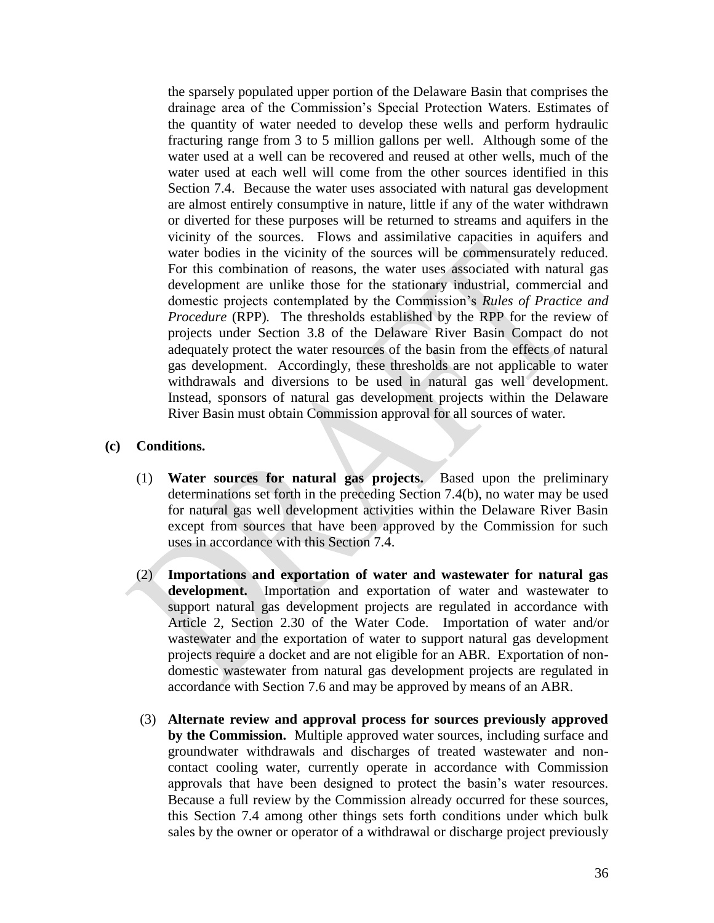the sparsely populated upper portion of the Delaware Basin that comprises the drainage area of the Commission's Special Protection Waters. Estimates of the quantity of water needed to develop these wells and perform hydraulic fracturing range from 3 to 5 million gallons per well. Although some of the water used at a well can be recovered and reused at other wells, much of the water used at each well will come from the other sources identified in this Section 7.4. Because the water uses associated with natural gas development are almost entirely consumptive in nature, little if any of the water withdrawn or diverted for these purposes will be returned to streams and aquifers in the vicinity of the sources. Flows and assimilative capacities in aquifers and water bodies in the vicinity of the sources will be commensurately reduced. For this combination of reasons, the water uses associated with natural gas development are unlike those for the stationary industrial, commercial and domestic projects contemplated by the Commission's *Rules of Practice and Procedure* (RPP)*.* The thresholds established by the RPP for the review of projects under Section 3.8 of the Delaware River Basin Compact do not adequately protect the water resources of the basin from the effects of natural gas development. Accordingly, these thresholds are not applicable to water withdrawals and diversions to be used in natural gas well development. Instead, sponsors of natural gas development projects within the Delaware River Basin must obtain Commission approval for all sources of water.

#### **(c) Conditions.**

- (1) **Water sources for natural gas projects.** Based upon the preliminary determinations set forth in the preceding Section 7.4(b), no water may be used for natural gas well development activities within the Delaware River Basin except from sources that have been approved by the Commission for such uses in accordance with this Section 7.4.
- (2) **Importations and exportation of water and wastewater for natural gas development.** Importation and exportation of water and wastewater to support natural gas development projects are regulated in accordance with Article 2, Section 2.30 of the Water Code. Importation of water and/or wastewater and the exportation of water to support natural gas development projects require a docket and are not eligible for an ABR. Exportation of nondomestic wastewater from natural gas development projects are regulated in accordance with Section 7.6 and may be approved by means of an ABR.
- (3) **Alternate review and approval process for sources previously approved by the Commission.** Multiple approved water sources, including surface and groundwater withdrawals and discharges of treated wastewater and noncontact cooling water, currently operate in accordance with Commission approvals that have been designed to protect the basin's water resources. Because a full review by the Commission already occurred for these sources, this Section 7.4 among other things sets forth conditions under which bulk sales by the owner or operator of a withdrawal or discharge project previously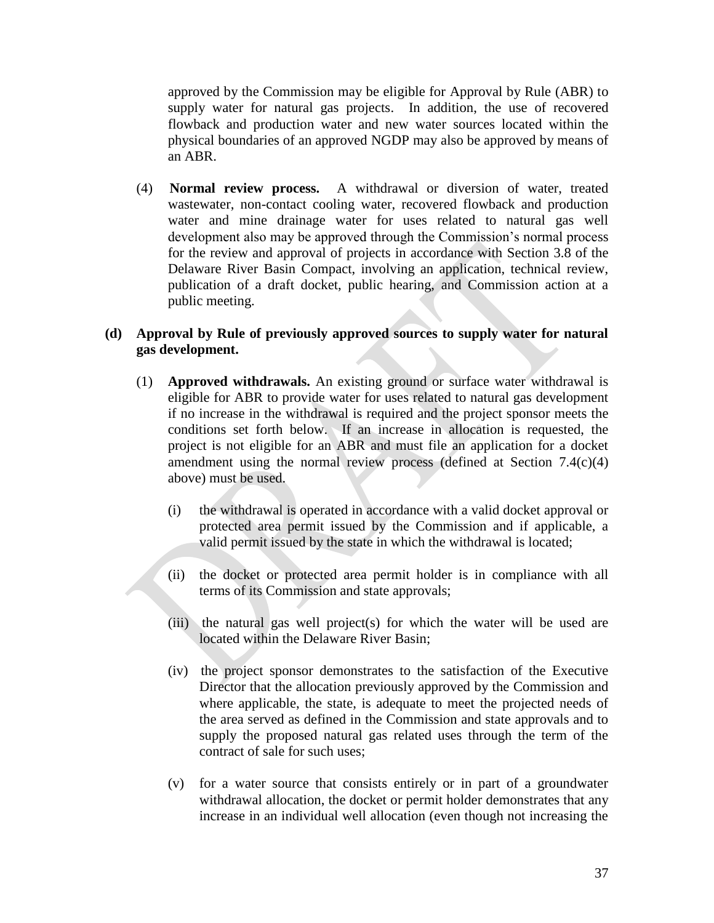approved by the Commission may be eligible for Approval by Rule (ABR) to supply water for natural gas projects. In addition, the use of recovered flowback and production water and new water sources located within the physical boundaries of an approved NGDP may also be approved by means of an ABR.

(4) **Normal review process.** A withdrawal or diversion of water, treated wastewater, non-contact cooling water, recovered flowback and production water and mine drainage water for uses related to natural gas well development also may be approved through the Commission's normal process for the review and approval of projects in accordance with Section 3.8 of the Delaware River Basin Compact, involving an application, technical review, publication of a draft docket, public hearing, and Commission action at a public meeting.

## **(d) Approval by Rule of previously approved sources to supply water for natural gas development.**

- (1) **Approved withdrawals.** An existing ground or surface water withdrawal is eligible for ABR to provide water for uses related to natural gas development if no increase in the withdrawal is required and the project sponsor meets the conditions set forth below. If an increase in allocation is requested, the project is not eligible for an ABR and must file an application for a docket amendment using the normal review process (defined at Section 7.4(c)(4) above) must be used.
	- (i) the withdrawal is operated in accordance with a valid docket approval or protected area permit issued by the Commission and if applicable, a valid permit issued by the state in which the withdrawal is located;
	- (ii) the docket or protected area permit holder is in compliance with all terms of its Commission and state approvals;
	- (iii) the natural gas well project(s) for which the water will be used are located within the Delaware River Basin;
	- (iv) the project sponsor demonstrates to the satisfaction of the Executive Director that the allocation previously approved by the Commission and where applicable, the state, is adequate to meet the projected needs of the area served as defined in the Commission and state approvals and to supply the proposed natural gas related uses through the term of the contract of sale for such uses;
	- (v) for a water source that consists entirely or in part of a groundwater withdrawal allocation, the docket or permit holder demonstrates that any increase in an individual well allocation (even though not increasing the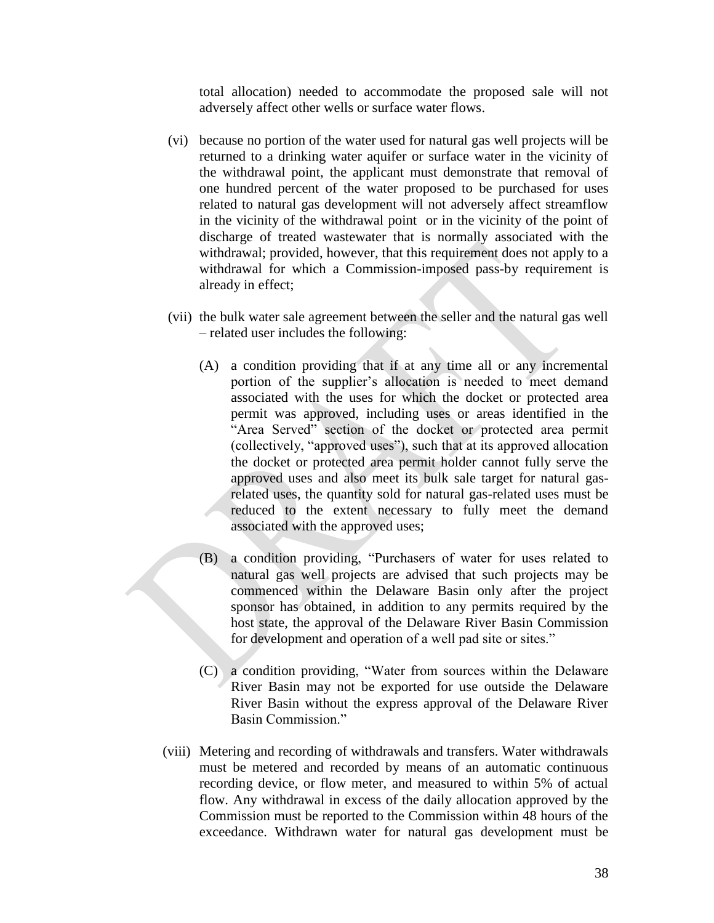total allocation) needed to accommodate the proposed sale will not adversely affect other wells or surface water flows.

- (vi) because no portion of the water used for natural gas well projects will be returned to a drinking water aquifer or surface water in the vicinity of the withdrawal point, the applicant must demonstrate that removal of one hundred percent of the water proposed to be purchased for uses related to natural gas development will not adversely affect streamflow in the vicinity of the withdrawal point or in the vicinity of the point of discharge of treated wastewater that is normally associated with the withdrawal; provided, however, that this requirement does not apply to a withdrawal for which a Commission-imposed pass-by requirement is already in effect;
- (vii) the bulk water sale agreement between the seller and the natural gas well – related user includes the following:
	- (A) a condition providing that if at any time all or any incremental portion of the supplier's allocation is needed to meet demand associated with the uses for which the docket or protected area permit was approved, including uses or areas identified in the "Area Served" section of the docket or protected area permit (collectively, "approved uses"), such that at its approved allocation the docket or protected area permit holder cannot fully serve the approved uses and also meet its bulk sale target for natural gasrelated uses, the quantity sold for natural gas-related uses must be reduced to the extent necessary to fully meet the demand associated with the approved uses;
	- (B) a condition providing, "Purchasers of water for uses related to natural gas well projects are advised that such projects may be commenced within the Delaware Basin only after the project sponsor has obtained, in addition to any permits required by the host state, the approval of the Delaware River Basin Commission for development and operation of a well pad site or sites."
	- (C) a condition providing, "Water from sources within the Delaware River Basin may not be exported for use outside the Delaware River Basin without the express approval of the Delaware River Basin Commission."
- (viii) Metering and recording of withdrawals and transfers. Water withdrawals must be metered and recorded by means of an automatic continuous recording device, or flow meter, and measured to within 5% of actual flow. Any withdrawal in excess of the daily allocation approved by the Commission must be reported to the Commission within 48 hours of the exceedance. Withdrawn water for natural gas development must be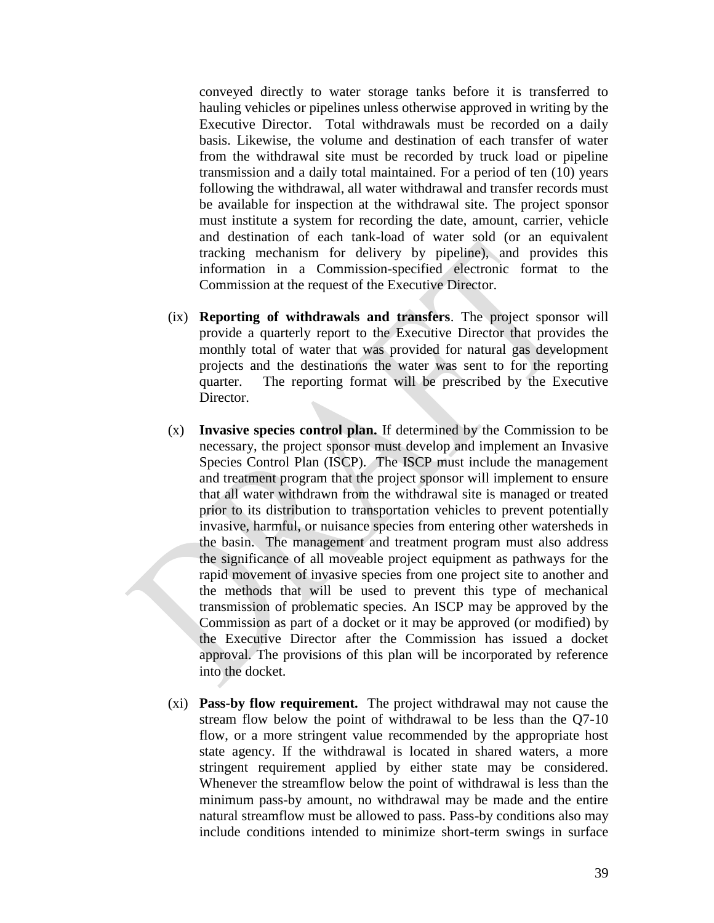conveyed directly to water storage tanks before it is transferred to hauling vehicles or pipelines unless otherwise approved in writing by the Executive Director. Total withdrawals must be recorded on a daily basis. Likewise, the volume and destination of each transfer of water from the withdrawal site must be recorded by truck load or pipeline transmission and a daily total maintained. For a period of ten (10) years following the withdrawal, all water withdrawal and transfer records must be available for inspection at the withdrawal site. The project sponsor must institute a system for recording the date, amount, carrier, vehicle and destination of each tank-load of water sold (or an equivalent tracking mechanism for delivery by pipeline), and provides this information in a Commission-specified electronic format to the Commission at the request of the Executive Director.

- (ix) **Reporting of withdrawals and transfers**. The project sponsor will provide a quarterly report to the Executive Director that provides the monthly total of water that was provided for natural gas development projects and the destinations the water was sent to for the reporting quarter. The reporting format will be prescribed by the Executive Director.
- (x) **Invasive species control plan.** If determined by the Commission to be necessary, the project sponsor must develop and implement an Invasive Species Control Plan (ISCP). The ISCP must include the management and treatment program that the project sponsor will implement to ensure that all water withdrawn from the withdrawal site is managed or treated prior to its distribution to transportation vehicles to prevent potentially invasive, harmful, or nuisance species from entering other watersheds in the basin. The management and treatment program must also address the significance of all moveable project equipment as pathways for the rapid movement of invasive species from one project site to another and the methods that will be used to prevent this type of mechanical transmission of problematic species. An ISCP may be approved by the Commission as part of a docket or it may be approved (or modified) by the Executive Director after the Commission has issued a docket approval. The provisions of this plan will be incorporated by reference into the docket.
- (xi) **Pass-by flow requirement.** The project withdrawal may not cause the stream flow below the point of withdrawal to be less than the Q7-10 flow, or a more stringent value recommended by the appropriate host state agency. If the withdrawal is located in shared waters, a more stringent requirement applied by either state may be considered. Whenever the streamflow below the point of withdrawal is less than the minimum pass-by amount, no withdrawal may be made and the entire natural streamflow must be allowed to pass. Pass-by conditions also may include conditions intended to minimize short-term swings in surface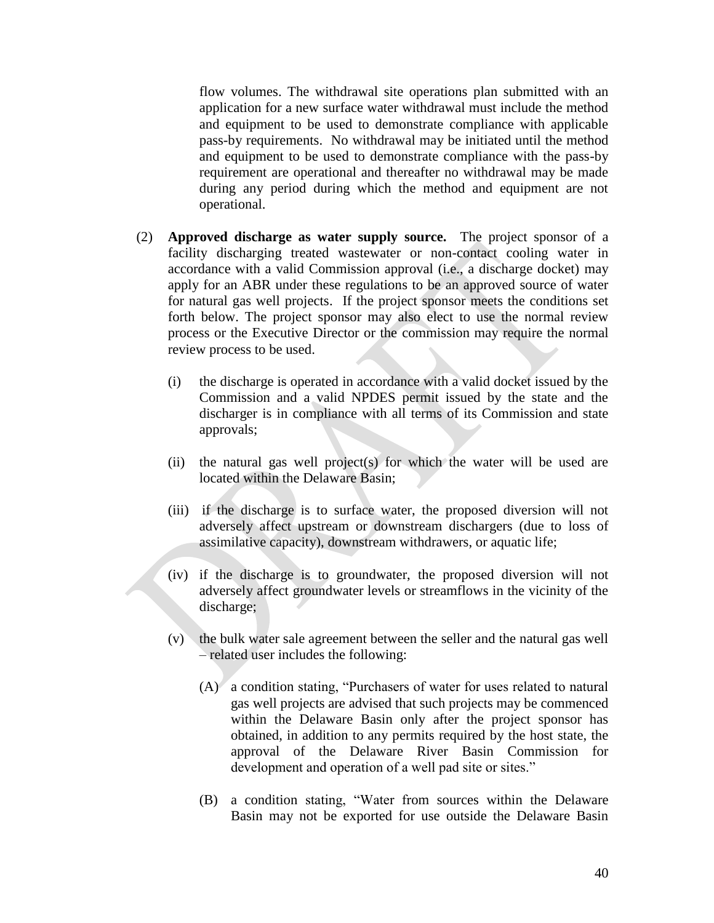flow volumes. The withdrawal site operations plan submitted with an application for a new surface water withdrawal must include the method and equipment to be used to demonstrate compliance with applicable pass-by requirements. No withdrawal may be initiated until the method and equipment to be used to demonstrate compliance with the pass-by requirement are operational and thereafter no withdrawal may be made during any period during which the method and equipment are not operational.

- (2) **Approved discharge as water supply source.** The project sponsor of a facility discharging treated wastewater or non-contact cooling water in accordance with a valid Commission approval (i.e., a discharge docket) may apply for an ABR under these regulations to be an approved source of water for natural gas well projects. If the project sponsor meets the conditions set forth below. The project sponsor may also elect to use the normal review process or the Executive Director or the commission may require the normal review process to be used.
	- (i) the discharge is operated in accordance with a valid docket issued by the Commission and a valid NPDES permit issued by the state and the discharger is in compliance with all terms of its Commission and state approvals;
	- (ii) the natural gas well project(s) for which the water will be used are located within the Delaware Basin;
	- (iii) if the discharge is to surface water, the proposed diversion will not adversely affect upstream or downstream dischargers (due to loss of assimilative capacity), downstream withdrawers, or aquatic life;
	- (iv) if the discharge is to groundwater, the proposed diversion will not adversely affect groundwater levels or streamflows in the vicinity of the discharge;
	- (v) the bulk water sale agreement between the seller and the natural gas well – related user includes the following:
		- (A) a condition stating, "Purchasers of water for uses related to natural gas well projects are advised that such projects may be commenced within the Delaware Basin only after the project sponsor has obtained, in addition to any permits required by the host state, the approval of the Delaware River Basin Commission for development and operation of a well pad site or sites."
		- (B) a condition stating, "Water from sources within the Delaware Basin may not be exported for use outside the Delaware Basin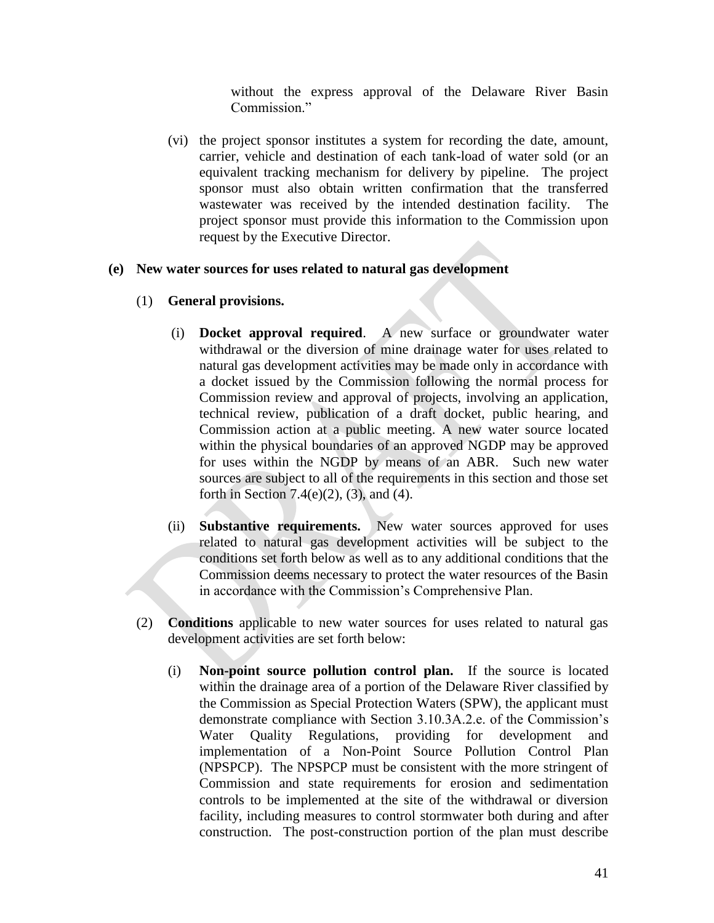without the express approval of the Delaware River Basin Commission<sup>"</sup>

(vi) the project sponsor institutes a system for recording the date, amount, carrier, vehicle and destination of each tank-load of water sold (or an equivalent tracking mechanism for delivery by pipeline. The project sponsor must also obtain written confirmation that the transferred wastewater was received by the intended destination facility. The project sponsor must provide this information to the Commission upon request by the Executive Director.

## **(e) New water sources for uses related to natural gas development**

- (1) **General provisions.**
	- (i) **Docket approval required**. A new surface or groundwater water withdrawal or the diversion of mine drainage water for uses related to natural gas development activities may be made only in accordance with a docket issued by the Commission following the normal process for Commission review and approval of projects, involving an application, technical review, publication of a draft docket, public hearing, and Commission action at a public meeting. A new water source located within the physical boundaries of an approved NGDP may be approved for uses within the NGDP by means of an ABR. Such new water sources are subject to all of the requirements in this section and those set forth in Section 7.4(e)(2), (3), and (4).
	- (ii) **Substantive requirements.** New water sources approved for uses related to natural gas development activities will be subject to the conditions set forth below as well as to any additional conditions that the Commission deems necessary to protect the water resources of the Basin in accordance with the Commission's Comprehensive Plan.
- (2) **Conditions** applicable to new water sources for uses related to natural gas development activities are set forth below:
	- (i) **Non-point source pollution control plan.** If the source is located within the drainage area of a portion of the Delaware River classified by the Commission as Special Protection Waters (SPW), the applicant must demonstrate compliance with Section 3.10.3A.2.e. of the Commission's Water Quality Regulations, providing for development and implementation of a Non-Point Source Pollution Control Plan (NPSPCP). The NPSPCP must be consistent with the more stringent of Commission and state requirements for erosion and sedimentation controls to be implemented at the site of the withdrawal or diversion facility, including measures to control stormwater both during and after construction. The post-construction portion of the plan must describe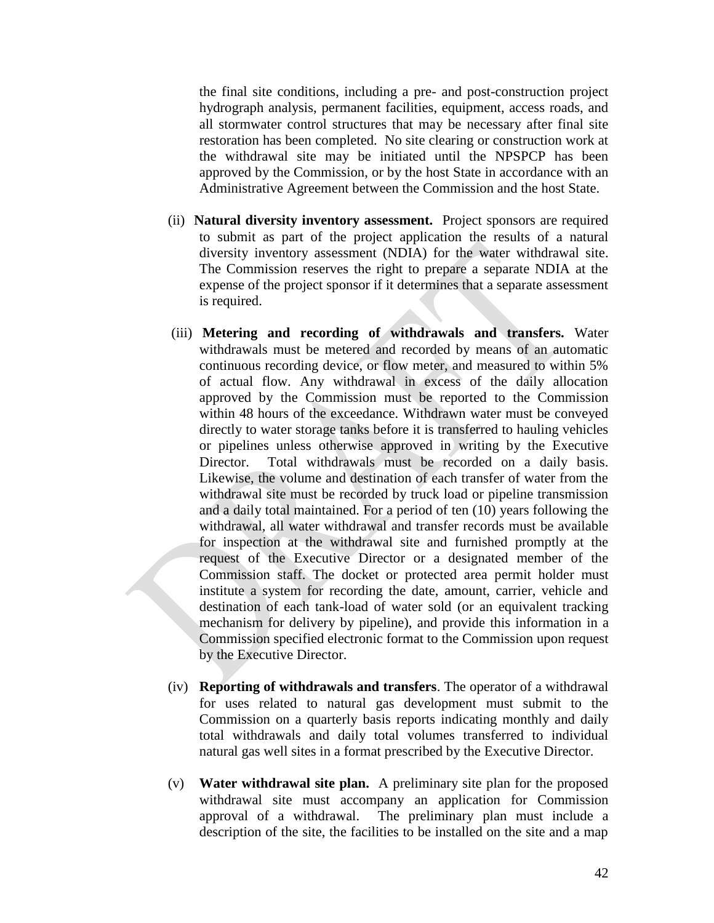the final site conditions, including a pre- and post-construction project hydrograph analysis, permanent facilities, equipment, access roads, and all stormwater control structures that may be necessary after final site restoration has been completed. No site clearing or construction work at the withdrawal site may be initiated until the NPSPCP has been approved by the Commission, or by the host State in accordance with an Administrative Agreement between the Commission and the host State.

- (ii) **Natural diversity inventory assessment.** Project sponsors are required to submit as part of the project application the results of a natural diversity inventory assessment (NDIA) for the water withdrawal site. The Commission reserves the right to prepare a separate NDIA at the expense of the project sponsor if it determines that a separate assessment is required.
- (iii) **Metering and recording of withdrawals and transfers.** Water withdrawals must be metered and recorded by means of an automatic continuous recording device, or flow meter, and measured to within 5% of actual flow. Any withdrawal in excess of the daily allocation approved by the Commission must be reported to the Commission within 48 hours of the exceedance. Withdrawn water must be conveyed directly to water storage tanks before it is transferred to hauling vehicles or pipelines unless otherwise approved in writing by the Executive Director. Total withdrawals must be recorded on a daily basis. Likewise, the volume and destination of each transfer of water from the withdrawal site must be recorded by truck load or pipeline transmission and a daily total maintained. For a period of ten (10) years following the withdrawal, all water withdrawal and transfer records must be available for inspection at the withdrawal site and furnished promptly at the request of the Executive Director or a designated member of the Commission staff. The docket or protected area permit holder must institute a system for recording the date, amount, carrier, vehicle and destination of each tank-load of water sold (or an equivalent tracking mechanism for delivery by pipeline), and provide this information in a Commission specified electronic format to the Commission upon request by the Executive Director.
- (iv) **Reporting of withdrawals and transfers**. The operator of a withdrawal for uses related to natural gas development must submit to the Commission on a quarterly basis reports indicating monthly and daily total withdrawals and daily total volumes transferred to individual natural gas well sites in a format prescribed by the Executive Director.
- (v) **Water withdrawal site plan.** A preliminary site plan for the proposed withdrawal site must accompany an application for Commission approval of a withdrawal. The preliminary plan must include a description of the site, the facilities to be installed on the site and a map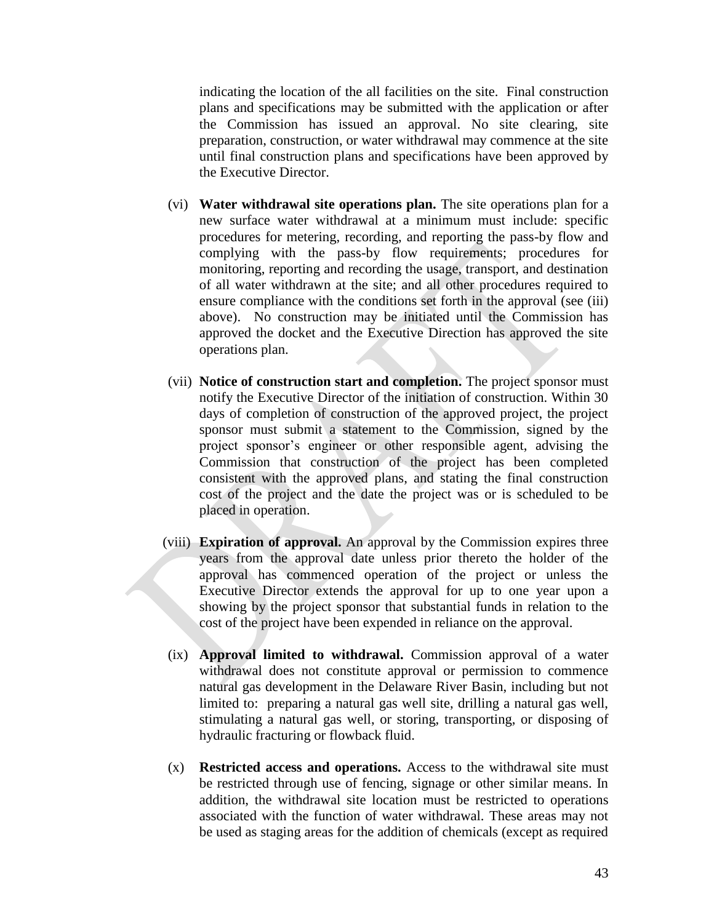indicating the location of the all facilities on the site. Final construction plans and specifications may be submitted with the application or after the Commission has issued an approval. No site clearing, site preparation, construction, or water withdrawal may commence at the site until final construction plans and specifications have been approved by the Executive Director.

- (vi) **Water withdrawal site operations plan.** The site operations plan for a new surface water withdrawal at a minimum must include: specific procedures for metering, recording, and reporting the pass-by flow and complying with the pass-by flow requirements; procedures for monitoring, reporting and recording the usage, transport, and destination of all water withdrawn at the site; and all other procedures required to ensure compliance with the conditions set forth in the approval (see (iii) above). No construction may be initiated until the Commission has approved the docket and the Executive Direction has approved the site operations plan.
- (vii) **Notice of construction start and completion.** The project sponsor must notify the Executive Director of the initiation of construction. Within 30 days of completion of construction of the approved project, the project sponsor must submit a statement to the Commission, signed by the project sponsor's engineer or other responsible agent, advising the Commission that construction of the project has been completed consistent with the approved plans, and stating the final construction cost of the project and the date the project was or is scheduled to be placed in operation.
- (viii) **Expiration of approval.** An approval by the Commission expires three years from the approval date unless prior thereto the holder of the approval has commenced operation of the project or unless the Executive Director extends the approval for up to one year upon a showing by the project sponsor that substantial funds in relation to the cost of the project have been expended in reliance on the approval.
- (ix) **Approval limited to withdrawal.** Commission approval of a water withdrawal does not constitute approval or permission to commence natural gas development in the Delaware River Basin, including but not limited to: preparing a natural gas well site, drilling a natural gas well, stimulating a natural gas well, or storing, transporting, or disposing of hydraulic fracturing or flowback fluid.
- (x) **Restricted access and operations.** Access to the withdrawal site must be restricted through use of fencing, signage or other similar means. In addition, the withdrawal site location must be restricted to operations associated with the function of water withdrawal. These areas may not be used as staging areas for the addition of chemicals (except as required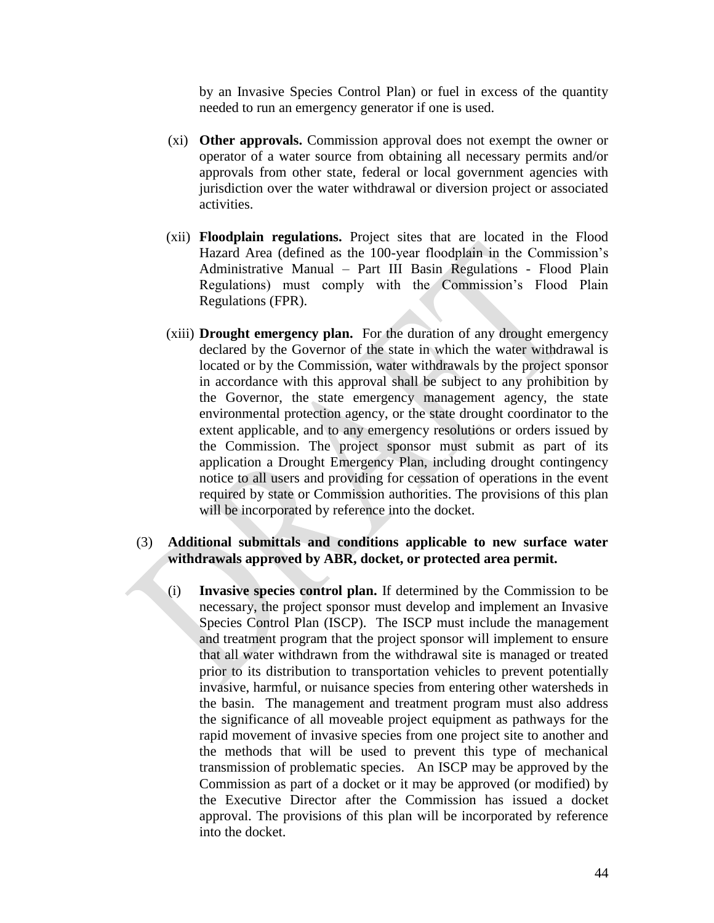by an Invasive Species Control Plan) or fuel in excess of the quantity needed to run an emergency generator if one is used.

- (xi) **Other approvals.** Commission approval does not exempt the owner or operator of a water source from obtaining all necessary permits and/or approvals from other state, federal or local government agencies with jurisdiction over the water withdrawal or diversion project or associated activities.
- (xii) **Floodplain regulations.** Project sites that are located in the Flood Hazard Area (defined as the 100-year floodplain in the Commission's Administrative Manual – Part III Basin Regulations - Flood Plain Regulations) must comply with the Commission's Flood Plain Regulations (FPR).
- (xiii) **Drought emergency plan.** For the duration of any drought emergency declared by the Governor of the state in which the water withdrawal is located or by the Commission, water withdrawals by the project sponsor in accordance with this approval shall be subject to any prohibition by the Governor, the state emergency management agency, the state environmental protection agency, or the state drought coordinator to the extent applicable, and to any emergency resolutions or orders issued by the Commission. The project sponsor must submit as part of its application a Drought Emergency Plan, including drought contingency notice to all users and providing for cessation of operations in the event required by state or Commission authorities. The provisions of this plan will be incorporated by reference into the docket.

### (3) **Additional submittals and conditions applicable to new surface water withdrawals approved by ABR, docket, or protected area permit.**

(i) **Invasive species control plan.** If determined by the Commission to be necessary, the project sponsor must develop and implement an Invasive Species Control Plan (ISCP). The ISCP must include the management and treatment program that the project sponsor will implement to ensure that all water withdrawn from the withdrawal site is managed or treated prior to its distribution to transportation vehicles to prevent potentially invasive, harmful, or nuisance species from entering other watersheds in the basin. The management and treatment program must also address the significance of all moveable project equipment as pathways for the rapid movement of invasive species from one project site to another and the methods that will be used to prevent this type of mechanical transmission of problematic species. An ISCP may be approved by the Commission as part of a docket or it may be approved (or modified) by the Executive Director after the Commission has issued a docket approval. The provisions of this plan will be incorporated by reference into the docket.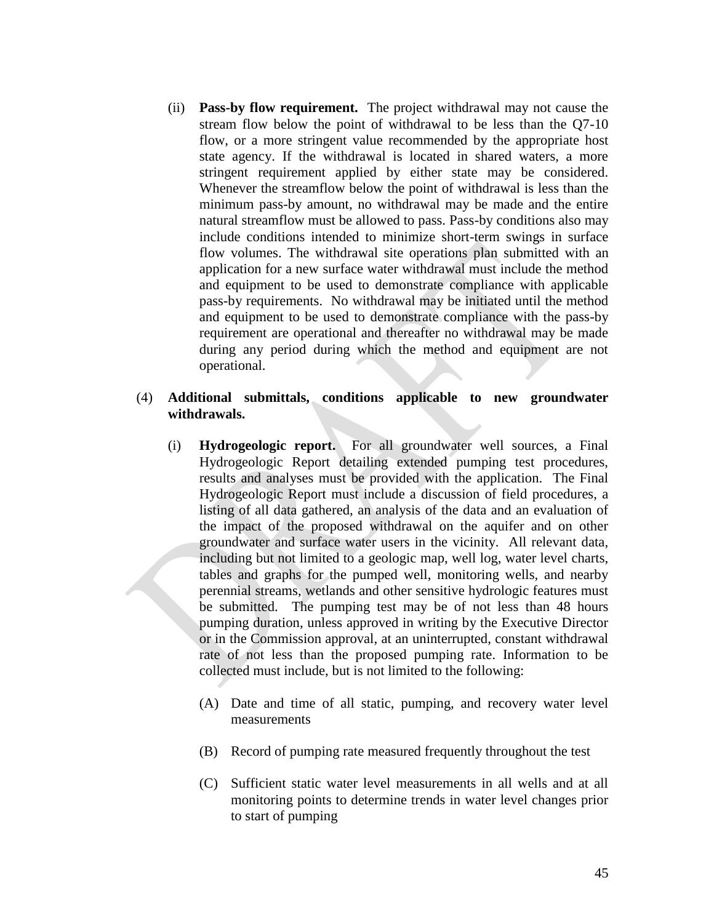(ii) **Pass-by flow requirement.** The project withdrawal may not cause the stream flow below the point of withdrawal to be less than the Q7-10 flow, or a more stringent value recommended by the appropriate host state agency. If the withdrawal is located in shared waters, a more stringent requirement applied by either state may be considered. Whenever the streamflow below the point of withdrawal is less than the minimum pass-by amount, no withdrawal may be made and the entire natural streamflow must be allowed to pass. Pass-by conditions also may include conditions intended to minimize short-term swings in surface flow volumes. The withdrawal site operations plan submitted with an application for a new surface water withdrawal must include the method and equipment to be used to demonstrate compliance with applicable pass-by requirements. No withdrawal may be initiated until the method and equipment to be used to demonstrate compliance with the pass-by requirement are operational and thereafter no withdrawal may be made during any period during which the method and equipment are not operational.

## (4) **Additional submittals, conditions applicable to new groundwater withdrawals.**

- (i) **Hydrogeologic report.** For all groundwater well sources, a Final Hydrogeologic Report detailing extended pumping test procedures, results and analyses must be provided with the application. The Final Hydrogeologic Report must include a discussion of field procedures, a listing of all data gathered, an analysis of the data and an evaluation of the impact of the proposed withdrawal on the aquifer and on other groundwater and surface water users in the vicinity. All relevant data, including but not limited to a geologic map, well log, water level charts, tables and graphs for the pumped well, monitoring wells, and nearby perennial streams, wetlands and other sensitive hydrologic features must be submitted. The pumping test may be of not less than 48 hours pumping duration, unless approved in writing by the Executive Director or in the Commission approval, at an uninterrupted, constant withdrawal rate of not less than the proposed pumping rate. Information to be collected must include, but is not limited to the following:
	- (A) Date and time of all static, pumping, and recovery water level measurements
	- (B) Record of pumping rate measured frequently throughout the test
	- (C) Sufficient static water level measurements in all wells and at all monitoring points to determine trends in water level changes prior to start of pumping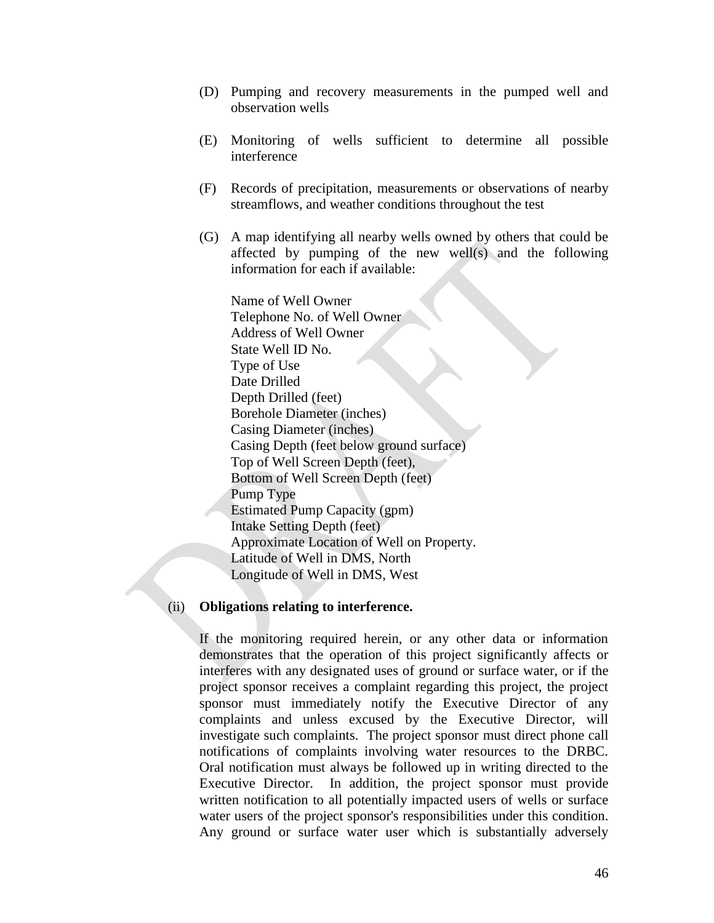- (D) Pumping and recovery measurements in the pumped well and observation wells
- (E) Monitoring of wells sufficient to determine all possible interference
- (F) Records of precipitation, measurements or observations of nearby streamflows, and weather conditions throughout the test
- (G) A map identifying all nearby wells owned by others that could be affected by pumping of the new well(s) and the following information for each if available:

Name of Well Owner Telephone No. of Well Owner Address of Well Owner State Well ID No. Type of Use Date Drilled Depth Drilled (feet) Borehole Diameter (inches) Casing Diameter (inches) Casing Depth (feet below ground surface) Top of Well Screen Depth (feet), Bottom of Well Screen Depth (feet) Pump Type Estimated Pump Capacity (gpm) Intake Setting Depth (feet) Approximate Location of Well on Property. Latitude of Well in DMS, North Longitude of Well in DMS, West

#### (ii) **Obligations relating to interference.**

If the monitoring required herein, or any other data or information demonstrates that the operation of this project significantly affects or interferes with any designated uses of ground or surface water, or if the project sponsor receives a complaint regarding this project, the project sponsor must immediately notify the Executive Director of any complaints and unless excused by the Executive Director, will investigate such complaints. The project sponsor must direct phone call notifications of complaints involving water resources to the DRBC. Oral notification must always be followed up in writing directed to the Executive Director. In addition, the project sponsor must provide written notification to all potentially impacted users of wells or surface water users of the project sponsor's responsibilities under this condition. Any ground or surface water user which is substantially adversely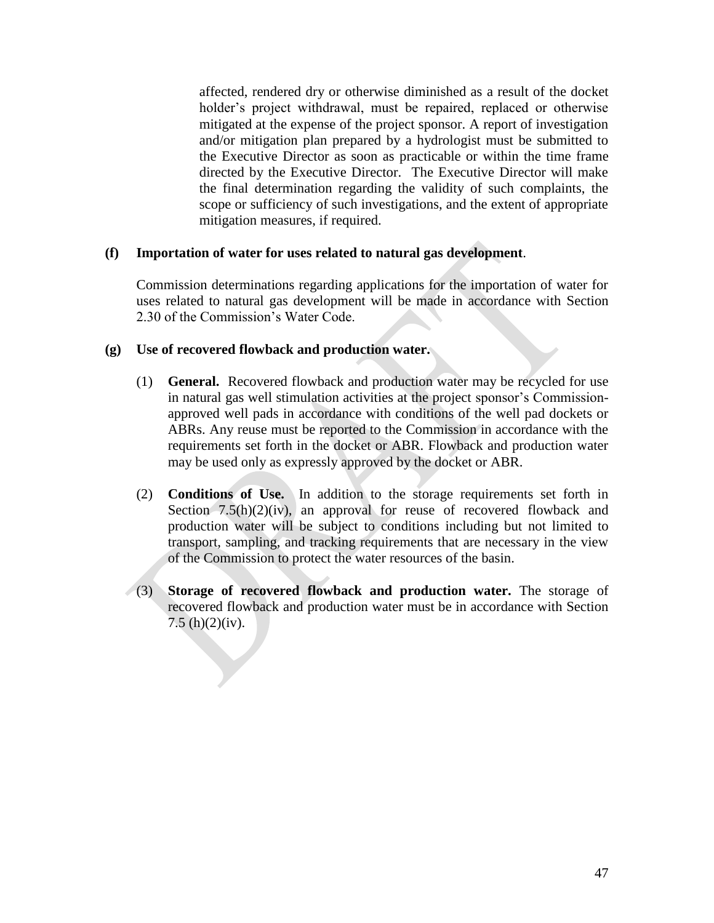affected, rendered dry or otherwise diminished as a result of the docket holder's project withdrawal, must be repaired, replaced or otherwise mitigated at the expense of the project sponsor. A report of investigation and/or mitigation plan prepared by a hydrologist must be submitted to the Executive Director as soon as practicable or within the time frame directed by the Executive Director. The Executive Director will make the final determination regarding the validity of such complaints, the scope or sufficiency of such investigations, and the extent of appropriate mitigation measures, if required.

## **(f) Importation of water for uses related to natural gas development**.

Commission determinations regarding applications for the importation of water for uses related to natural gas development will be made in accordance with Section 2.30 of the Commission's Water Code.

## **(g) Use of recovered flowback and production water.**

j

- (1) **General.** Recovered flowback and production water may be recycled for use in natural gas well stimulation activities at the project sponsor's Commissionapproved well pads in accordance with conditions of the well pad dockets or ABRs. Any reuse must be reported to the Commission in accordance with the requirements set forth in the docket or ABR. Flowback and production water may be used only as expressly approved by the docket or ABR.
- (2) **Conditions of Use.** In addition to the storage requirements set forth in Section  $7.5(h)(2)(iv)$ , an approval for reuse of recovered flowback and production water will be subject to conditions including but not limited to transport, sampling, and tracking requirements that are necessary in the view of the Commission to protect the water resources of the basin.
- (3) **Storage of recovered flowback and production water.** The storage of recovered flowback and production water must be in accordance with Section 7.5 (h) $(2)(iv)$ .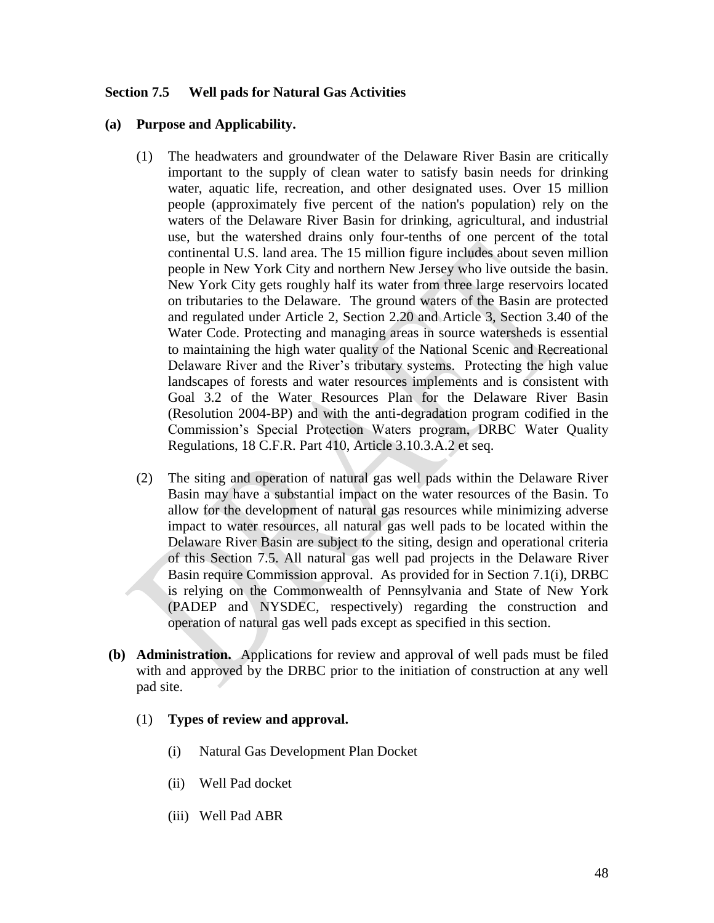## **Section 7.5 Well pads for Natural Gas Activities**

### **(a) Purpose and Applicability.**

- (1) The headwaters and groundwater of the Delaware River Basin are critically important to the supply of clean water to satisfy basin needs for drinking water, aquatic life, recreation, and other designated uses. Over 15 million people (approximately five percent of the nation's population) rely on the waters of the Delaware River Basin for drinking, agricultural, and industrial use, but the watershed drains only four-tenths of one percent of the total continental U.S. land area. The 15 million figure includes about seven million people in New York City and northern New Jersey who live outside the basin. New York City gets roughly half its water from three large reservoirs located on tributaries to the Delaware. The ground waters of the Basin are protected and regulated under Article 2, Section 2.20 and Article 3, Section 3.40 of the Water Code. Protecting and managing areas in source watersheds is essential to maintaining the high water quality of the National Scenic and Recreational Delaware River and the River's tributary systems. Protecting the high value landscapes of forests and water resources implements and is consistent with Goal 3.2 of the Water Resources Plan for the Delaware River Basin (Resolution 2004-BP) and with the anti-degradation program codified in the Commission's Special Protection Waters program, DRBC Water Quality Regulations, 18 C.F.R. Part 410, Article 3.10.3.A.2 et seq.
- (2) The siting and operation of natural gas well pads within the Delaware River Basin may have a substantial impact on the water resources of the Basin. To allow for the development of natural gas resources while minimizing adverse impact to water resources, all natural gas well pads to be located within the Delaware River Basin are subject to the siting, design and operational criteria of this Section 7.5. All natural gas well pad projects in the Delaware River Basin require Commission approval. As provided for in Section 7.1(i), DRBC is relying on the Commonwealth of Pennsylvania and State of New York (PADEP and NYSDEC, respectively) regarding the construction and operation of natural gas well pads except as specified in this section.
- **(b) Administration.** Applications for review and approval of well pads must be filed with and approved by the DRBC prior to the initiation of construction at any well pad site.
	- (1) **Types of review and approval.** 
		- (i) Natural Gas Development Plan Docket
		- (ii) Well Pad docket
		- (iii) Well Pad ABR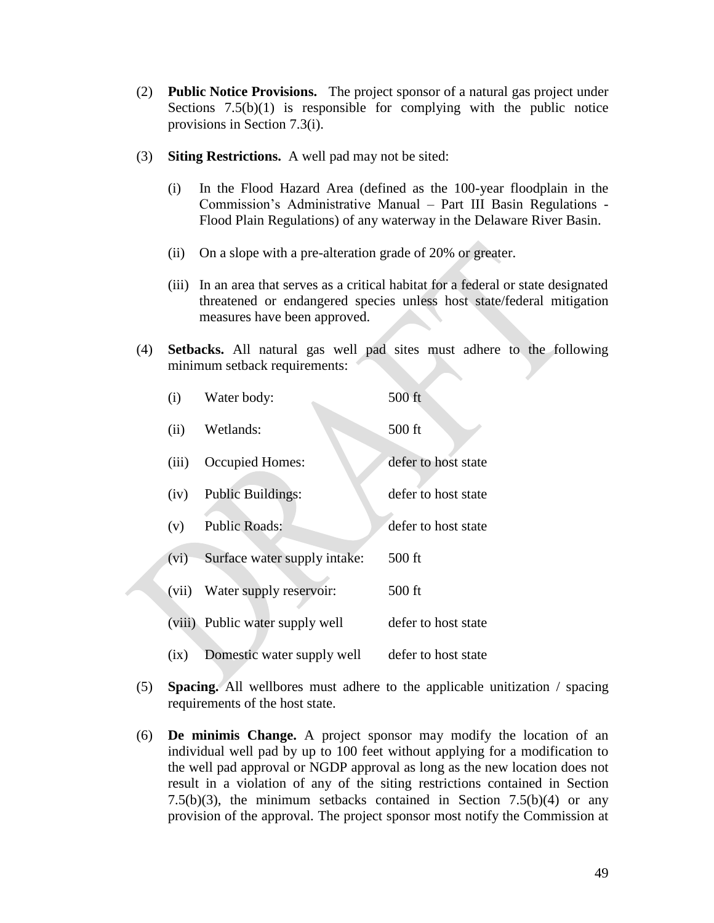- (2) **Public Notice Provisions.** The project sponsor of a natural gas project under Sections  $7.5(b)(1)$  is responsible for complying with the public notice provisions in Section 7.3(i).
- (3) **Siting Restrictions.** A well pad may not be sited:
	- (i) In the Flood Hazard Area (defined as the 100-year floodplain in the Commission's Administrative Manual – Part III Basin Regulations - Flood Plain Regulations) of any waterway in the Delaware River Basin.
	- (ii) On a slope with a pre-alteration grade of 20% or greater.
	- (iii) In an area that serves as a critical habitat for a federal or state designated threatened or endangered species unless host state/federal mitigation measures have been approved.
- (4) **Setbacks.** All natural gas well pad sites must adhere to the following minimum setback requirements:

| (i)   | Water body:                     | 500 ft              |
|-------|---------------------------------|---------------------|
| (ii)  | Wetlands:                       | $500$ ft            |
| (iii) | Occupied Homes:                 | defer to host state |
| (iv)  | <b>Public Buildings:</b>        | defer to host state |
| (v)   | <b>Public Roads:</b>            | defer to host state |
| (vi)  | Surface water supply intake:    | $500$ ft            |
| (vii) | Water supply reservoir:         | $500$ ft            |
|       | (viii) Public water supply well | defer to host state |
| (ix)  | Domestic water supply well      | defer to host state |

- (5) **Spacing.** All wellbores must adhere to the applicable unitization / spacing requirements of the host state.
- (6) **De minimis Change.** A project sponsor may modify the location of an individual well pad by up to 100 feet without applying for a modification to the well pad approval or NGDP approval as long as the new location does not result in a violation of any of the siting restrictions contained in Section 7.5(b)(3), the minimum setbacks contained in Section 7.5(b)(4) or any provision of the approval. The project sponsor most notify the Commission at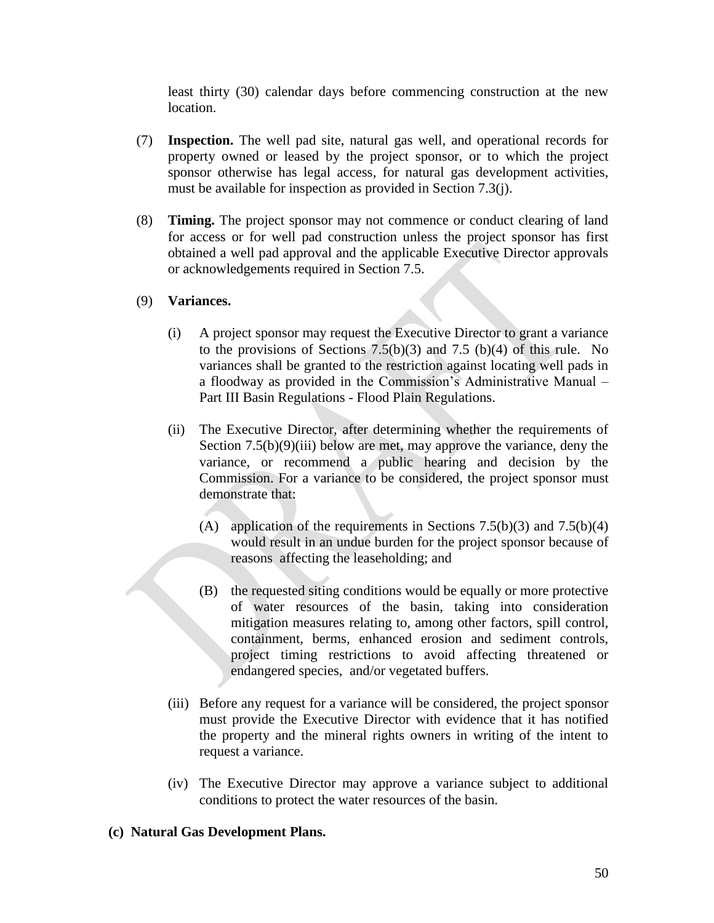least thirty (30) calendar days before commencing construction at the new location.

- (7) **Inspection.** The well pad site, natural gas well, and operational records for property owned or leased by the project sponsor, or to which the project sponsor otherwise has legal access, for natural gas development activities, must be available for inspection as provided in Section 7.3(j).
- (8) **Timing.** The project sponsor may not commence or conduct clearing of land for access or for well pad construction unless the project sponsor has first obtained a well pad approval and the applicable Executive Director approvals or acknowledgements required in Section 7.5.

## (9) **Variances.**

- (i) A project sponsor may request the Executive Director to grant a variance to the provisions of Sections  $7.5(b)(3)$  and  $7.5(b)(4)$  of this rule. No variances shall be granted to the restriction against locating well pads in a floodway as provided in the Commission's Administrative Manual – Part III Basin Regulations - Flood Plain Regulations.
- (ii) The Executive Director, after determining whether the requirements of Section  $7.5(b)(9)(iii)$  below are met, may approve the variance, deny the variance, or recommend a public hearing and decision by the Commission. For a variance to be considered, the project sponsor must demonstrate that:
	- (A) application of the requirements in Sections  $7.5(b)(3)$  and  $7.5(b)(4)$ would result in an undue burden for the project sponsor because of reasons affecting the leaseholding; and
	- (B) the requested siting conditions would be equally or more protective of water resources of the basin, taking into consideration mitigation measures relating to, among other factors, spill control, containment, berms, enhanced erosion and sediment controls, project timing restrictions to avoid affecting threatened or endangered species, and/or vegetated buffers.
- (iii) Before any request for a variance will be considered, the project sponsor must provide the Executive Director with evidence that it has notified the property and the mineral rights owners in writing of the intent to request a variance.
- (iv) The Executive Director may approve a variance subject to additional conditions to protect the water resources of the basin.

## **(c) Natural Gas Development Plans.**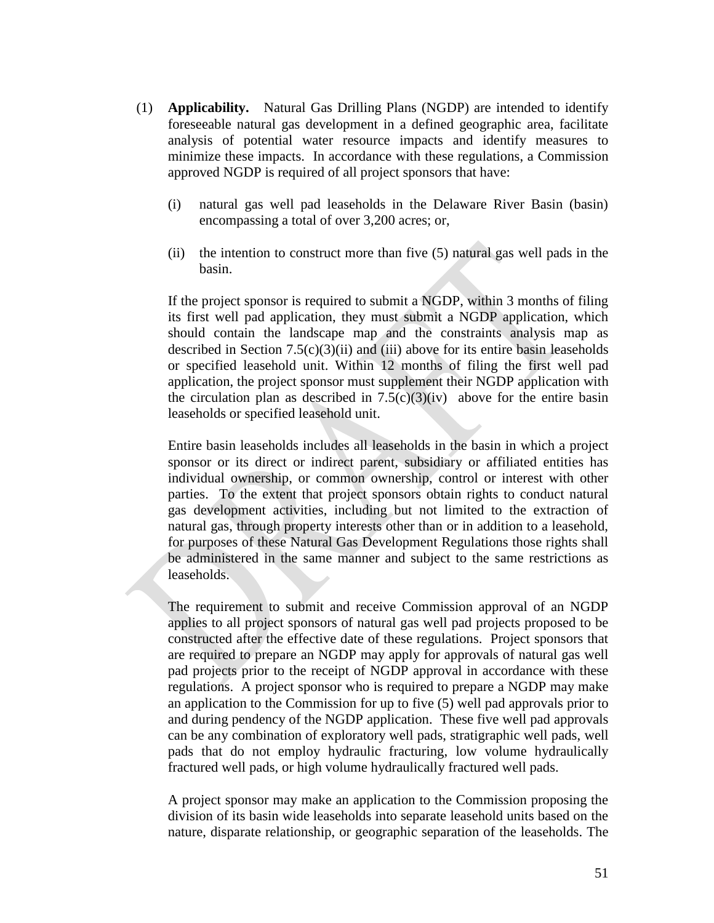- (1) **Applicability.** Natural Gas Drilling Plans (NGDP) are intended to identify foreseeable natural gas development in a defined geographic area, facilitate analysis of potential water resource impacts and identify measures to minimize these impacts. In accordance with these regulations, a Commission approved NGDP is required of all project sponsors that have:
	- (i) natural gas well pad leaseholds in the Delaware River Basin (basin) encompassing a total of over 3,200 acres; or,
	- (ii) the intention to construct more than five (5) natural gas well pads in the basin.

If the project sponsor is required to submit a NGDP, within 3 months of filing its first well pad application, they must submit a NGDP application, which should contain the landscape map and the constraints analysis map as described in Section 7.5(c)(3)(ii) and (iii) above for its entire basin leaseholds or specified leasehold unit. Within 12 months of filing the first well pad application, the project sponsor must supplement their NGDP application with the circulation plan as described in  $7.5(c)(3)(iv)$  above for the entire basin leaseholds or specified leasehold unit.

Entire basin leaseholds includes all leaseholds in the basin in which a project sponsor or its direct or indirect parent, subsidiary or affiliated entities has individual ownership, or common ownership, control or interest with other parties. To the extent that project sponsors obtain rights to conduct natural gas development activities, including but not limited to the extraction of natural gas, through property interests other than or in addition to a leasehold, for purposes of these Natural Gas Development Regulations those rights shall be administered in the same manner and subject to the same restrictions as leaseholds.

The requirement to submit and receive Commission approval of an NGDP applies to all project sponsors of natural gas well pad projects proposed to be constructed after the effective date of these regulations. Project sponsors that are required to prepare an NGDP may apply for approvals of natural gas well pad projects prior to the receipt of NGDP approval in accordance with these regulations. A project sponsor who is required to prepare a NGDP may make an application to the Commission for up to five (5) well pad approvals prior to and during pendency of the NGDP application. These five well pad approvals can be any combination of exploratory well pads, stratigraphic well pads, well pads that do not employ hydraulic fracturing, low volume hydraulically fractured well pads, or high volume hydraulically fractured well pads.

A project sponsor may make an application to the Commission proposing the division of its basin wide leaseholds into separate leasehold units based on the nature, disparate relationship, or geographic separation of the leaseholds. The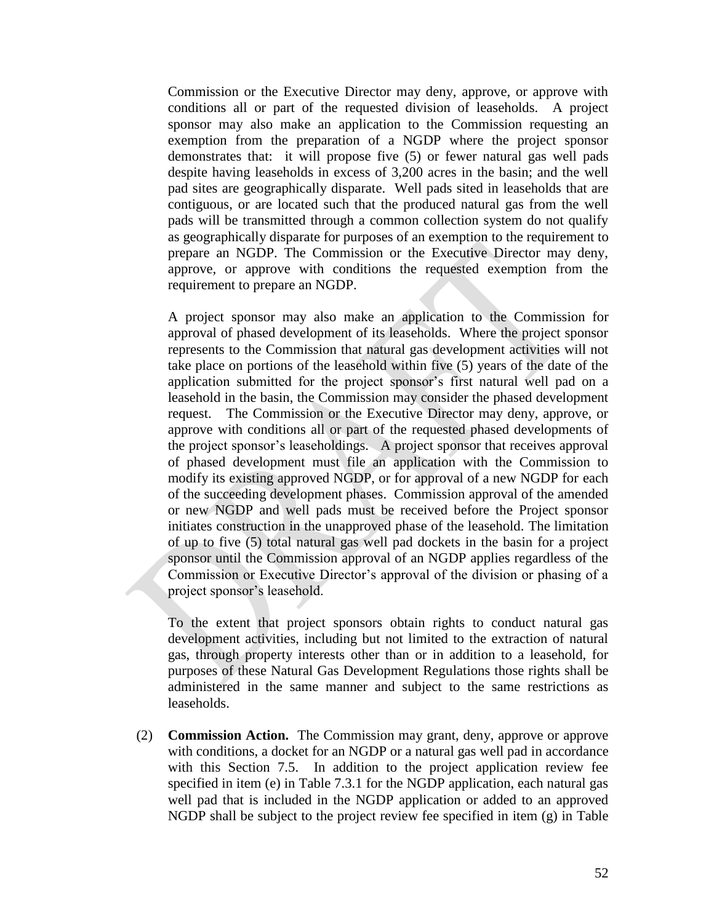Commission or the Executive Director may deny, approve, or approve with conditions all or part of the requested division of leaseholds. A project sponsor may also make an application to the Commission requesting an exemption from the preparation of a NGDP where the project sponsor demonstrates that: it will propose five (5) or fewer natural gas well pads despite having leaseholds in excess of 3,200 acres in the basin; and the well pad sites are geographically disparate. Well pads sited in leaseholds that are contiguous, or are located such that the produced natural gas from the well pads will be transmitted through a common collection system do not qualify as geographically disparate for purposes of an exemption to the requirement to prepare an NGDP. The Commission or the Executive Director may deny, approve, or approve with conditions the requested exemption from the requirement to prepare an NGDP.

A project sponsor may also make an application to the Commission for approval of phased development of its leaseholds. Where the project sponsor represents to the Commission that natural gas development activities will not take place on portions of the leasehold within five (5) years of the date of the application submitted for the project sponsor's first natural well pad on a leasehold in the basin, the Commission may consider the phased development request. The Commission or the Executive Director may deny, approve, or approve with conditions all or part of the requested phased developments of the project sponsor's leaseholdings. A project sponsor that receives approval of phased development must file an application with the Commission to modify its existing approved NGDP, or for approval of a new NGDP for each of the succeeding development phases. Commission approval of the amended or new NGDP and well pads must be received before the Project sponsor initiates construction in the unapproved phase of the leasehold. The limitation of up to five (5) total natural gas well pad dockets in the basin for a project sponsor until the Commission approval of an NGDP applies regardless of the Commission or Executive Director's approval of the division or phasing of a project sponsor's leasehold.

To the extent that project sponsors obtain rights to conduct natural gas development activities, including but not limited to the extraction of natural gas, through property interests other than or in addition to a leasehold, for purposes of these Natural Gas Development Regulations those rights shall be administered in the same manner and subject to the same restrictions as leaseholds.

(2) **Commission Action.** The Commission may grant, deny, approve or approve with conditions, a docket for an NGDP or a natural gas well pad in accordance with this Section 7.5. In addition to the project application review fee specified in item (e) in Table 7.3.1 for the NGDP application, each natural gas well pad that is included in the NGDP application or added to an approved NGDP shall be subject to the project review fee specified in item (g) in Table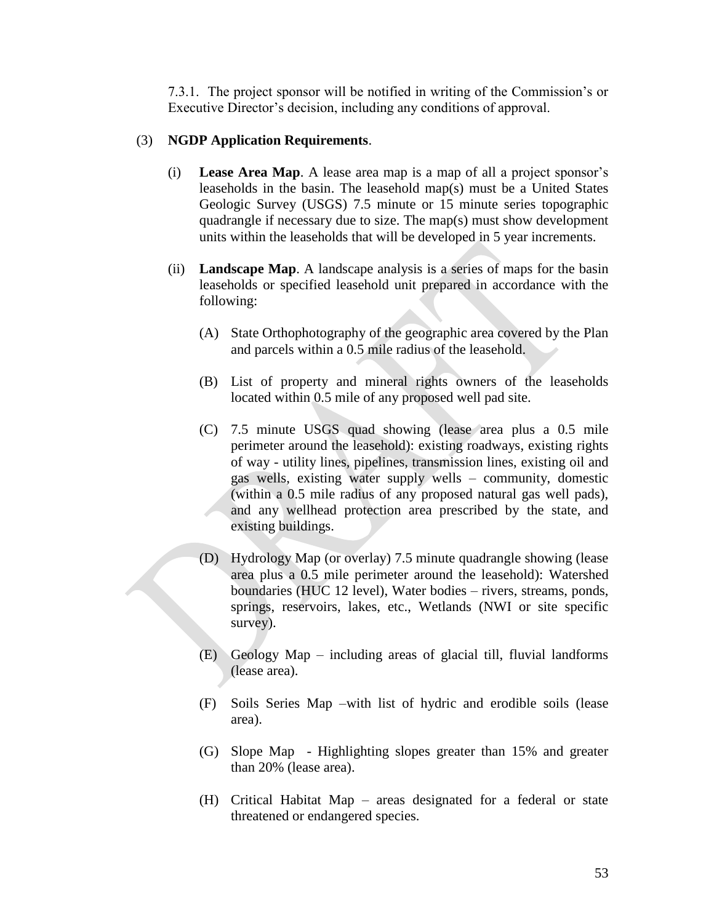7.3.1. The project sponsor will be notified in writing of the Commission's or Executive Director's decision, including any conditions of approval.

## (3) **NGDP Application Requirements**.

- (i) **Lease Area Map**. A lease area map is a map of all a project sponsor's leaseholds in the basin. The leasehold map(s) must be a United States Geologic Survey (USGS) 7.5 minute or 15 minute series topographic quadrangle if necessary due to size. The map(s) must show development units within the leaseholds that will be developed in 5 year increments.
- (ii) **Landscape Map**. A landscape analysis is a series of maps for the basin leaseholds or specified leasehold unit prepared in accordance with the following:
	- (A) State Orthophotography of the geographic area covered by the Plan and parcels within a 0.5 mile radius of the leasehold.
	- (B) List of property and mineral rights owners of the leaseholds located within 0.5 mile of any proposed well pad site.
	- (C) 7.5 minute USGS quad showing (lease area plus a 0.5 mile perimeter around the leasehold): existing roadways, existing rights of way - utility lines, pipelines, transmission lines, existing oil and gas wells, existing water supply wells – community, domestic (within a 0.5 mile radius of any proposed natural gas well pads), and any wellhead protection area prescribed by the state, and existing buildings.
	- (D) Hydrology Map (or overlay) 7.5 minute quadrangle showing (lease area plus a 0.5 mile perimeter around the leasehold): Watershed boundaries (HUC 12 level), Water bodies – rivers, streams, ponds, springs, reservoirs, lakes, etc., Wetlands (NWI or site specific survey).
	- (E) Geology Map including areas of glacial till, fluvial landforms (lease area).
	- (F) Soils Series Map –with list of hydric and erodible soils (lease area).
	- (G) Slope Map Highlighting slopes greater than 15% and greater than 20% (lease area).
	- (H) Critical Habitat Map areas designated for a federal or state threatened or endangered species.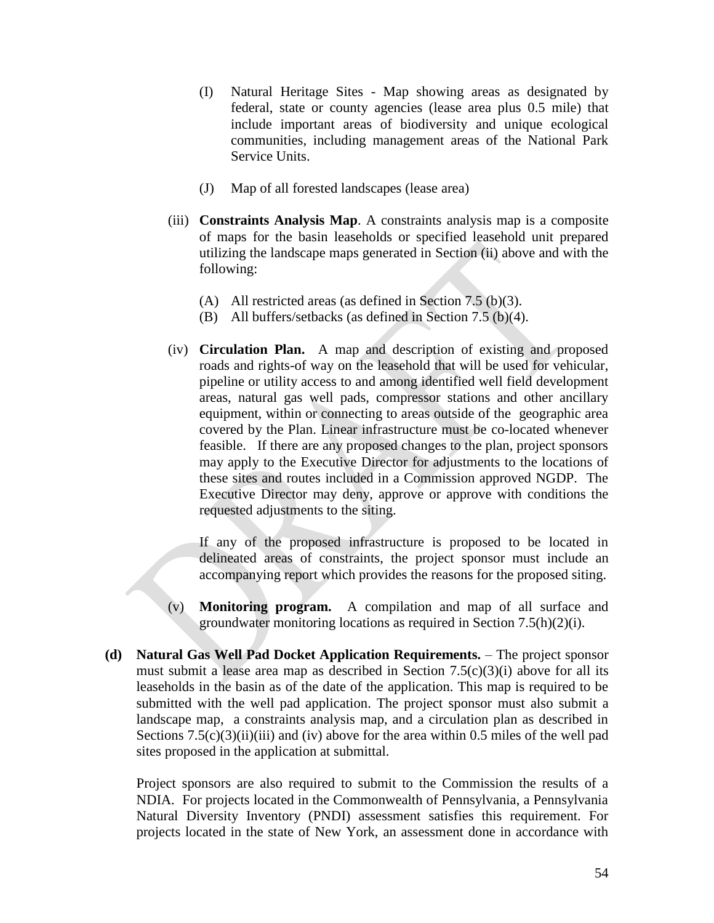- (I) Natural Heritage Sites Map showing areas as designated by federal, state or county agencies (lease area plus 0.5 mile) that include important areas of biodiversity and unique ecological communities, including management areas of the National Park Service Units.
- (J) Map of all forested landscapes (lease area)
- (iii) **Constraints Analysis Map**. A constraints analysis map is a composite of maps for the basin leaseholds or specified leasehold unit prepared utilizing the landscape maps generated in Section (ii) above and with the following:
	- (A) All restricted areas (as defined in Section 7.5 (b)(3).
	- (B) All buffers/setbacks (as defined in Section 7.5 (b)(4).
- (iv) **Circulation Plan.** A map and description of existing and proposed roads and rights-of way on the leasehold that will be used for vehicular, pipeline or utility access to and among identified well field development areas, natural gas well pads, compressor stations and other ancillary equipment, within or connecting to areas outside of the geographic area covered by the Plan. Linear infrastructure must be co-located whenever feasible. If there are any proposed changes to the plan, project sponsors may apply to the Executive Director for adjustments to the locations of these sites and routes included in a Commission approved NGDP. The Executive Director may deny, approve or approve with conditions the requested adjustments to the siting.

If any of the proposed infrastructure is proposed to be located in delineated areas of constraints, the project sponsor must include an accompanying report which provides the reasons for the proposed siting.

- (v) **Monitoring program.** A compilation and map of all surface and groundwater monitoring locations as required in Section 7.5(h)(2)(i).
- **(d) Natural Gas Well Pad Docket Application Requirements.**  The project sponsor must submit a lease area map as described in Section  $7.5(c)(3)(i)$  above for all its leaseholds in the basin as of the date of the application. This map is required to be submitted with the well pad application. The project sponsor must also submit a landscape map, a constraints analysis map, and a circulation plan as described in Sections  $7.5(c)(3)(ii)(iii)$  and (iv) above for the area within 0.5 miles of the well pad sites proposed in the application at submittal.

Project sponsors are also required to submit to the Commission the results of a NDIA. For projects located in the Commonwealth of Pennsylvania, a Pennsylvania Natural Diversity Inventory (PNDI) assessment satisfies this requirement. For projects located in the state of New York, an assessment done in accordance with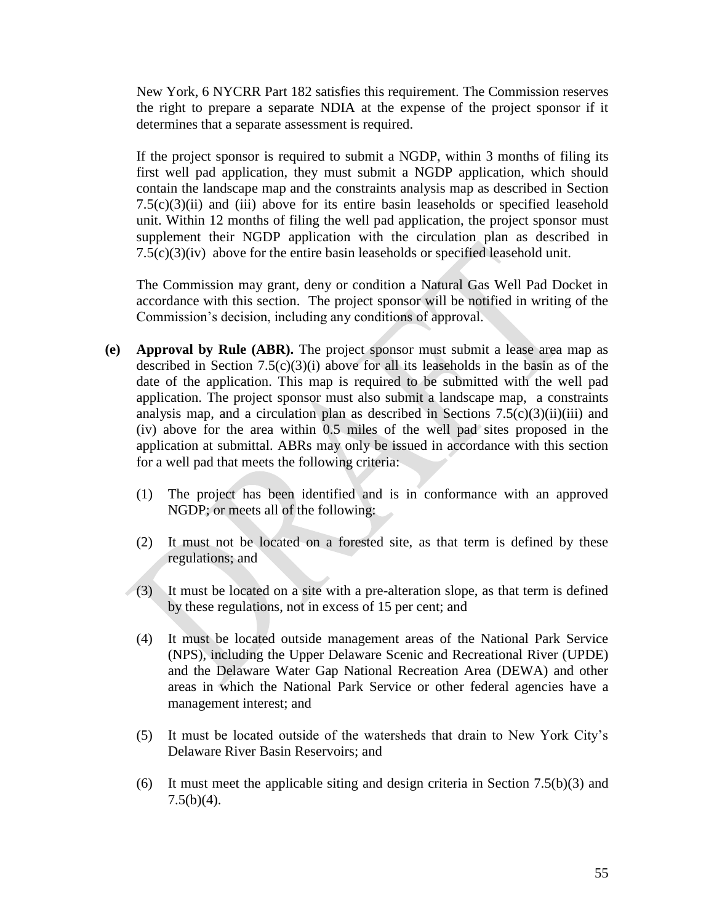New York, 6 NYCRR Part 182 satisfies this requirement. The Commission reserves the right to prepare a separate NDIA at the expense of the project sponsor if it determines that a separate assessment is required.

If the project sponsor is required to submit a NGDP, within 3 months of filing its first well pad application, they must submit a NGDP application, which should contain the landscape map and the constraints analysis map as described in Section  $7.5(c)(3)(ii)$  and (iii) above for its entire basin leaseholds or specified leasehold unit. Within 12 months of filing the well pad application, the project sponsor must supplement their NGDP application with the circulation plan as described in 7.5(c)(3)(iv) above for the entire basin leaseholds or specified leasehold unit.

The Commission may grant, deny or condition a Natural Gas Well Pad Docket in accordance with this section. The project sponsor will be notified in writing of the Commission's decision, including any conditions of approval.

- **(e) Approval by Rule (ABR).** The project sponsor must submit a lease area map as described in Section 7.5(c)(3)(i) above for all its leaseholds in the basin as of the date of the application. This map is required to be submitted with the well pad application. The project sponsor must also submit a landscape map, a constraints analysis map, and a circulation plan as described in Sections  $7.5(c)(3)(ii)(iii)$  and (iv) above for the area within 0.5 miles of the well pad sites proposed in the application at submittal. ABRs may only be issued in accordance with this section for a well pad that meets the following criteria:
	- (1) The project has been identified and is in conformance with an approved NGDP; or meets all of the following:
	- (2) It must not be located on a forested site, as that term is defined by these regulations; and
	- $(3)$  It must be located on a site with a pre-alteration slope, as that term is defined by these regulations, not in excess of 15 per cent; and
		- (4) It must be located outside management areas of the National Park Service (NPS), including the Upper Delaware Scenic and Recreational River (UPDE) and the Delaware Water Gap National Recreation Area (DEWA) and other areas in which the National Park Service or other federal agencies have a management interest; and
		- (5) It must be located outside of the watersheds that drain to New York City's Delaware River Basin Reservoirs; and
		- (6) It must meet the applicable siting and design criteria in Section  $7.5(b)(3)$  and 7.5(b)(4).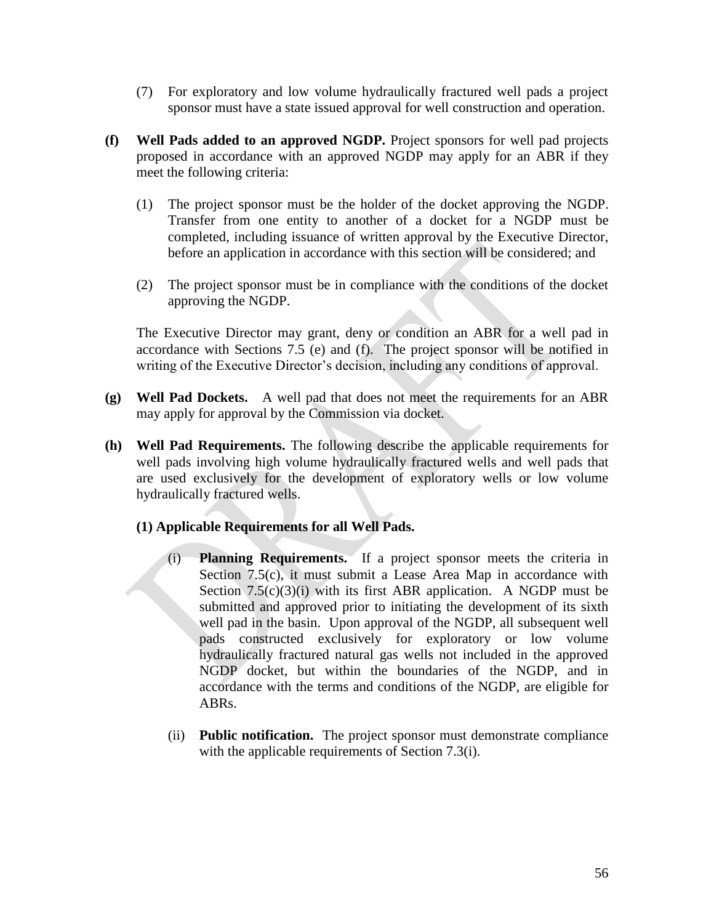- (7) For exploratory and low volume hydraulically fractured well pads a project sponsor must have a state issued approval for well construction and operation.
- **(f) Well Pads added to an approved NGDP.** Project sponsors for well pad projects proposed in accordance with an approved NGDP may apply for an ABR if they meet the following criteria:
	- (1) The project sponsor must be the holder of the docket approving the NGDP. Transfer from one entity to another of a docket for a NGDP must be completed, including issuance of written approval by the Executive Director, before an application in accordance with this section will be considered; and
	- (2) The project sponsor must be in compliance with the conditions of the docket approving the NGDP.

The Executive Director may grant, deny or condition an ABR for a well pad in accordance with Sections 7.5 (e) and (f). The project sponsor will be notified in writing of the Executive Director's decision, including any conditions of approval.

- **(g) Well Pad Dockets.** A well pad that does not meet the requirements for an ABR may apply for approval by the Commission via docket.
- **(h) Well Pad Requirements.** The following describe the applicable requirements for well pads involving high volume hydraulically fractured wells and well pads that are used exclusively for the development of exploratory wells or low volume hydraulically fractured wells.
	- **(1) Applicable Requirements for all Well Pads.**
		- (i) **Planning Requirements.** If a project sponsor meets the criteria in Section 7.5(c), it must submit a Lease Area Map in accordance with Section  $7.5(c)(3)(i)$  with its first ABR application. A NGDP must be submitted and approved prior to initiating the development of its sixth well pad in the basin. Upon approval of the NGDP, all subsequent well pads constructed exclusively for exploratory or low volume hydraulically fractured natural gas wells not included in the approved NGDP docket, but within the boundaries of the NGDP, and in accordance with the terms and conditions of the NGDP, are eligible for ABRs.
		- (ii) **Public notification.** The project sponsor must demonstrate compliance with the applicable requirements of Section 7.3(i).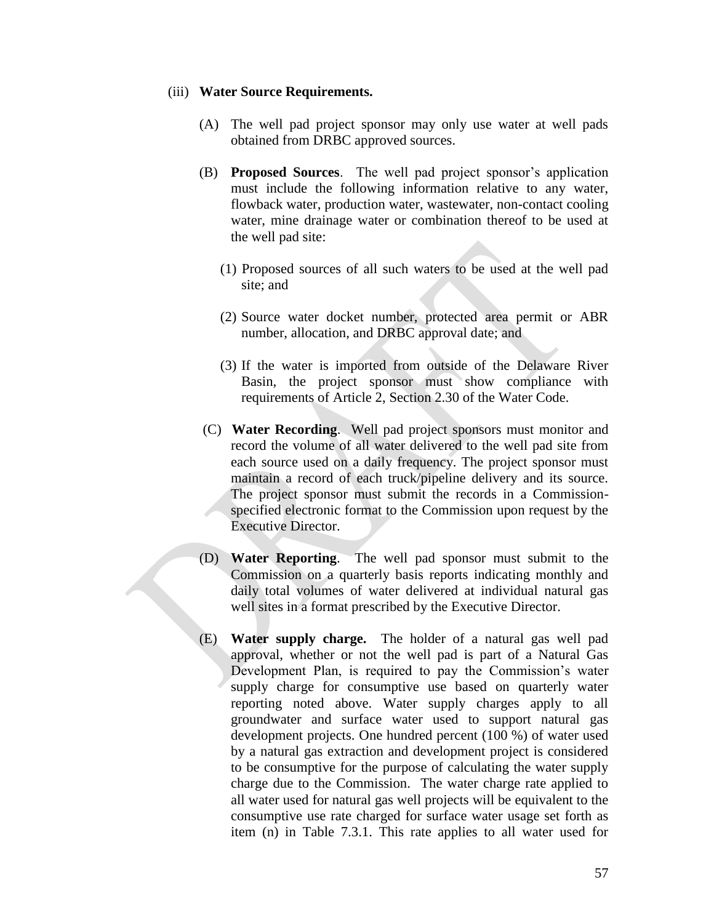#### (iii) **Water Source Requirements.**

- (A) The well pad project sponsor may only use water at well pads obtained from DRBC approved sources.
- (B) **Proposed Sources**. The well pad project sponsor's application must include the following information relative to any water, flowback water, production water, wastewater, non-contact cooling water, mine drainage water or combination thereof to be used at the well pad site:
	- (1) Proposed sources of all such waters to be used at the well pad site; and
	- (2) Source water docket number, protected area permit or ABR number, allocation, and DRBC approval date; and
	- (3) If the water is imported from outside of the Delaware River Basin, the project sponsor must show compliance with requirements of Article 2, Section 2.30 of the Water Code.
- (C) **Water Recording**. Well pad project sponsors must monitor and record the volume of all water delivered to the well pad site from each source used on a daily frequency. The project sponsor must maintain a record of each truck/pipeline delivery and its source. The project sponsor must submit the records in a Commissionspecified electronic format to the Commission upon request by the Executive Director.
- (D) **Water Reporting**. The well pad sponsor must submit to the Commission on a quarterly basis reports indicating monthly and daily total volumes of water delivered at individual natural gas well sites in a format prescribed by the Executive Director.
- (E) **Water supply charge.** The holder of a natural gas well pad approval, whether or not the well pad is part of a Natural Gas Development Plan, is required to pay the Commission's water supply charge for consumptive use based on quarterly water reporting noted above. Water supply charges apply to all groundwater and surface water used to support natural gas development projects. One hundred percent (100 %) of water used by a natural gas extraction and development project is considered to be consumptive for the purpose of calculating the water supply charge due to the Commission. The water charge rate applied to all water used for natural gas well projects will be equivalent to the consumptive use rate charged for surface water usage set forth as item (n) in Table 7.3.1. This rate applies to all water used for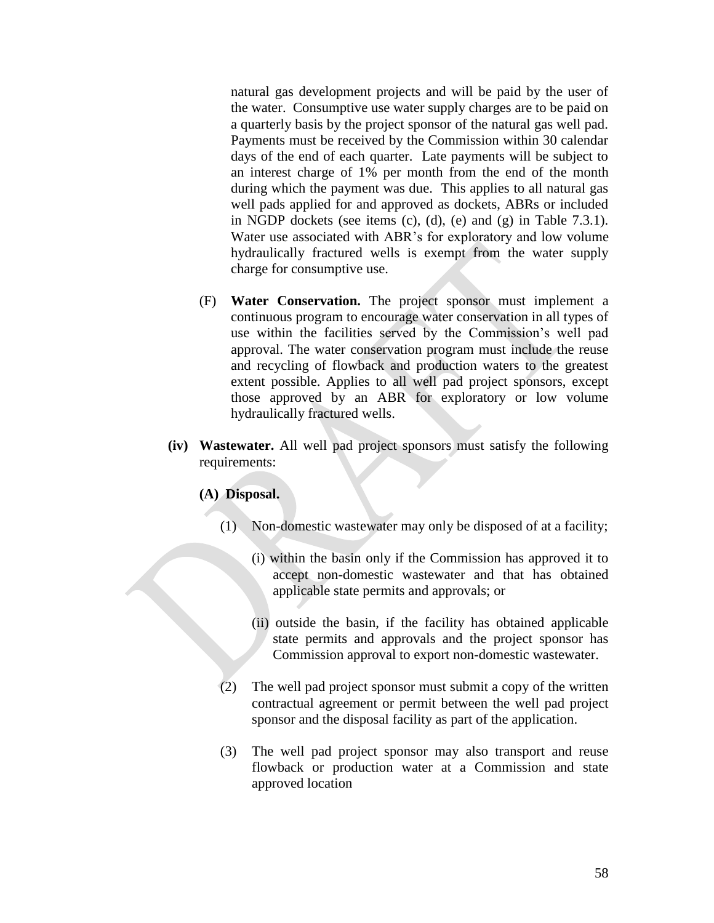natural gas development projects and will be paid by the user of the water. Consumptive use water supply charges are to be paid on a quarterly basis by the project sponsor of the natural gas well pad. Payments must be received by the Commission within 30 calendar days of the end of each quarter. Late payments will be subject to an interest charge of 1% per month from the end of the month during which the payment was due. This applies to all natural gas well pads applied for and approved as dockets, ABRs or included in NGDP dockets (see items  $(c)$ ,  $(d)$ ,  $(e)$  and  $(g)$  in Table 7.3.1). Water use associated with ABR's for exploratory and low volume hydraulically fractured wells is exempt from the water supply charge for consumptive use.

- (F) **Water Conservation.** The project sponsor must implement a continuous program to encourage water conservation in all types of use within the facilities served by the Commission's well pad approval. The water conservation program must include the reuse and recycling of flowback and production waters to the greatest extent possible. Applies to all well pad project sponsors, except those approved by an ABR for exploratory or low volume hydraulically fractured wells.
- **(iv) Wastewater.** All well pad project sponsors must satisfy the following requirements:

## **(A) Disposal.**

- (1) Non-domestic wastewater may only be disposed of at a facility;
	- (i) within the basin only if the Commission has approved it to accept non-domestic wastewater and that has obtained applicable state permits and approvals; or
	- (ii) outside the basin, if the facility has obtained applicable state permits and approvals and the project sponsor has Commission approval to export non-domestic wastewater.
- (2) The well pad project sponsor must submit a copy of the written contractual agreement or permit between the well pad project sponsor and the disposal facility as part of the application.
- (3) The well pad project sponsor may also transport and reuse flowback or production water at a Commission and state approved location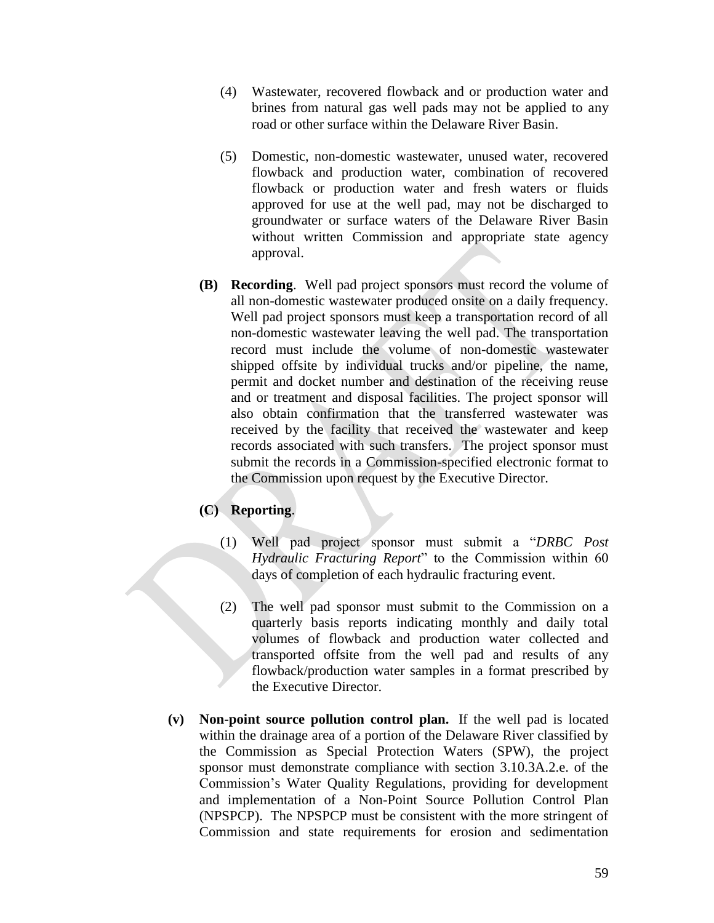- (4) Wastewater, recovered flowback and or production water and brines from natural gas well pads may not be applied to any road or other surface within the Delaware River Basin.
- (5) Domestic, non-domestic wastewater, unused water, recovered flowback and production water, combination of recovered flowback or production water and fresh waters or fluids approved for use at the well pad, may not be discharged to groundwater or surface waters of the Delaware River Basin without written Commission and appropriate state agency approval.
- **(B) Recording**. Well pad project sponsors must record the volume of all non-domestic wastewater produced onsite on a daily frequency. Well pad project sponsors must keep a transportation record of all non-domestic wastewater leaving the well pad. The transportation record must include the volume of non-domestic wastewater shipped offsite by individual trucks and/or pipeline, the name, permit and docket number and destination of the receiving reuse and or treatment and disposal facilities. The project sponsor will also obtain confirmation that the transferred wastewater was received by the facility that received the wastewater and keep records associated with such transfers. The project sponsor must submit the records in a Commission-specified electronic format to the Commission upon request by the Executive Director.

# **(C) Reporting**.

- (1) Well pad project sponsor must submit a "*DRBC Post Hydraulic Fracturing Report*" to the Commission within 60 days of completion of each hydraulic fracturing event.
- (2) The well pad sponsor must submit to the Commission on a quarterly basis reports indicating monthly and daily total volumes of flowback and production water collected and transported offsite from the well pad and results of any flowback/production water samples in a format prescribed by the Executive Director.
- **(v) Non-point source pollution control plan.** If the well pad is located within the drainage area of a portion of the Delaware River classified by the Commission as Special Protection Waters (SPW), the project sponsor must demonstrate compliance with section 3.10.3A.2.e. of the Commission's Water Quality Regulations, providing for development and implementation of a Non-Point Source Pollution Control Plan (NPSPCP). The NPSPCP must be consistent with the more stringent of Commission and state requirements for erosion and sedimentation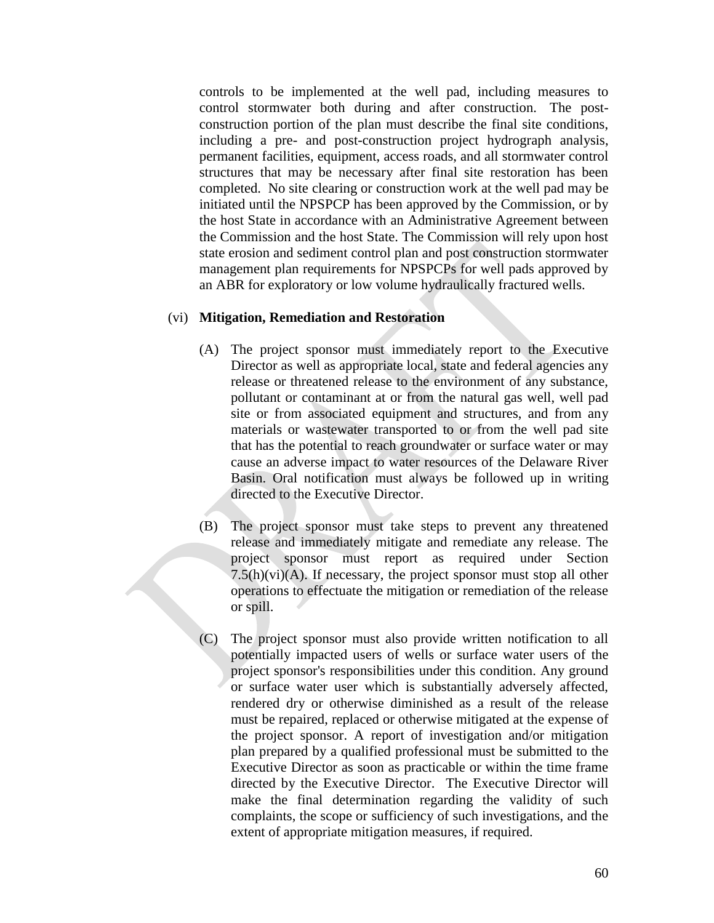controls to be implemented at the well pad, including measures to control stormwater both during and after construction. The postconstruction portion of the plan must describe the final site conditions, including a pre- and post-construction project hydrograph analysis, permanent facilities, equipment, access roads, and all stormwater control structures that may be necessary after final site restoration has been completed. No site clearing or construction work at the well pad may be initiated until the NPSPCP has been approved by the Commission, or by the host State in accordance with an Administrative Agreement between the Commission and the host State. The Commission will rely upon host state erosion and sediment control plan and post construction stormwater management plan requirements for NPSPCPs for well pads approved by an ABR for exploratory or low volume hydraulically fractured wells.

### (vi) **Mitigation, Remediation and Restoration**

- (A) The project sponsor must immediately report to the Executive Director as well as appropriate local, state and federal agencies any release or threatened release to the environment of any substance, pollutant or contaminant at or from the natural gas well, well pad site or from associated equipment and structures, and from any materials or wastewater transported to or from the well pad site that has the potential to reach groundwater or surface water or may cause an adverse impact to water resources of the Delaware River Basin. Oral notification must always be followed up in writing directed to the Executive Director.
- (B) The project sponsor must take steps to prevent any threatened release and immediately mitigate and remediate any release. The project sponsor must report as required under Section  $7.5(h)(vi)(A)$ . If necessary, the project sponsor must stop all other operations to effectuate the mitigation or remediation of the release or spill.
- (C) The project sponsor must also provide written notification to all potentially impacted users of wells or surface water users of the project sponsor's responsibilities under this condition. Any ground or surface water user which is substantially adversely affected, rendered dry or otherwise diminished as a result of the release must be repaired, replaced or otherwise mitigated at the expense of the project sponsor. A report of investigation and/or mitigation plan prepared by a qualified professional must be submitted to the Executive Director as soon as practicable or within the time frame directed by the Executive Director. The Executive Director will make the final determination regarding the validity of such complaints, the scope or sufficiency of such investigations, and the extent of appropriate mitigation measures, if required.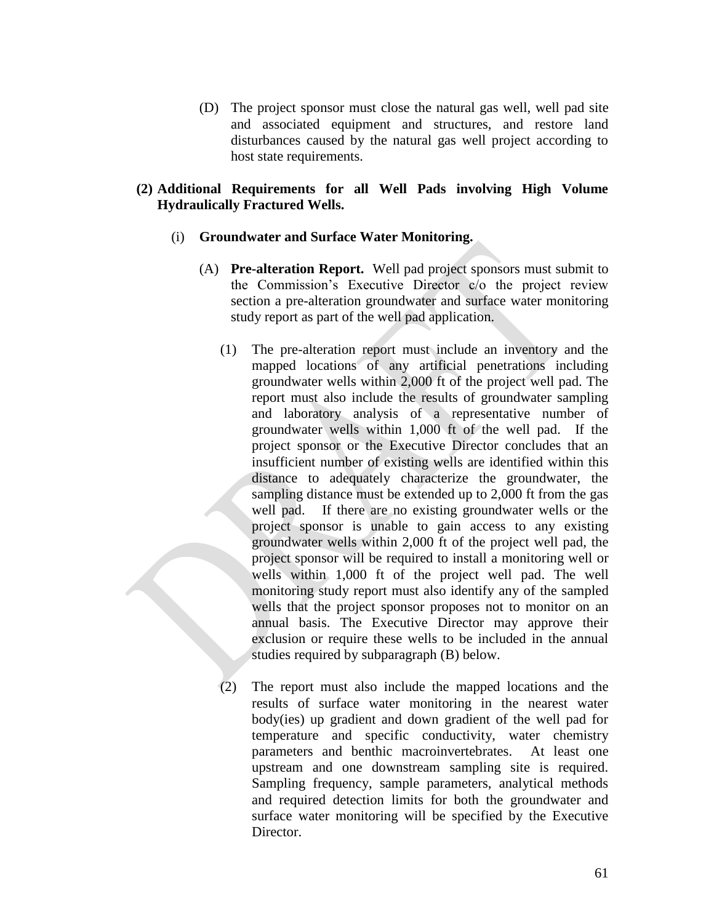(D) The project sponsor must close the natural gas well, well pad site and associated equipment and structures, and restore land disturbances caused by the natural gas well project according to host state requirements.

# **(2) Additional Requirements for all Well Pads involving High Volume Hydraulically Fractured Wells.**

## (i) **Groundwater and Surface Water Monitoring.**

- (A) **Pre-alteration Report.** Well pad project sponsors must submit to the Commission's Executive Director c/o the project review section a pre-alteration groundwater and surface water monitoring study report as part of the well pad application.
	- (1) The pre-alteration report must include an inventory and the mapped locations of any artificial penetrations including groundwater wells within 2,000 ft of the project well pad. The report must also include the results of groundwater sampling and laboratory analysis of a representative number of groundwater wells within 1,000 ft of the well pad. If the project sponsor or the Executive Director concludes that an insufficient number of existing wells are identified within this distance to adequately characterize the groundwater, the sampling distance must be extended up to 2,000 ft from the gas well pad. If there are no existing groundwater wells or the project sponsor is unable to gain access to any existing groundwater wells within 2,000 ft of the project well pad, the project sponsor will be required to install a monitoring well or wells within 1,000 ft of the project well pad. The well monitoring study report must also identify any of the sampled wells that the project sponsor proposes not to monitor on an annual basis. The Executive Director may approve their exclusion or require these wells to be included in the annual studies required by subparagraph (B) below.
	- (2) The report must also include the mapped locations and the results of surface water monitoring in the nearest water body(ies) up gradient and down gradient of the well pad for temperature and specific conductivity, water chemistry parameters and benthic macroinvertebrates. At least one upstream and one downstream sampling site is required. Sampling frequency, sample parameters, analytical methods and required detection limits for both the groundwater and surface water monitoring will be specified by the Executive Director.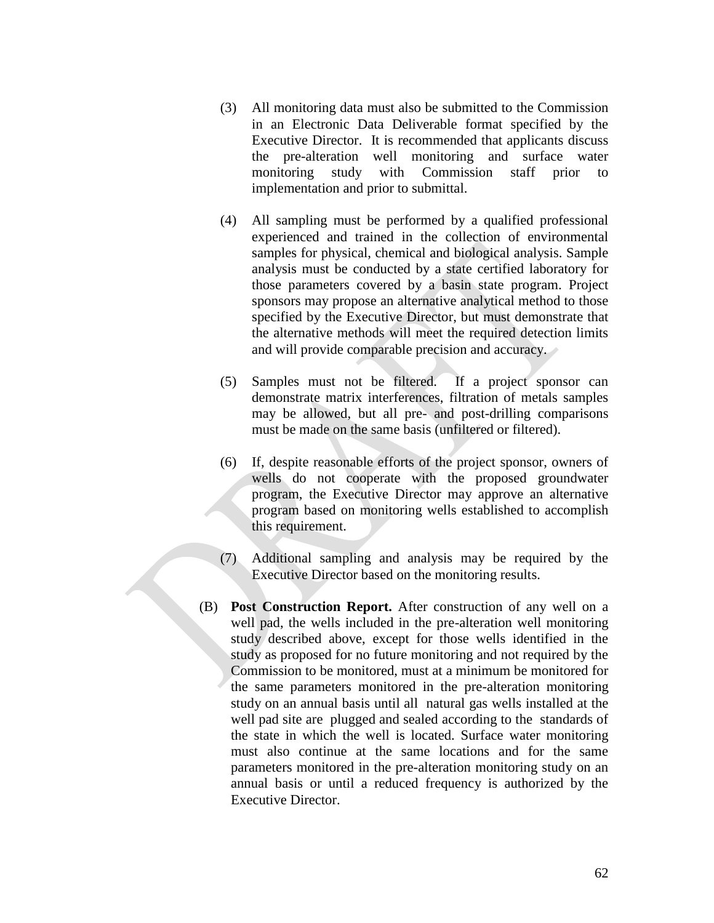- (3) All monitoring data must also be submitted to the Commission in an Electronic Data Deliverable format specified by the Executive Director. It is recommended that applicants discuss the pre-alteration well monitoring and surface water monitoring study with Commission staff prior to implementation and prior to submittal.
- (4) All sampling must be performed by a qualified professional experienced and trained in the collection of environmental samples for physical, chemical and biological analysis. Sample analysis must be conducted by a state certified laboratory for those parameters covered by a basin state program. Project sponsors may propose an alternative analytical method to those specified by the Executive Director, but must demonstrate that the alternative methods will meet the required detection limits and will provide comparable precision and accuracy.
- (5) Samples must not be filtered. If a project sponsor can demonstrate matrix interferences, filtration of metals samples may be allowed, but all pre- and post-drilling comparisons must be made on the same basis (unfiltered or filtered).
- (6) If, despite reasonable efforts of the project sponsor, owners of wells do not cooperate with the proposed groundwater program, the Executive Director may approve an alternative program based on monitoring wells established to accomplish this requirement.
- (7) Additional sampling and analysis may be required by the Executive Director based on the monitoring results.
- (B) **Post Construction Report.** After construction of any well on a well pad, the wells included in the pre-alteration well monitoring study described above, except for those wells identified in the study as proposed for no future monitoring and not required by the Commission to be monitored, must at a minimum be monitored for the same parameters monitored in the pre-alteration monitoring study on an annual basis until all natural gas wells installed at the well pad site are plugged and sealed according to the standards of the state in which the well is located. Surface water monitoring must also continue at the same locations and for the same parameters monitored in the pre-alteration monitoring study on an annual basis or until a reduced frequency is authorized by the Executive Director.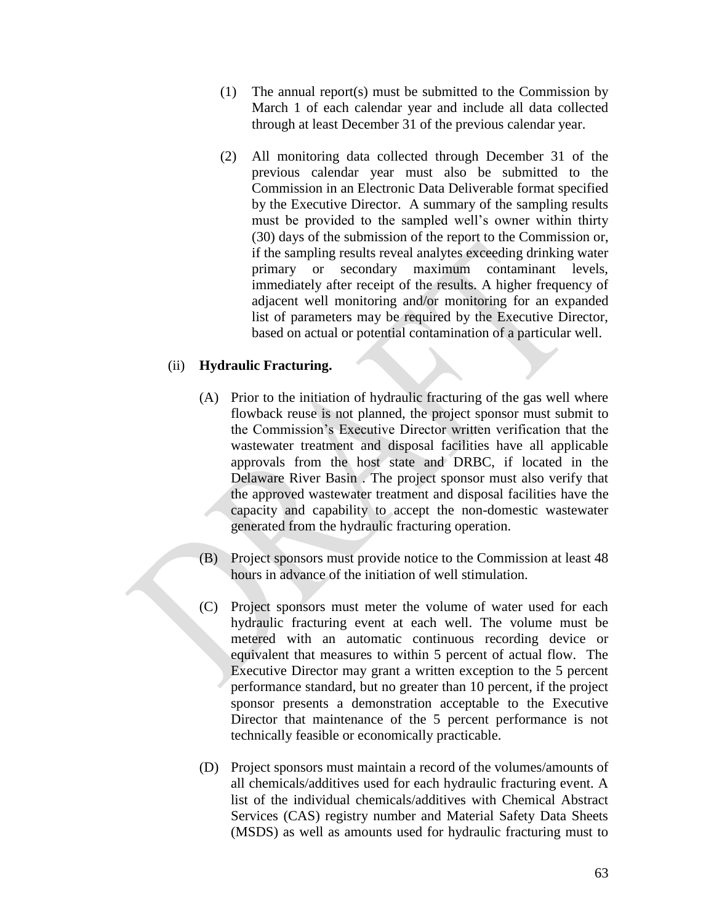- (1) The annual report(s) must be submitted to the Commission by March 1 of each calendar year and include all data collected through at least December 31 of the previous calendar year.
- (2) All monitoring data collected through December 31 of the previous calendar year must also be submitted to the Commission in an Electronic Data Deliverable format specified by the Executive Director. A summary of the sampling results must be provided to the sampled well's owner within thirty (30) days of the submission of the report to the Commission or, if the sampling results reveal analytes exceeding drinking water primary or secondary maximum contaminant levels, immediately after receipt of the results. A higher frequency of adjacent well monitoring and/or monitoring for an expanded list of parameters may be required by the Executive Director, based on actual or potential contamination of a particular well.

## (ii) **Hydraulic Fracturing.**

- (A) Prior to the initiation of hydraulic fracturing of the gas well where flowback reuse is not planned, the project sponsor must submit to the Commission's Executive Director written verification that the wastewater treatment and disposal facilities have all applicable approvals from the host state and DRBC, if located in the Delaware River Basin . The project sponsor must also verify that the approved wastewater treatment and disposal facilities have the capacity and capability to accept the non-domestic wastewater generated from the hydraulic fracturing operation.
- (B) Project sponsors must provide notice to the Commission at least 48 hours in advance of the initiation of well stimulation.
- (C) Project sponsors must meter the volume of water used for each hydraulic fracturing event at each well. The volume must be metered with an automatic continuous recording device or equivalent that measures to within 5 percent of actual flow. The Executive Director may grant a written exception to the 5 percent performance standard, but no greater than 10 percent, if the project sponsor presents a demonstration acceptable to the Executive Director that maintenance of the 5 percent performance is not technically feasible or economically practicable.
- (D) Project sponsors must maintain a record of the volumes/amounts of all chemicals/additives used for each hydraulic fracturing event. A list of the individual chemicals/additives with Chemical Abstract Services (CAS) registry number and Material Safety Data Sheets (MSDS) as well as amounts used for hydraulic fracturing must to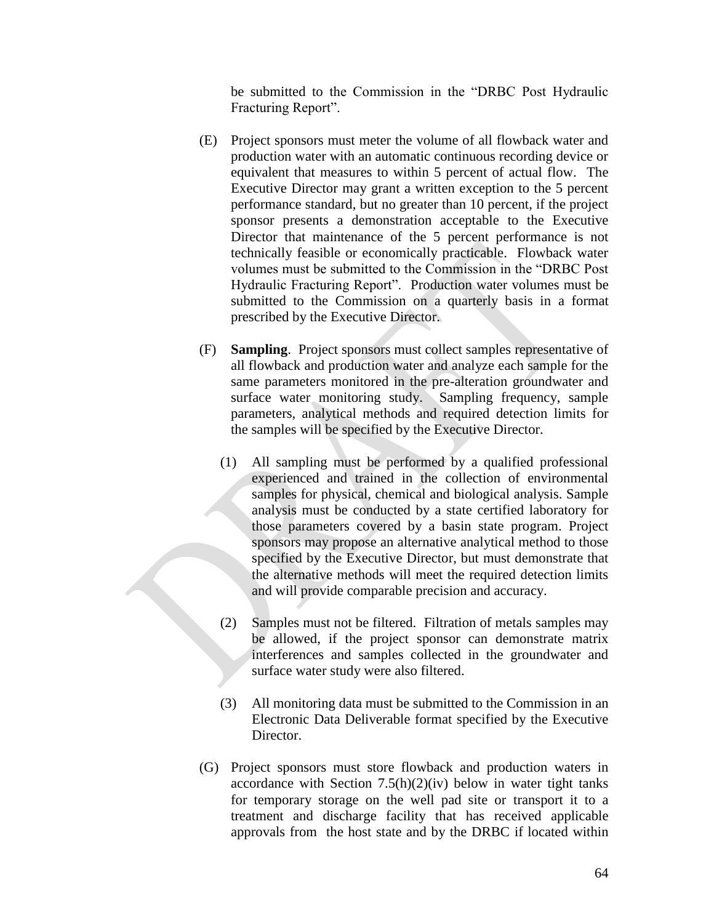be submitted to the Commission in the "DRBC Post Hydraulic Fracturing Report".

- (E) Project sponsors must meter the volume of all flowback water and production water with an automatic continuous recording device or equivalent that measures to within 5 percent of actual flow. The Executive Director may grant a written exception to the 5 percent performance standard, but no greater than 10 percent, if the project sponsor presents a demonstration acceptable to the Executive Director that maintenance of the 5 percent performance is not technically feasible or economically practicable. Flowback water volumes must be submitted to the Commission in the "DRBC Post Hydraulic Fracturing Report". Production water volumes must be submitted to the Commission on a quarterly basis in a format prescribed by the Executive Director.
- (F) **Sampling**. Project sponsors must collect samples representative of all flowback and production water and analyze each sample for the same parameters monitored in the pre-alteration groundwater and surface water monitoring study. Sampling frequency, sample parameters, analytical methods and required detection limits for the samples will be specified by the Executive Director.
	- (1) All sampling must be performed by a qualified professional experienced and trained in the collection of environmental samples for physical, chemical and biological analysis. Sample analysis must be conducted by a state certified laboratory for those parameters covered by a basin state program. Project sponsors may propose an alternative analytical method to those specified by the Executive Director, but must demonstrate that the alternative methods will meet the required detection limits and will provide comparable precision and accuracy.
	- (2) Samples must not be filtered. Filtration of metals samples may be allowed, if the project sponsor can demonstrate matrix interferences and samples collected in the groundwater and surface water study were also filtered.
	- (3) All monitoring data must be submitted to the Commission in an Electronic Data Deliverable format specified by the Executive Director.
- (G) Project sponsors must store flowback and production waters in accordance with Section  $7.5(h)(2)(iv)$  below in water tight tanks for temporary storage on the well pad site or transport it to a treatment and discharge facility that has received applicable approvals from the host state and by the DRBC if located within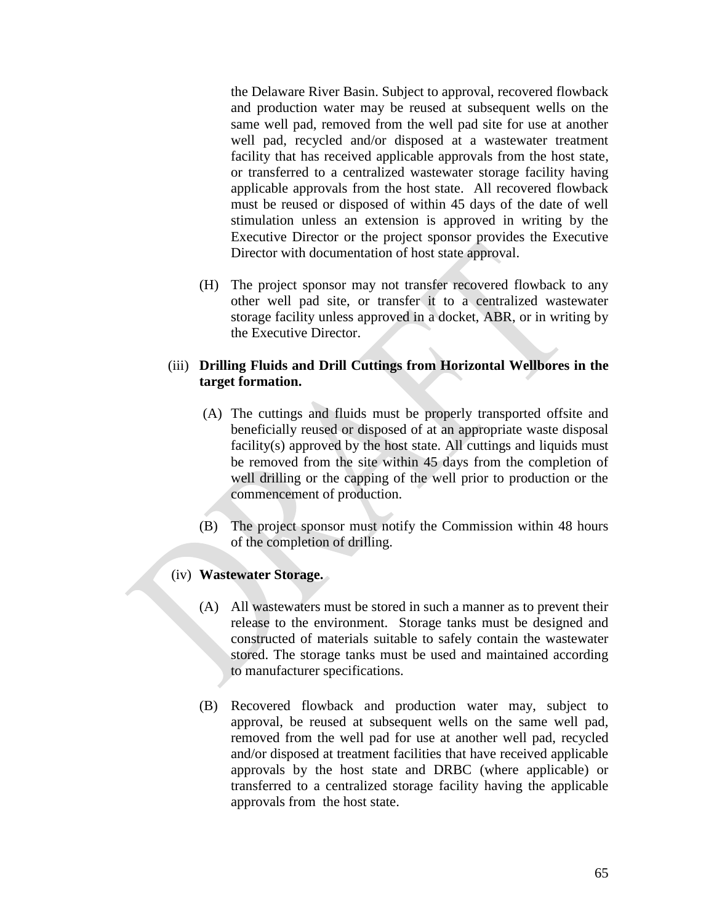the Delaware River Basin. Subject to approval, recovered flowback and production water may be reused at subsequent wells on the same well pad, removed from the well pad site for use at another well pad, recycled and/or disposed at a wastewater treatment facility that has received applicable approvals from the host state, or transferred to a centralized wastewater storage facility having applicable approvals from the host state. All recovered flowback must be reused or disposed of within 45 days of the date of well stimulation unless an extension is approved in writing by the Executive Director or the project sponsor provides the Executive Director with documentation of host state approval.

(H) The project sponsor may not transfer recovered flowback to any other well pad site, or transfer it to a centralized wastewater storage facility unless approved in a docket, ABR, or in writing by the Executive Director.

# (iii) **Drilling Fluids and Drill Cuttings from Horizontal Wellbores in the target formation.**

- (A) The cuttings and fluids must be properly transported offsite and beneficially reused or disposed of at an appropriate waste disposal facility(s) approved by the host state. All cuttings and liquids must be removed from the site within 45 days from the completion of well drilling or the capping of the well prior to production or the commencement of production.
- (B) The project sponsor must notify the Commission within 48 hours of the completion of drilling.

# (iv) **Wastewater Storage.**

- (A) All wastewaters must be stored in such a manner as to prevent their release to the environment. Storage tanks must be designed and constructed of materials suitable to safely contain the wastewater stored. The storage tanks must be used and maintained according to manufacturer specifications.
- (B) Recovered flowback and production water may, subject to approval, be reused at subsequent wells on the same well pad, removed from the well pad for use at another well pad, recycled and/or disposed at treatment facilities that have received applicable approvals by the host state and DRBC (where applicable) or transferred to a centralized storage facility having the applicable approvals from the host state.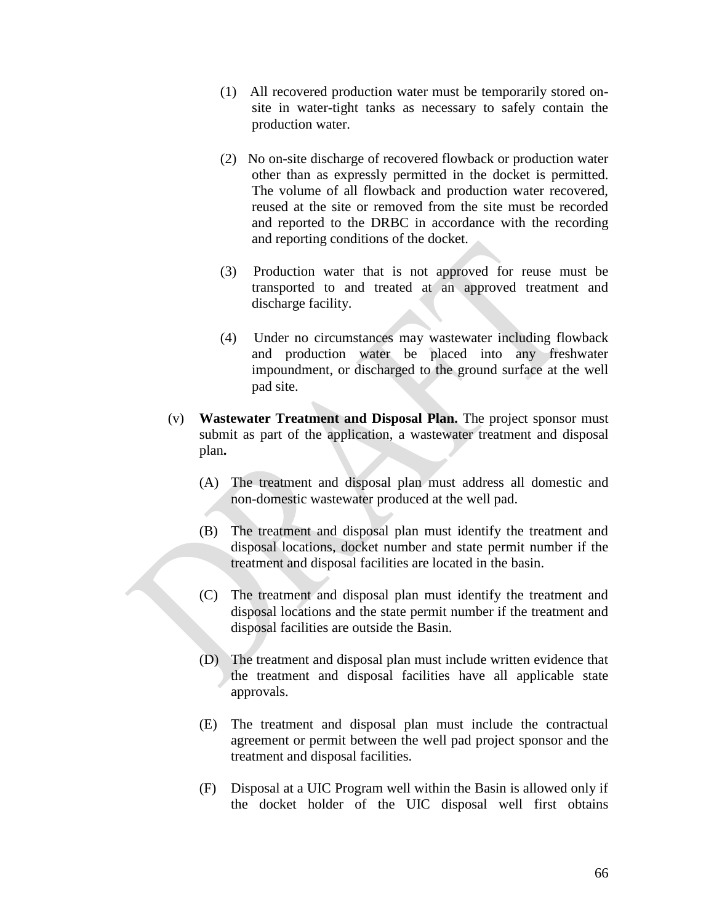- (1) All recovered production water must be temporarily stored onsite in water-tight tanks as necessary to safely contain the production water.
- (2) No on-site discharge of recovered flowback or production water other than as expressly permitted in the docket is permitted. The volume of all flowback and production water recovered, reused at the site or removed from the site must be recorded and reported to the DRBC in accordance with the recording and reporting conditions of the docket.
- (3) Production water that is not approved for reuse must be transported to and treated at an approved treatment and discharge facility.
- (4) Under no circumstances may wastewater including flowback and production water be placed into any freshwater impoundment, or discharged to the ground surface at the well pad site.
- (v) **Wastewater Treatment and Disposal Plan.** The project sponsor must submit as part of the application, a wastewater treatment and disposal plan**.**
	- (A) The treatment and disposal plan must address all domestic and non-domestic wastewater produced at the well pad.
	- (B) The treatment and disposal plan must identify the treatment and disposal locations, docket number and state permit number if the treatment and disposal facilities are located in the basin.
	- (C) The treatment and disposal plan must identify the treatment and disposal locations and the state permit number if the treatment and disposal facilities are outside the Basin.
	- (D) The treatment and disposal plan must include written evidence that the treatment and disposal facilities have all applicable state approvals.
	- (E) The treatment and disposal plan must include the contractual agreement or permit between the well pad project sponsor and the treatment and disposal facilities.
	- (F) Disposal at a UIC Program well within the Basin is allowed only if the docket holder of the UIC disposal well first obtains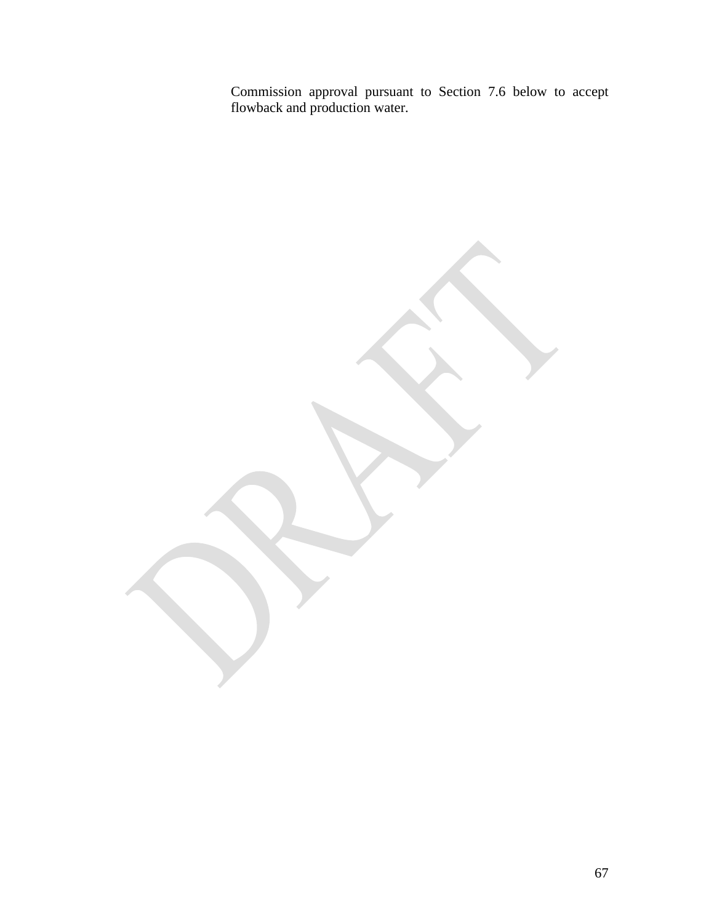Commission approval pursuant to Section 7.6 below to accept flowback and production water.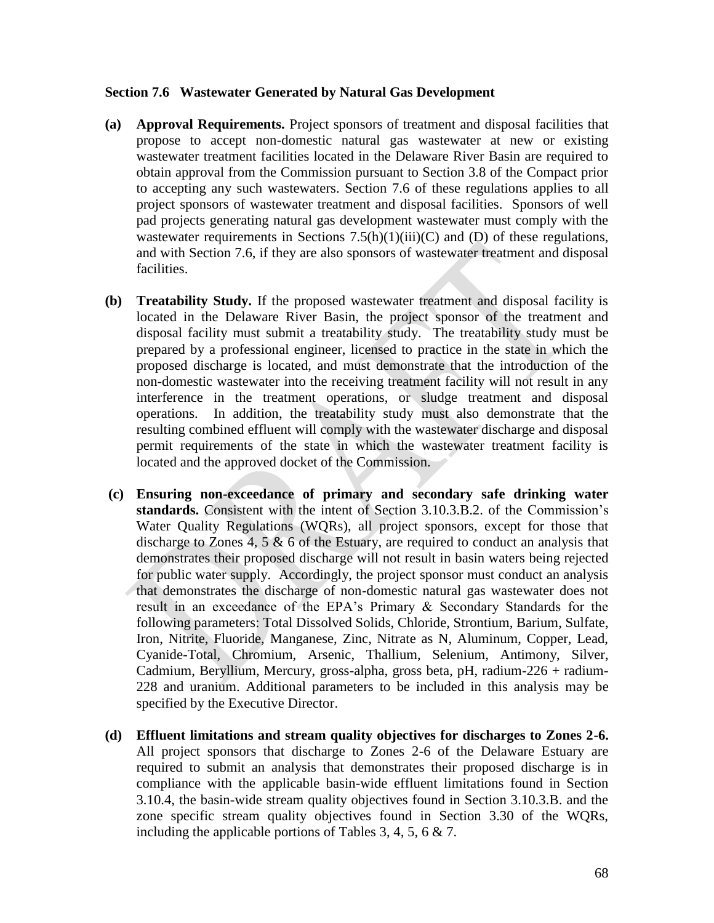### **Section 7.6 Wastewater Generated by Natural Gas Development**

- **(a) Approval Requirements.** Project sponsors of treatment and disposal facilities that propose to accept non-domestic natural gas wastewater at new or existing wastewater treatment facilities located in the Delaware River Basin are required to obtain approval from the Commission pursuant to Section 3.8 of the Compact prior to accepting any such wastewaters. Section 7.6 of these regulations applies to all project sponsors of wastewater treatment and disposal facilities. Sponsors of well pad projects generating natural gas development wastewater must comply with the wastewater requirements in Sections  $7.5(h)(1)(iii)(C)$  and  $(D)$  of these regulations, and with Section 7.6, if they are also sponsors of wastewater treatment and disposal facilities.
- **(b) Treatability Study.** If the proposed wastewater treatment and disposal facility is located in the Delaware River Basin, the project sponsor of the treatment and disposal facility must submit a treatability study. The treatability study must be prepared by a professional engineer, licensed to practice in the state in which the proposed discharge is located, and must demonstrate that the introduction of the non-domestic wastewater into the receiving treatment facility will not result in any interference in the treatment operations, or sludge treatment and disposal operations. In addition, the treatability study must also demonstrate that the resulting combined effluent will comply with the wastewater discharge and disposal permit requirements of the state in which the wastewater treatment facility is located and the approved docket of the Commission.
- **(c) Ensuring non-exceedance of primary and secondary safe drinking water standards.** Consistent with the intent of Section 3.10.3.B.2. of the Commission's Water Quality Regulations (WQRs), all project sponsors, except for those that discharge to Zones 4, 5 & 6 of the Estuary, are required to conduct an analysis that demonstrates their proposed discharge will not result in basin waters being rejected for public water supply. Accordingly, the project sponsor must conduct an analysis that demonstrates the discharge of non-domestic natural gas wastewater does not result in an exceedance of the EPA's Primary & Secondary Standards for the following parameters: Total Dissolved Solids, Chloride, Strontium, Barium, Sulfate, Iron, Nitrite, Fluoride, Manganese, Zinc, Nitrate as N, Aluminum, Copper, Lead, Cyanide-Total, Chromium, Arsenic, Thallium, Selenium, Antimony, Silver, Cadmium, Beryllium, Mercury, gross-alpha, gross beta, pH, radium-226 + radium-228 and uranium. Additional parameters to be included in this analysis may be specified by the Executive Director.
- **(d) Effluent limitations and stream quality objectives for discharges to Zones 2-6.**  All project sponsors that discharge to Zones 2-6 of the Delaware Estuary are required to submit an analysis that demonstrates their proposed discharge is in compliance with the applicable basin-wide effluent limitations found in Section 3.10.4, the basin-wide stream quality objectives found in Section 3.10.3.B. and the zone specific stream quality objectives found in Section 3.30 of the WQRs, including the applicable portions of Tables 3, 4, 5, 6 & 7.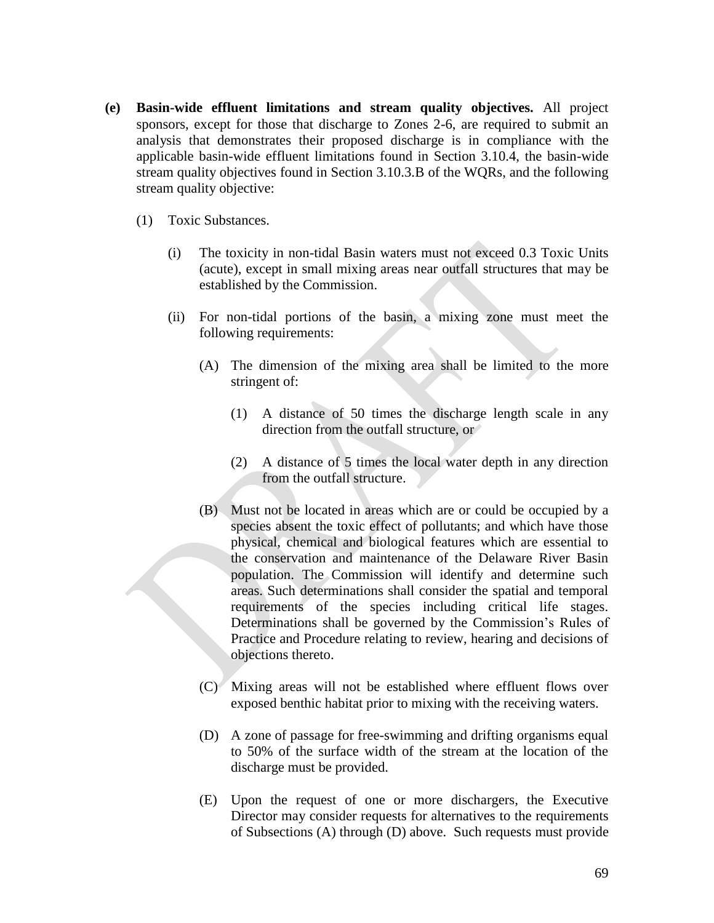- **(e) Basin-wide effluent limitations and stream quality objectives.** All project sponsors, except for those that discharge to Zones 2-6, are required to submit an analysis that demonstrates their proposed discharge is in compliance with the applicable basin-wide effluent limitations found in Section 3.10.4, the basin-wide stream quality objectives found in Section 3.10.3.B of the WQRs, and the following stream quality objective:
	- (1) Toxic Substances.
		- (i) The toxicity in non-tidal Basin waters must not exceed 0.3 Toxic Units (acute), except in small mixing areas near outfall structures that may be established by the Commission.
		- (ii) For non-tidal portions of the basin, a mixing zone must meet the following requirements:
			- (A) The dimension of the mixing area shall be limited to the more stringent of:
				- (1) A distance of 50 times the discharge length scale in any direction from the outfall structure, or
				- (2) A distance of 5 times the local water depth in any direction from the outfall structure.
			- (B) Must not be located in areas which are or could be occupied by a species absent the toxic effect of pollutants; and which have those physical, chemical and biological features which are essential to the conservation and maintenance of the Delaware River Basin population. The Commission will identify and determine such areas. Such determinations shall consider the spatial and temporal requirements of the species including critical life stages. Determinations shall be governed by the Commission's Rules of Practice and Procedure relating to review, hearing and decisions of objections thereto.
			- (C) Mixing areas will not be established where effluent flows over exposed benthic habitat prior to mixing with the receiving waters.
			- (D) A zone of passage for free-swimming and drifting organisms equal to 50% of the surface width of the stream at the location of the discharge must be provided.
			- (E) Upon the request of one or more dischargers, the Executive Director may consider requests for alternatives to the requirements of Subsections (A) through (D) above. Such requests must provide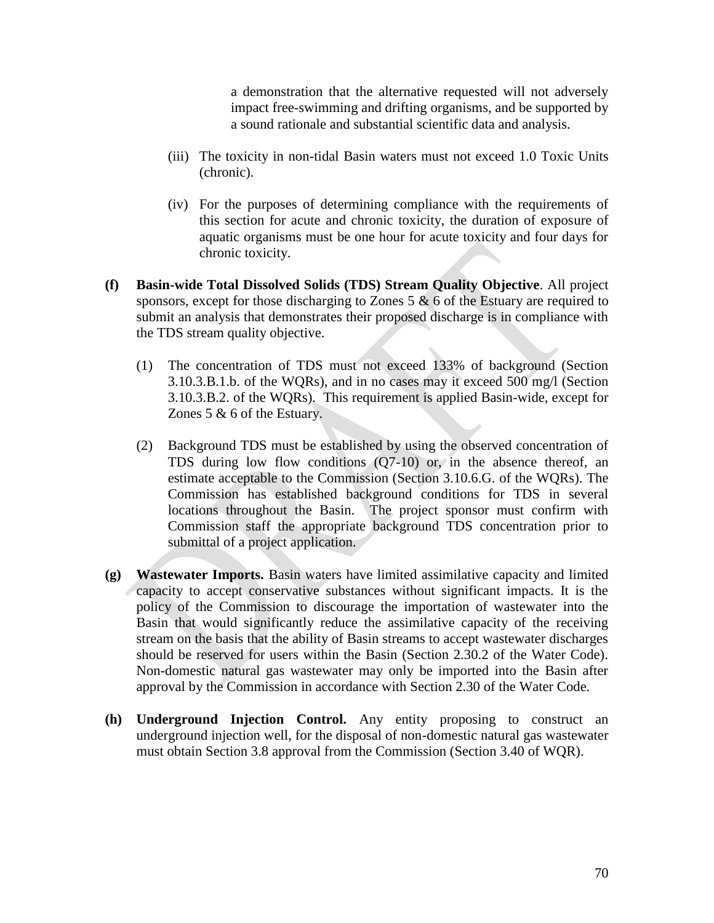a demonstration that the alternative requested will not adversely impact free-swimming and drifting organisms, and be supported by a sound rationale and substantial scientific data and analysis.

- (iii) The toxicity in non-tidal Basin waters must not exceed 1.0 Toxic Units (chronic).
- (iv) For the purposes of determining compliance with the requirements of this section for acute and chronic toxicity, the duration of exposure of aquatic organisms must be one hour for acute toxicity and four days for chronic toxicity.
- **(f) Basin-wide Total Dissolved Solids (TDS) Stream Quality Objective**. All project sponsors, except for those discharging to Zones 5 & 6 of the Estuary are required to submit an analysis that demonstrates their proposed discharge is in compliance with the TDS stream quality objective.
	- (1) The concentration of TDS must not exceed 133% of background (Section 3.10.3.B.1.b. of the WQRs), and in no cases may it exceed 500 mg/l (Section 3.10.3.B.2. of the WQRs). This requirement is applied Basin-wide, except for Zones 5 & 6 of the Estuary.
	- (2) Background TDS must be established by using the observed concentration of TDS during low flow conditions (Q7-10) or, in the absence thereof, an estimate acceptable to the Commission (Section 3.10.6.G. of the WQRs). The Commission has established background conditions for TDS in several locations throughout the Basin. The project sponsor must confirm with Commission staff the appropriate background TDS concentration prior to submittal of a project application.
- **(g) Wastewater Imports.** Basin waters have limited assimilative capacity and limited capacity to accept conservative substances without significant impacts. It is the policy of the Commission to discourage the importation of wastewater into the Basin that would significantly reduce the assimilative capacity of the receiving stream on the basis that the ability of Basin streams to accept wastewater discharges should be reserved for users within the Basin (Section 2.30.2 of the Water Code). Non-domestic natural gas wastewater may only be imported into the Basin after approval by the Commission in accordance with Section 2.30 of the Water Code.
- **(h) Underground Injection Control.** Any entity proposing to construct an underground injection well, for the disposal of non-domestic natural gas wastewater must obtain Section 3.8 approval from the Commission (Section 3.40 of WQR).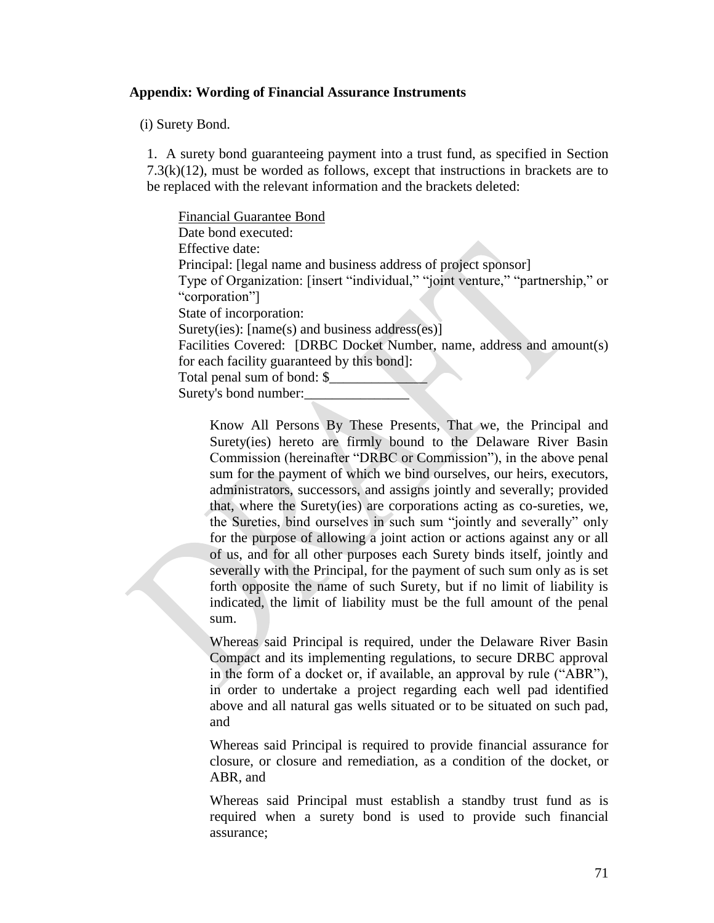### **Appendix: Wording of Financial Assurance Instruments**

(i) Surety Bond.

1. A surety bond guaranteeing payment into a trust fund, as specified in Section  $7.3(k)(12)$ , must be worded as follows, except that instructions in brackets are to be replaced with the relevant information and the brackets deleted:

Financial Guarantee Bond Date bond executed: Effective date: Principal: [legal name and business address of project sponsor] Type of Organization: [insert "individual," "joint venture," "partnership," or "corporation"] State of incorporation: Surety(ies): [name(s) and business address(es)] Facilities Covered: [DRBC Docket Number, name, address and amount(s) for each facility guaranteed by this bond]: Total penal sum of bond: \$ Surety's bond number:

Know All Persons By These Presents, That we, the Principal and Surety(ies) hereto are firmly bound to the Delaware River Basin Commission (hereinafter "DRBC or Commission"), in the above penal sum for the payment of which we bind ourselves, our heirs, executors, administrators, successors, and assigns jointly and severally; provided that, where the Surety(ies) are corporations acting as co-sureties, we, the Sureties, bind ourselves in such sum "jointly and severally" only for the purpose of allowing a joint action or actions against any or all of us, and for all other purposes each Surety binds itself, jointly and severally with the Principal, for the payment of such sum only as is set forth opposite the name of such Surety, but if no limit of liability is indicated, the limit of liability must be the full amount of the penal sum.

Whereas said Principal is required, under the Delaware River Basin Compact and its implementing regulations, to secure DRBC approval in the form of a docket or, if available, an approval by rule ("ABR"), in order to undertake a project regarding each well pad identified above and all natural gas wells situated or to be situated on such pad, and

Whereas said Principal is required to provide financial assurance for closure, or closure and remediation, as a condition of the docket, or ABR, and

Whereas said Principal must establish a standby trust fund as is required when a surety bond is used to provide such financial assurance;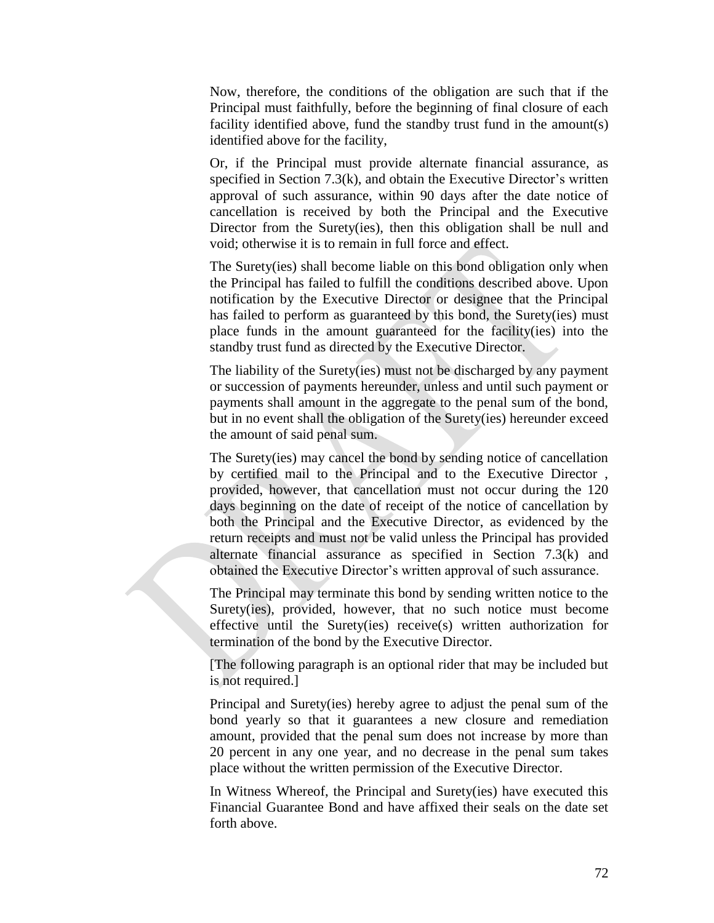Now, therefore, the conditions of the obligation are such that if the Principal must faithfully, before the beginning of final closure of each facility identified above, fund the standby trust fund in the amount(s) identified above for the facility,

Or, if the Principal must provide alternate financial assurance, as specified in Section 7.3(k), and obtain the Executive Director's written approval of such assurance, within 90 days after the date notice of cancellation is received by both the Principal and the Executive Director from the Surety(ies), then this obligation shall be null and void; otherwise it is to remain in full force and effect.

The Surety(ies) shall become liable on this bond obligation only when the Principal has failed to fulfill the conditions described above. Upon notification by the Executive Director or designee that the Principal has failed to perform as guaranteed by this bond, the Surety(ies) must place funds in the amount guaranteed for the facility(ies) into the standby trust fund as directed by the Executive Director.

The liability of the Surety(ies) must not be discharged by any payment or succession of payments hereunder, unless and until such payment or payments shall amount in the aggregate to the penal sum of the bond, but in no event shall the obligation of the Surety(ies) hereunder exceed the amount of said penal sum.

The Surety(ies) may cancel the bond by sending notice of cancellation by certified mail to the Principal and to the Executive Director , provided, however, that cancellation must not occur during the 120 days beginning on the date of receipt of the notice of cancellation by both the Principal and the Executive Director, as evidenced by the return receipts and must not be valid unless the Principal has provided alternate financial assurance as specified in Section 7.3(k) and obtained the Executive Director's written approval of such assurance.

The Principal may terminate this bond by sending written notice to the Surety(ies), provided, however, that no such notice must become effective until the Surety(ies) receive(s) written authorization for termination of the bond by the Executive Director.

[The following paragraph is an optional rider that may be included but is not required.]

Principal and Surety(ies) hereby agree to adjust the penal sum of the bond yearly so that it guarantees a new closure and remediation amount, provided that the penal sum does not increase by more than 20 percent in any one year, and no decrease in the penal sum takes place without the written permission of the Executive Director.

In Witness Whereof, the Principal and Surety(ies) have executed this Financial Guarantee Bond and have affixed their seals on the date set forth above.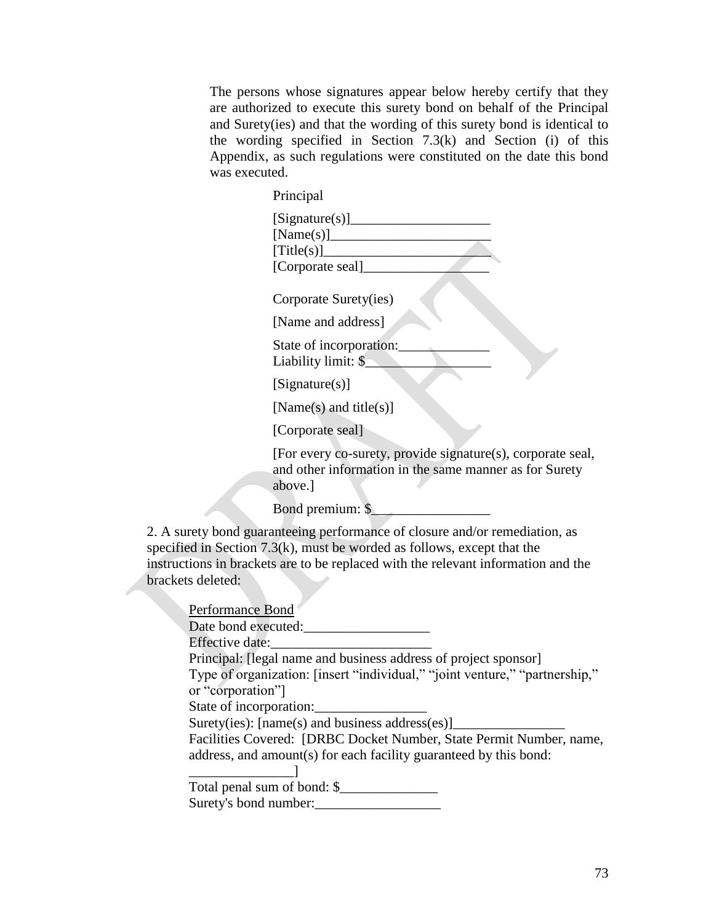The persons whose signatures appear below hereby certify that they are authorized to execute this surety bond on behalf of the Principal and Surety(ies) and that the wording of this surety bond is identical to the wording specified in Section 7.3(k) and Section (i) of this Appendix, as such regulations were constituted on the date this bond was executed.

|                   | Principal                                                                                                                                                                                                                                      |
|-------------------|------------------------------------------------------------------------------------------------------------------------------------------------------------------------------------------------------------------------------------------------|
|                   | [Signature(s)]<br>[Title(s)]<br>[Corporate seal]_                                                                                                                                                                                              |
|                   | Corporate Surety(ies)                                                                                                                                                                                                                          |
|                   | [Name and address]                                                                                                                                                                                                                             |
|                   | State of incorporation:<br>Liability limit: \$                                                                                                                                                                                                 |
|                   | [Sigma(x)]                                                                                                                                                                                                                                     |
|                   | [Name(s) and title(s)]                                                                                                                                                                                                                         |
|                   | [Corporate seal]                                                                                                                                                                                                                               |
|                   | [For every co-surety, provide signature(s), corporate seal,<br>and other information in the same manner as for Surety<br>above.]                                                                                                               |
|                   | Bond premium: \$                                                                                                                                                                                                                               |
| brackets deleted: | 2. A surety bond guaranteeing performance of closure and/or remediation, as<br>specified in Section $7.3(k)$ , must be worded as follows, except that the<br>instructions in brackets are to be replaced with the relevant information and the |

| Date bond executed:                                                                |
|------------------------------------------------------------------------------------|
| Effective date:<br>Principal: [legal name and business address of project sponsor] |
|                                                                                    |
|                                                                                    |
| Type of organization: [insert "individual," "joint venture," "partnership,"        |
| or "corporation"]                                                                  |
| State of incorporation:                                                            |
| Surety(ies): $[name(s)$ and business address(es) $]$                               |
| Facilities Covered: [DRBC Docket Number, State Permit Number, name,                |
| address, and amount(s) for each facility guaranteed by this bond:                  |
|                                                                                    |
| Total penal sum of bond: \$                                                        |
| Surety's bond number:                                                              |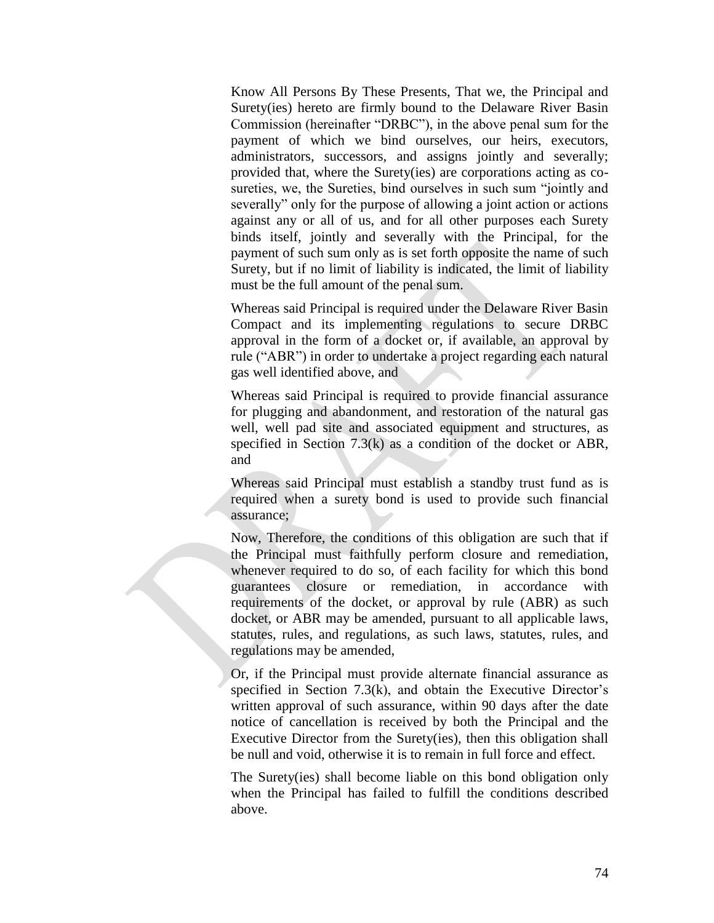Know All Persons By These Presents, That we, the Principal and Surety(ies) hereto are firmly bound to the Delaware River Basin Commission (hereinafter "DRBC"), in the above penal sum for the payment of which we bind ourselves, our heirs, executors, administrators, successors, and assigns jointly and severally; provided that, where the Surety(ies) are corporations acting as cosureties, we, the Sureties, bind ourselves in such sum "jointly and severally" only for the purpose of allowing a joint action or actions against any or all of us, and for all other purposes each Surety binds itself, jointly and severally with the Principal, for the payment of such sum only as is set forth opposite the name of such Surety, but if no limit of liability is indicated, the limit of liability must be the full amount of the penal sum.

Whereas said Principal is required under the Delaware River Basin Compact and its implementing regulations to secure DRBC approval in the form of a docket or, if available, an approval by rule ("ABR") in order to undertake a project regarding each natural gas well identified above, and

Whereas said Principal is required to provide financial assurance for plugging and abandonment, and restoration of the natural gas well, well pad site and associated equipment and structures, as specified in Section 7.3(k) as a condition of the docket or ABR, and

Whereas said Principal must establish a standby trust fund as is required when a surety bond is used to provide such financial assurance;

Now, Therefore, the conditions of this obligation are such that if the Principal must faithfully perform closure and remediation, whenever required to do so, of each facility for which this bond guarantees closure or remediation, in accordance with requirements of the docket, or approval by rule (ABR) as such docket, or ABR may be amended, pursuant to all applicable laws, statutes, rules, and regulations, as such laws, statutes, rules, and regulations may be amended,

Or, if the Principal must provide alternate financial assurance as specified in Section 7.3(k), and obtain the Executive Director's written approval of such assurance, within 90 days after the date notice of cancellation is received by both the Principal and the Executive Director from the Surety(ies), then this obligation shall be null and void, otherwise it is to remain in full force and effect.

The Surety(ies) shall become liable on this bond obligation only when the Principal has failed to fulfill the conditions described above.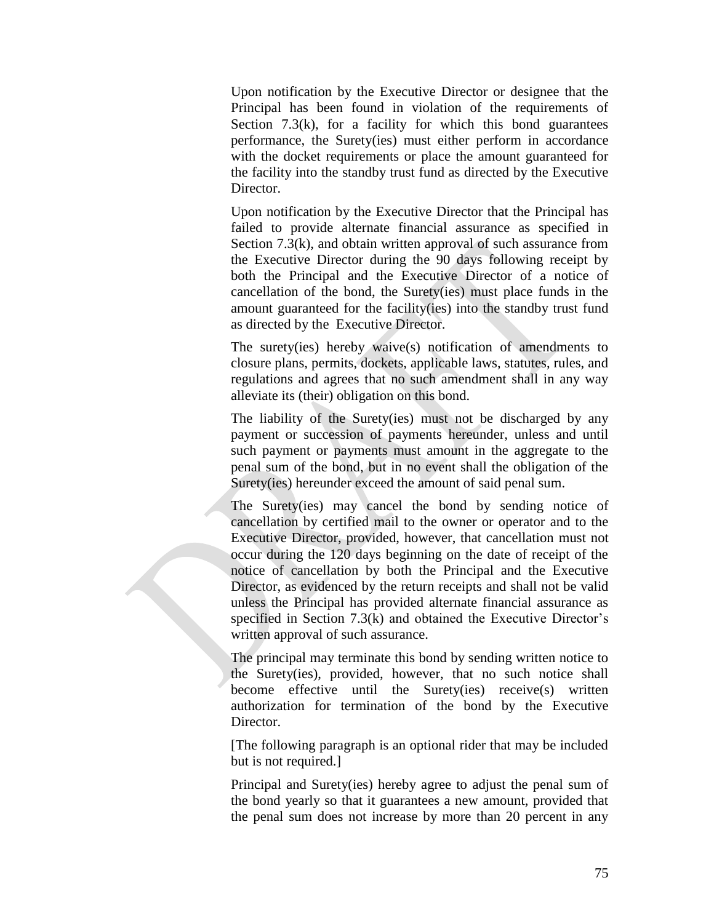Upon notification by the Executive Director or designee that the Principal has been found in violation of the requirements of Section  $7.3(k)$ , for a facility for which this bond guarantees performance, the Surety(ies) must either perform in accordance with the docket requirements or place the amount guaranteed for the facility into the standby trust fund as directed by the Executive Director.

Upon notification by the Executive Director that the Principal has failed to provide alternate financial assurance as specified in Section 7.3(k), and obtain written approval of such assurance from the Executive Director during the 90 days following receipt by both the Principal and the Executive Director of a notice of cancellation of the bond, the Surety(ies) must place funds in the amount guaranteed for the facility(ies) into the standby trust fund as directed by the Executive Director.

The surety(ies) hereby waive(s) notification of amendments to closure plans, permits, dockets, applicable laws, statutes, rules, and regulations and agrees that no such amendment shall in any way alleviate its (their) obligation on this bond.

The liability of the Surety(ies) must not be discharged by any payment or succession of payments hereunder, unless and until such payment or payments must amount in the aggregate to the penal sum of the bond, but in no event shall the obligation of the Surety(ies) hereunder exceed the amount of said penal sum.

The Surety(ies) may cancel the bond by sending notice of cancellation by certified mail to the owner or operator and to the Executive Director, provided, however, that cancellation must not occur during the 120 days beginning on the date of receipt of the notice of cancellation by both the Principal and the Executive Director, as evidenced by the return receipts and shall not be valid unless the Principal has provided alternate financial assurance as specified in Section 7.3(k) and obtained the Executive Director's written approval of such assurance.

The principal may terminate this bond by sending written notice to the Surety(ies), provided, however, that no such notice shall become effective until the Surety(ies) receive(s) written authorization for termination of the bond by the Executive Director.

[The following paragraph is an optional rider that may be included but is not required.]

Principal and Surety(ies) hereby agree to adjust the penal sum of the bond yearly so that it guarantees a new amount, provided that the penal sum does not increase by more than 20 percent in any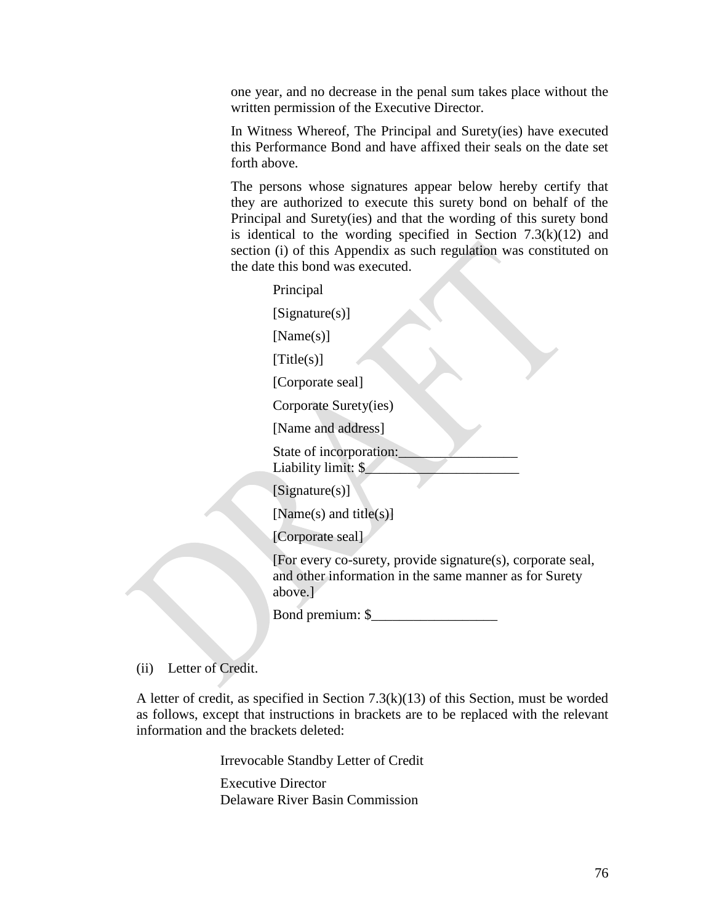one year, and no decrease in the penal sum takes place without the written permission of the Executive Director.

In Witness Whereof, The Principal and Surety(ies) have executed this Performance Bond and have affixed their seals on the date set forth above.

The persons whose signatures appear below hereby certify that they are authorized to execute this surety bond on behalf of the Principal and Surety(ies) and that the wording of this surety bond is identical to the wording specified in Section  $7.3(k)(12)$  and section (i) of this Appendix as such regulation was constituted on the date this bond was executed.

Principal [Signature(s)] [Name(s)]  $[Title(s)]$ [Corporate seal] Corporate Surety(ies) [Name and address] State of incorporation: Liability limit: \$ [Signature(s)] [Name(s) and title(s)]

[Corporate seal]

[For every co-surety, provide signature(s), corporate seal, and other information in the same manner as for Surety above.]

Bond premium: \$\_\_\_\_\_\_\_\_\_\_\_\_\_\_\_\_\_\_

(ii) Letter of Credit.

A letter of credit, as specified in Section 7.3(k)(13) of this Section, must be worded as follows, except that instructions in brackets are to be replaced with the relevant information and the brackets deleted:

Irrevocable Standby Letter of Credit

Executive Director Delaware River Basin Commission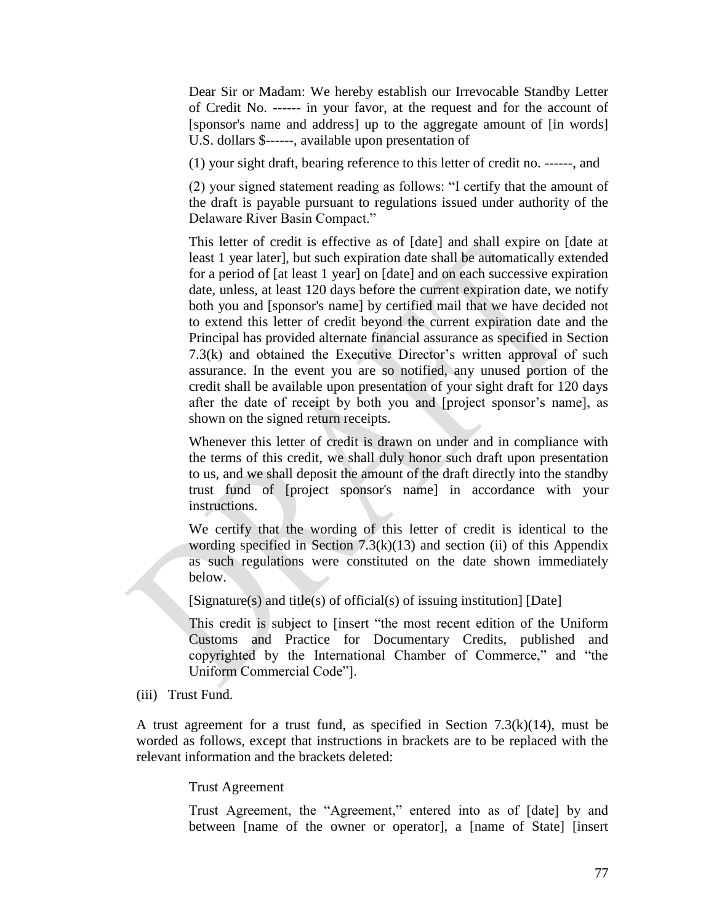Dear Sir or Madam: We hereby establish our Irrevocable Standby Letter of Credit No. ------ in your favor, at the request and for the account of [sponsor's name and address] up to the aggregate amount of [in words] U.S. dollars \$------, available upon presentation of

(1) your sight draft, bearing reference to this letter of credit no. ------, and

(2) your signed statement reading as follows: "I certify that the amount of the draft is payable pursuant to regulations issued under authority of the Delaware River Basin Compact."

This letter of credit is effective as of [date] and shall expire on [date at least 1 year later], but such expiration date shall be automatically extended for a period of [at least 1 year] on [date] and on each successive expiration date, unless, at least 120 days before the current expiration date, we notify both you and [sponsor's name] by certified mail that we have decided not to extend this letter of credit beyond the current expiration date and the Principal has provided alternate financial assurance as specified in Section 7.3(k) and obtained the Executive Director's written approval of such assurance. In the event you are so notified, any unused portion of the credit shall be available upon presentation of your sight draft for 120 days after the date of receipt by both you and [project sponsor's name], as shown on the signed return receipts.

Whenever this letter of credit is drawn on under and in compliance with the terms of this credit, we shall duly honor such draft upon presentation to us, and we shall deposit the amount of the draft directly into the standby trust fund of [project sponsor's name] in accordance with your instructions.

We certify that the wording of this letter of credit is identical to the wording specified in Section  $7.3(k)(13)$  and section (ii) of this Appendix as such regulations were constituted on the date shown immediately below.

[Signature(s) and title(s) of official(s) of issuing institution] [Date]

This credit is subject to [insert "the most recent edition of the Uniform Customs and Practice for Documentary Credits, published and copyrighted by the International Chamber of Commerce," and "the Uniform Commercial Code"].

(iii) Trust Fund.

A trust agreement for a trust fund, as specified in Section 7.3(k)(14), must be worded as follows, except that instructions in brackets are to be replaced with the relevant information and the brackets deleted:

## Trust Agreement

Trust Agreement, the "Agreement," entered into as of [date] by and between [name of the owner or operator], a [name of State] [insert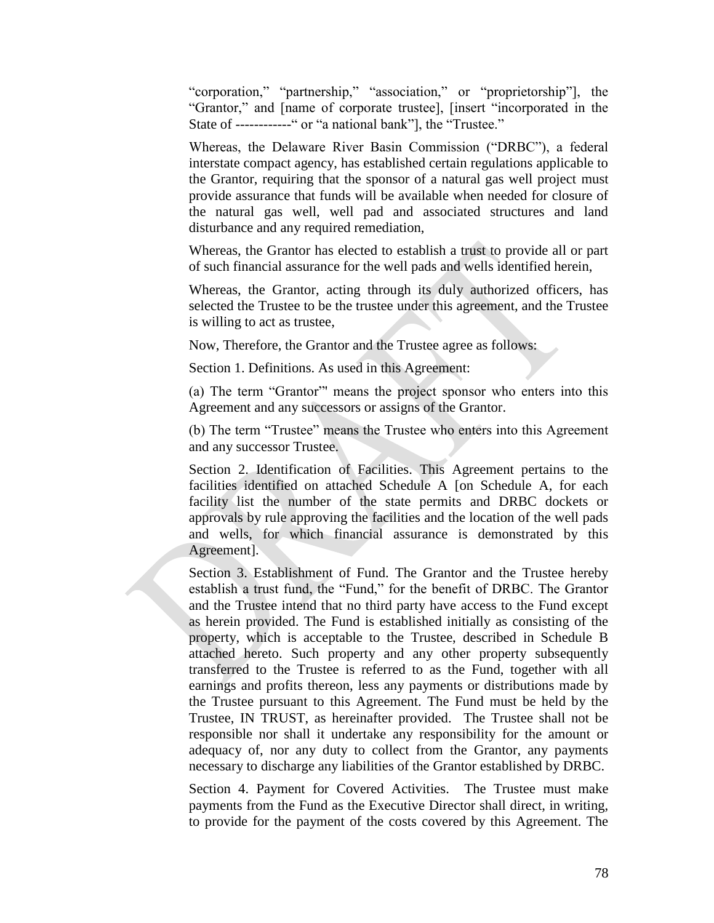"corporation," "partnership," "association," or "proprietorship"], the "Grantor," and [name of corporate trustee], [insert "incorporated in the State of ------------" or "a national bank"], the "Trustee."

Whereas, the Delaware River Basin Commission ("DRBC"), a federal interstate compact agency, has established certain regulations applicable to the Grantor, requiring that the sponsor of a natural gas well project must provide assurance that funds will be available when needed for closure of the natural gas well, well pad and associated structures and land disturbance and any required remediation,

Whereas, the Grantor has elected to establish a trust to provide all or part of such financial assurance for the well pads and wells identified herein,

Whereas, the Grantor, acting through its duly authorized officers, has selected the Trustee to be the trustee under this agreement, and the Trustee is willing to act as trustee,

Now, Therefore, the Grantor and the Trustee agree as follows:

Section 1. Definitions. As used in this Agreement:

(a) The term "Grantor"' means the project sponsor who enters into this Agreement and any successors or assigns of the Grantor.

(b) The term "Trustee" means the Trustee who enters into this Agreement and any successor Trustee.

Section 2. Identification of Facilities. This Agreement pertains to the facilities identified on attached Schedule A [on Schedule A, for each facility list the number of the state permits and DRBC dockets or approvals by rule approving the facilities and the location of the well pads and wells, for which financial assurance is demonstrated by this Agreement].

Section 3. Establishment of Fund. The Grantor and the Trustee hereby establish a trust fund, the "Fund," for the benefit of DRBC. The Grantor and the Trustee intend that no third party have access to the Fund except as herein provided. The Fund is established initially as consisting of the property, which is acceptable to the Trustee, described in Schedule B attached hereto. Such property and any other property subsequently transferred to the Trustee is referred to as the Fund, together with all earnings and profits thereon, less any payments or distributions made by the Trustee pursuant to this Agreement. The Fund must be held by the Trustee, IN TRUST, as hereinafter provided. The Trustee shall not be responsible nor shall it undertake any responsibility for the amount or adequacy of, nor any duty to collect from the Grantor, any payments necessary to discharge any liabilities of the Grantor established by DRBC.

Section 4. Payment for Covered Activities. The Trustee must make payments from the Fund as the Executive Director shall direct, in writing, to provide for the payment of the costs covered by this Agreement. The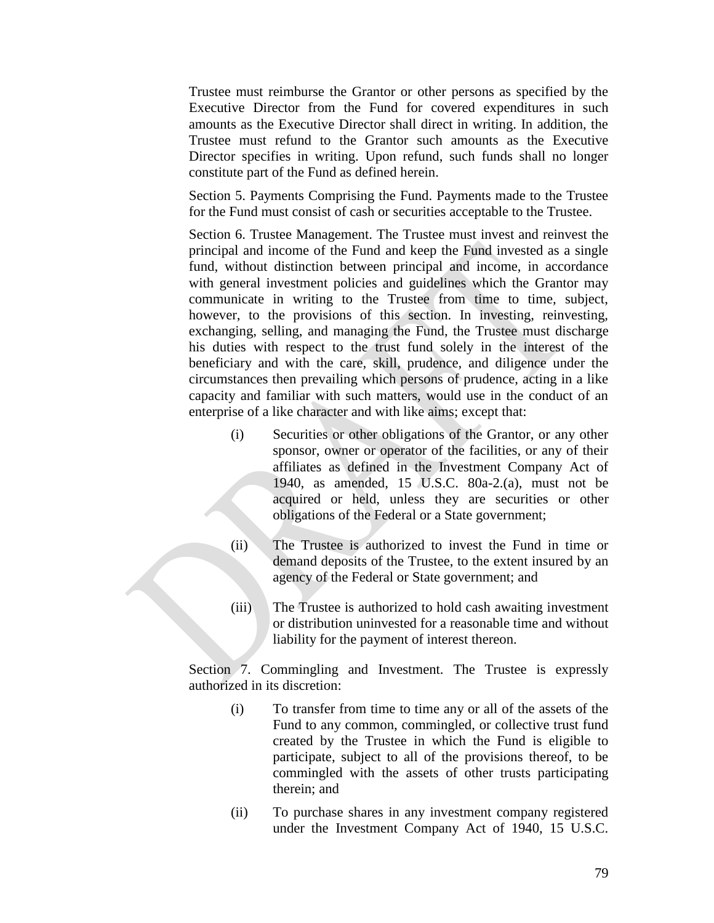Trustee must reimburse the Grantor or other persons as specified by the Executive Director from the Fund for covered expenditures in such amounts as the Executive Director shall direct in writing. In addition, the Trustee must refund to the Grantor such amounts as the Executive Director specifies in writing. Upon refund, such funds shall no longer constitute part of the Fund as defined herein.

Section 5. Payments Comprising the Fund. Payments made to the Trustee for the Fund must consist of cash or securities acceptable to the Trustee.

Section 6. Trustee Management. The Trustee must invest and reinvest the principal and income of the Fund and keep the Fund invested as a single fund, without distinction between principal and income, in accordance with general investment policies and guidelines which the Grantor may communicate in writing to the Trustee from time to time, subject, however, to the provisions of this section. In investing, reinvesting, exchanging, selling, and managing the Fund, the Trustee must discharge his duties with respect to the trust fund solely in the interest of the beneficiary and with the care, skill, prudence, and diligence under the circumstances then prevailing which persons of prudence, acting in a like capacity and familiar with such matters, would use in the conduct of an enterprise of a like character and with like aims; except that:

- (i) Securities or other obligations of the Grantor, or any other sponsor, owner or operator of the facilities, or any of their affiliates as defined in the Investment Company Act of 1940, as amended, 15 U.S.C. 80a-2.(a), must not be acquired or held, unless they are securities or other obligations of the Federal or a State government;
- (ii) The Trustee is authorized to invest the Fund in time or demand deposits of the Trustee, to the extent insured by an agency of the Federal or State government; and
- (iii) The Trustee is authorized to hold cash awaiting investment or distribution uninvested for a reasonable time and without liability for the payment of interest thereon.

Section 7. Commingling and Investment. The Trustee is expressly authorized in its discretion:

- (i) To transfer from time to time any or all of the assets of the Fund to any common, commingled, or collective trust fund created by the Trustee in which the Fund is eligible to participate, subject to all of the provisions thereof, to be commingled with the assets of other trusts participating therein; and
- (ii) To purchase shares in any investment company registered under the Investment Company Act of 1940, 15 U.S.C.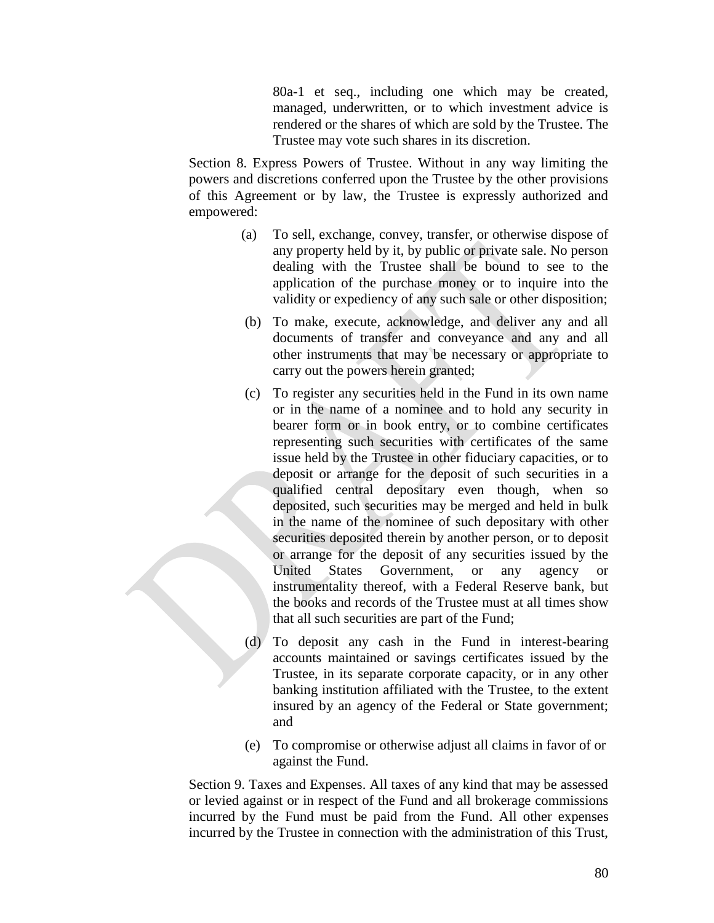80a-1 et seq., including one which may be created, managed, underwritten, or to which investment advice is rendered or the shares of which are sold by the Trustee. The Trustee may vote such shares in its discretion.

Section 8. Express Powers of Trustee. Without in any way limiting the powers and discretions conferred upon the Trustee by the other provisions of this Agreement or by law, the Trustee is expressly authorized and empowered:

- (a) To sell, exchange, convey, transfer, or otherwise dispose of any property held by it, by public or private sale. No person dealing with the Trustee shall be bound to see to the application of the purchase money or to inquire into the validity or expediency of any such sale or other disposition;
- (b) To make, execute, acknowledge, and deliver any and all documents of transfer and conveyance and any and all other instruments that may be necessary or appropriate to carry out the powers herein granted;
- (c) To register any securities held in the Fund in its own name or in the name of a nominee and to hold any security in bearer form or in book entry, or to combine certificates representing such securities with certificates of the same issue held by the Trustee in other fiduciary capacities, or to deposit or arrange for the deposit of such securities in a qualified central depositary even though, when so deposited, such securities may be merged and held in bulk in the name of the nominee of such depositary with other securities deposited therein by another person, or to deposit or arrange for the deposit of any securities issued by the United States Government, or any agency or instrumentality thereof, with a Federal Reserve bank, but the books and records of the Trustee must at all times show that all such securities are part of the Fund;
- (d) To deposit any cash in the Fund in interest-bearing accounts maintained or savings certificates issued by the Trustee, in its separate corporate capacity, or in any other banking institution affiliated with the Trustee, to the extent insured by an agency of the Federal or State government; and
- (e) To compromise or otherwise adjust all claims in favor of or against the Fund.

Section 9. Taxes and Expenses. All taxes of any kind that may be assessed or levied against or in respect of the Fund and all brokerage commissions incurred by the Fund must be paid from the Fund. All other expenses incurred by the Trustee in connection with the administration of this Trust,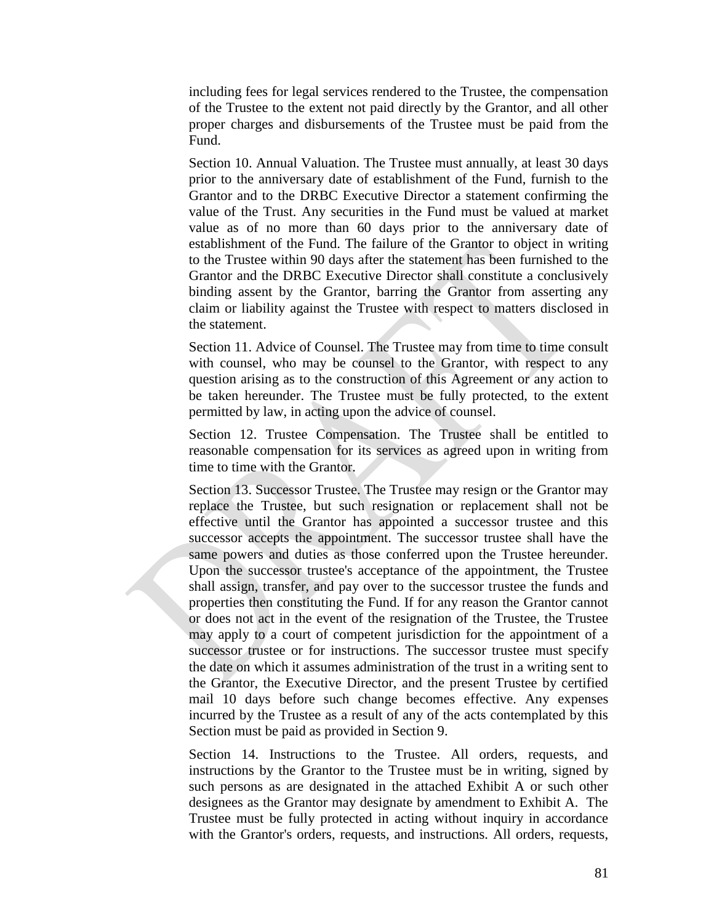including fees for legal services rendered to the Trustee, the compensation of the Trustee to the extent not paid directly by the Grantor, and all other proper charges and disbursements of the Trustee must be paid from the Fund.

Section 10. Annual Valuation. The Trustee must annually, at least 30 days prior to the anniversary date of establishment of the Fund, furnish to the Grantor and to the DRBC Executive Director a statement confirming the value of the Trust. Any securities in the Fund must be valued at market value as of no more than 60 days prior to the anniversary date of establishment of the Fund. The failure of the Grantor to object in writing to the Trustee within 90 days after the statement has been furnished to the Grantor and the DRBC Executive Director shall constitute a conclusively binding assent by the Grantor, barring the Grantor from asserting any claim or liability against the Trustee with respect to matters disclosed in the statement.

Section 11. Advice of Counsel. The Trustee may from time to time consult with counsel, who may be counsel to the Grantor, with respect to any question arising as to the construction of this Agreement or any action to be taken hereunder. The Trustee must be fully protected, to the extent permitted by law, in acting upon the advice of counsel.

Section 12. Trustee Compensation. The Trustee shall be entitled to reasonable compensation for its services as agreed upon in writing from time to time with the Grantor.

Section 13. Successor Trustee. The Trustee may resign or the Grantor may replace the Trustee, but such resignation or replacement shall not be effective until the Grantor has appointed a successor trustee and this successor accepts the appointment. The successor trustee shall have the same powers and duties as those conferred upon the Trustee hereunder. Upon the successor trustee's acceptance of the appointment, the Trustee shall assign, transfer, and pay over to the successor trustee the funds and properties then constituting the Fund. If for any reason the Grantor cannot or does not act in the event of the resignation of the Trustee, the Trustee may apply to a court of competent jurisdiction for the appointment of a successor trustee or for instructions. The successor trustee must specify the date on which it assumes administration of the trust in a writing sent to the Grantor, the Executive Director, and the present Trustee by certified mail 10 days before such change becomes effective. Any expenses incurred by the Trustee as a result of any of the acts contemplated by this Section must be paid as provided in Section 9.

Section 14. Instructions to the Trustee. All orders, requests, and instructions by the Grantor to the Trustee must be in writing, signed by such persons as are designated in the attached Exhibit A or such other designees as the Grantor may designate by amendment to Exhibit A. The Trustee must be fully protected in acting without inquiry in accordance with the Grantor's orders, requests, and instructions. All orders, requests,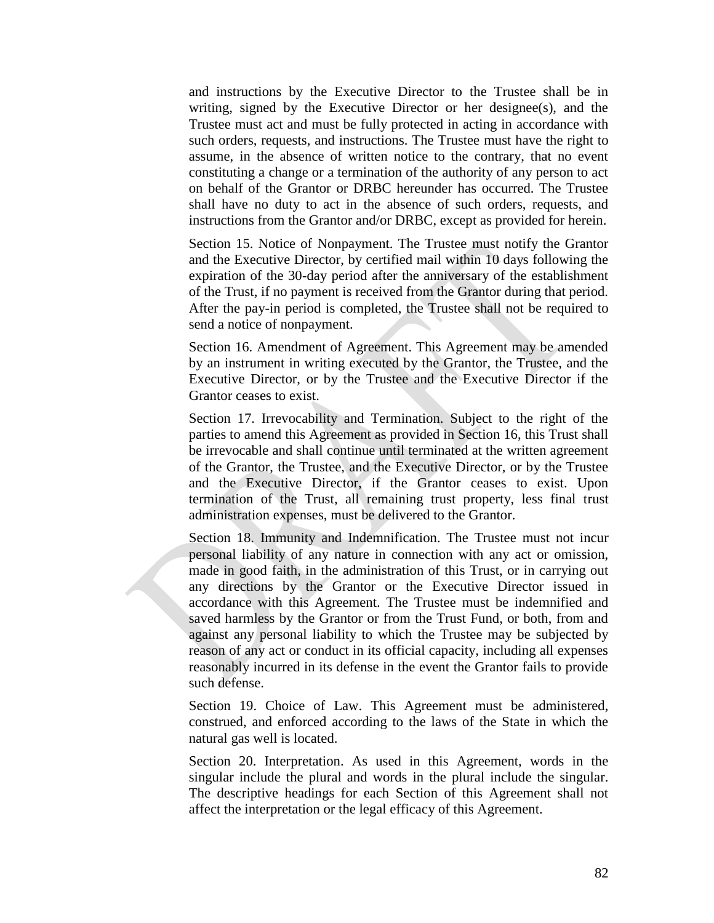and instructions by the Executive Director to the Trustee shall be in writing, signed by the Executive Director or her designee(s), and the Trustee must act and must be fully protected in acting in accordance with such orders, requests, and instructions. The Trustee must have the right to assume, in the absence of written notice to the contrary, that no event constituting a change or a termination of the authority of any person to act on behalf of the Grantor or DRBC hereunder has occurred. The Trustee shall have no duty to act in the absence of such orders, requests, and instructions from the Grantor and/or DRBC, except as provided for herein.

Section 15. Notice of Nonpayment. The Trustee must notify the Grantor and the Executive Director, by certified mail within 10 days following the expiration of the 30-day period after the anniversary of the establishment of the Trust, if no payment is received from the Grantor during that period. After the pay-in period is completed, the Trustee shall not be required to send a notice of nonpayment.

Section 16. Amendment of Agreement. This Agreement may be amended by an instrument in writing executed by the Grantor, the Trustee, and the Executive Director, or by the Trustee and the Executive Director if the Grantor ceases to exist.

Section 17. Irrevocability and Termination. Subject to the right of the parties to amend this Agreement as provided in Section 16, this Trust shall be irrevocable and shall continue until terminated at the written agreement of the Grantor, the Trustee, and the Executive Director, or by the Trustee and the Executive Director, if the Grantor ceases to exist. Upon termination of the Trust, all remaining trust property, less final trust administration expenses, must be delivered to the Grantor.

Section 18. Immunity and Indemnification. The Trustee must not incur personal liability of any nature in connection with any act or omission, made in good faith, in the administration of this Trust, or in carrying out any directions by the Grantor or the Executive Director issued in accordance with this Agreement. The Trustee must be indemnified and saved harmless by the Grantor or from the Trust Fund, or both, from and against any personal liability to which the Trustee may be subjected by reason of any act or conduct in its official capacity, including all expenses reasonably incurred in its defense in the event the Grantor fails to provide such defense.

Section 19. Choice of Law. This Agreement must be administered, construed, and enforced according to the laws of the State in which the natural gas well is located.

Section 20. Interpretation. As used in this Agreement, words in the singular include the plural and words in the plural include the singular. The descriptive headings for each Section of this Agreement shall not affect the interpretation or the legal efficacy of this Agreement.